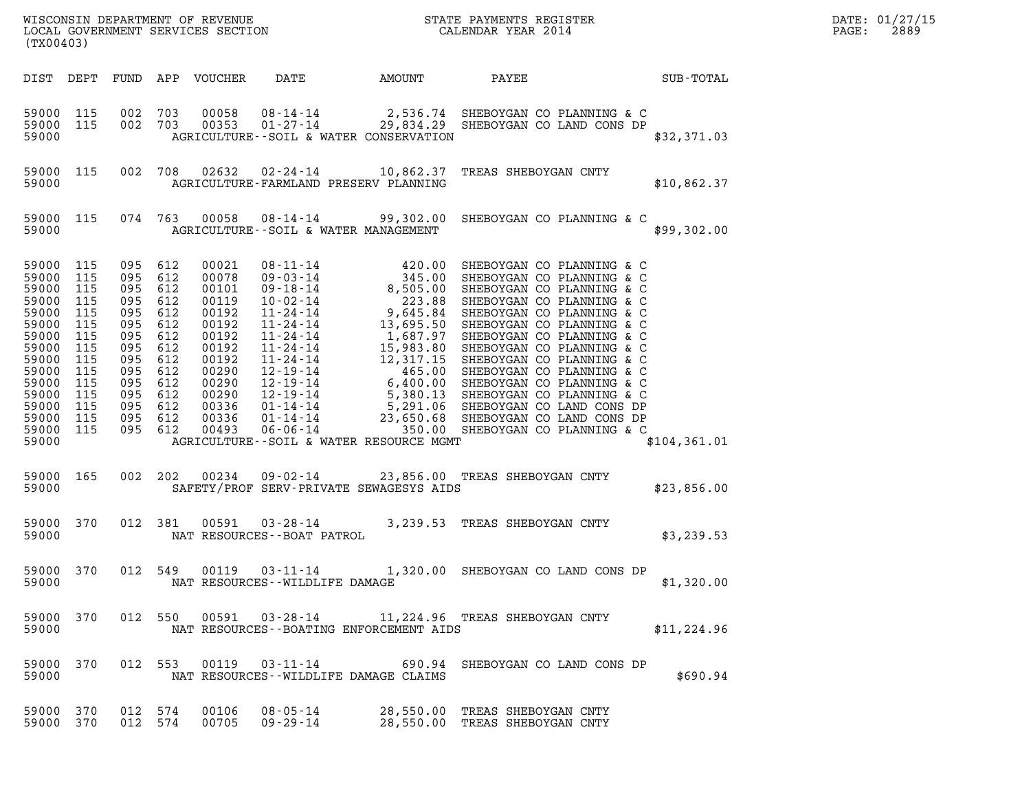| (TX00403)                                                                                                                                            |                                                                                         |                                                                                                                                                       |                   |                                                                                                                                     |                                         |                                                                                                                                                                                                                                                               |               | DATE: 01/27/15<br>PAGE:<br>2889 |
|------------------------------------------------------------------------------------------------------------------------------------------------------|-----------------------------------------------------------------------------------------|-------------------------------------------------------------------------------------------------------------------------------------------------------|-------------------|-------------------------------------------------------------------------------------------------------------------------------------|-----------------------------------------|---------------------------------------------------------------------------------------------------------------------------------------------------------------------------------------------------------------------------------------------------------------|---------------|---------------------------------|
| DIST DEPT                                                                                                                                            |                                                                                         |                                                                                                                                                       |                   | FUND APP VOUCHER                                                                                                                    | DATE                                    | AMOUNT PAYEE SUB-TOTAL                                                                                                                                                                                                                                        |               |                                 |
| 59000 115<br>59000 115<br>59000                                                                                                                      |                                                                                         | 002 703<br>002 703                                                                                                                                    |                   |                                                                                                                                     | AGRICULTURE--SOIL & WATER CONSERVATION  | 00058  08-14-14  2,536.74  SHEBOYGAN CO PLANNING & C<br>00353  01-27-14  29,834.29  SHEBOYGAN CO LAND CONS DP                                                                                                                                                 | \$32,371.03   |                                 |
| 59000 115<br>59000                                                                                                                                   |                                                                                         |                                                                                                                                                       |                   |                                                                                                                                     | AGRICULTURE-FARMLAND PRESERV PLANNING   | 002 708 02632 02-24-14 10,862.37 TREAS SHEBOYGAN CNTY                                                                                                                                                                                                         | \$10,862.37   |                                 |
| 59000 115<br>59000                                                                                                                                   |                                                                                         |                                                                                                                                                       |                   |                                                                                                                                     | AGRICULTURE--SOIL & WATER MANAGEMENT    | 074 763 00058 08-14-14 99,302.00 SHEBOYGAN CO PLANNING & C                                                                                                                                                                                                    | \$99,302.00   |                                 |
| 59000 115<br>59000<br>59000<br>59000<br>59000<br>59000<br>59000<br>59000<br>59000<br>59000<br>59000<br>59000<br>59000<br>59000<br>59000 115<br>59000 | 115<br>115<br>115<br>115<br>115<br>115<br>115<br>115<br>115<br>115<br>115<br>115<br>115 | 095<br>095 612<br>095 612<br>095 612<br>095<br>095 612<br>095<br>095 612<br>095 612<br>095 612<br>095 612<br>095 612<br>095 612<br>095 612<br>095 612 | 612<br>612<br>612 | 00021<br>00078<br>00101<br>00119<br>00192<br>00192<br>00192<br>00192<br>00192<br>00290<br>00290<br>00290<br>00336<br>00336<br>00493 | AGRICULTURE--SOIL & WATER RESOURCE MGMT | 08-11-14<br>09-03-14<br>09-03-14<br>09-18-14<br>14 345.00<br>09-18-14<br>8,505.00<br>SHEBOYGAN CO PLANNING & C<br>10-02-14<br>223.88<br>SHEBOYGAN CO PLANNING & C<br>11-24-14<br>13,695.50<br>SHEBOYGAN CO PLANNING & C<br>11-24-14<br>16,697.97<br>SHEBOYGAN | \$104, 361.01 |                                 |
| 59000 165<br>59000                                                                                                                                   |                                                                                         | 002 202                                                                                                                                               |                   | 00234                                                                                                                               | SAFETY/PROF SERV-PRIVATE SEWAGESYS AIDS | 09-02-14 23,856.00 TREAS SHEBOYGAN CNTY                                                                                                                                                                                                                       | \$23,856.00   |                                 |
| 59000 370<br>59000                                                                                                                                   |                                                                                         | 012 381                                                                                                                                               |                   | 00591                                                                                                                               | NAT RESOURCES--BOAT PATROL              | 03-28-14 3,239.53 TREAS SHEBOYGAN CNTY                                                                                                                                                                                                                        | \$3,239.53    |                                 |
| 59000 370<br>59000                                                                                                                                   |                                                                                         |                                                                                                                                                       |                   |                                                                                                                                     | NAT RESOURCES--WILDLIFE DAMAGE          | 012 549 00119 03-11-14 1,320.00 SHEBOYGAN CO LAND CONS DP                                                                                                                                                                                                     | \$1,320.00    |                                 |
| 59000 370<br>59000                                                                                                                                   |                                                                                         |                                                                                                                                                       |                   |                                                                                                                                     | NAT RESOURCES--BOATING ENFORCEMENT AIDS | 012 550 00591 03-28-14 11,224.96 TREAS SHEBOYGAN CNTY                                                                                                                                                                                                         | \$11, 224.96  |                                 |
| 59000 370<br>59000                                                                                                                                   |                                                                                         |                                                                                                                                                       |                   |                                                                                                                                     | NAT RESOURCES--WILDLIFE DAMAGE CLAIMS   | 012 553 00119 03-11-14 690.94 SHEBOYGAN CO LAND CONS DP                                                                                                                                                                                                       | \$690.94      |                                 |
| 59000 370<br>59000 370                                                                                                                               |                                                                                         | 012 574<br>012 574                                                                                                                                    |                   | 00106<br>00705                                                                                                                      | 09-29-14                                | 08-05-14 28,550.00 TREAS SHEBOYGAN CNTY<br>28,550.00 TREAS SHEBOYGAN CNTY                                                                                                                                                                                     |               |                                 |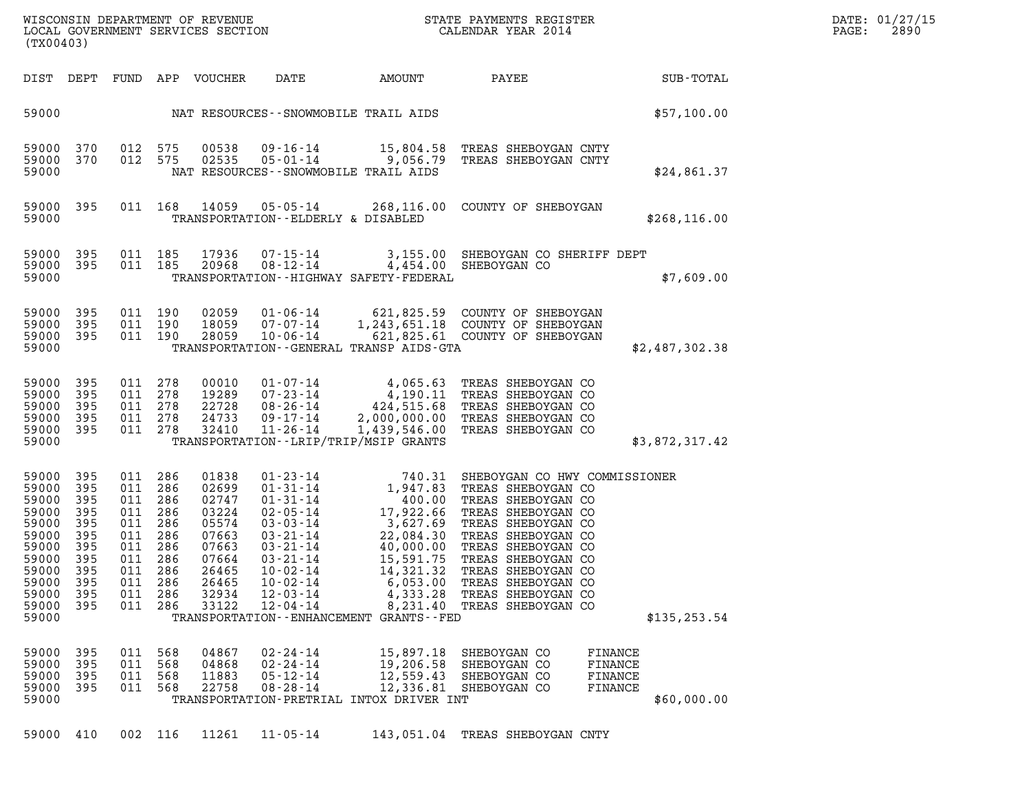| WISCONSIN DEPARTMENT OF REVENUE   | STATE PAYMENTS REGISTER | DATE: 01/27/15 |
|-----------------------------------|-------------------------|----------------|
| LOCAL GOVERNMENT SERVICES SECTION | CALENDAR YEAR 2014      | 2890<br>PAGE:  |

| WISCONSIN DEPARTMENT OF REVENUE<br>LOCAL GOVERNMENT SERVICES SECTION FOR THE STATE PAYMENTS REGISTER<br>CALENDAR YEAR 2014<br>(TX00403) |                                                                           |                                                                                                                      |                    |                                                                                                          |                                                                      |                                                                                              |                                                                                                                                                                                                                                                                                                                                    |                                          |                | $\mathtt{PAGE}$ : | DATE: 01/27/15<br>2890 |
|-----------------------------------------------------------------------------------------------------------------------------------------|---------------------------------------------------------------------------|----------------------------------------------------------------------------------------------------------------------|--------------------|----------------------------------------------------------------------------------------------------------|----------------------------------------------------------------------|----------------------------------------------------------------------------------------------|------------------------------------------------------------------------------------------------------------------------------------------------------------------------------------------------------------------------------------------------------------------------------------------------------------------------------------|------------------------------------------|----------------|-------------------|------------------------|
|                                                                                                                                         |                                                                           |                                                                                                                      |                    |                                                                                                          |                                                                      |                                                                                              | DIST DEPT FUND APP VOUCHER DATE AMOUNT PAYEE SUB-TOTAL                                                                                                                                                                                                                                                                             |                                          |                |                   |                        |
|                                                                                                                                         |                                                                           |                                                                                                                      |                    |                                                                                                          |                                                                      | 59000 NAT RESOURCES - - SNOWMOBILE TRAIL AIDS                                                |                                                                                                                                                                                                                                                                                                                                    |                                          | \$57,100.00    |                   |                        |
| 59000 370<br>59000 370<br>59000                                                                                                         |                                                                           |                                                                                                                      |                    | 012 575 00538<br>012 575 02535                                                                           |                                                                      | NAT RESOURCES - - SNOWMOBILE TRAIL AIDS                                                      | 09-16-14 15,804.58 TREAS SHEBOYGAN CNTY<br>05-01-14 9,056.79 TREAS SHEBOYGAN CNTY                                                                                                                                                                                                                                                  |                                          | \$24,861.37    |                   |                        |
| 59000<br>59000                                                                                                                          | 395                                                                       |                                                                                                                      |                    | 011 168 14059                                                                                            | TRANSPORTATION--ELDERLY & DISABLED                                   |                                                                                              | 05-05-14 268,116.00 COUNTY OF SHEBOYGAN                                                                                                                                                                                                                                                                                            |                                          | \$268, 116.00  |                   |                        |
| 59000 395<br>59000 395<br>59000                                                                                                         |                                                                           |                                                                                                                      | 011 185            | 17936<br>011 185 20968                                                                                   |                                                                      | TRANSPORTATION - - HIGHWAY SAFETY - FEDERAL                                                  | 07-15-14 3,155.00 SHEBOYGAN CO SHERIFF DEPT<br>08-12-14 4,454.00 SHEBOYGAN CO                                                                                                                                                                                                                                                      |                                          | \$7,609.00     |                   |                        |
| 59000 395<br>59000<br>59000 395<br>59000                                                                                                | 395                                                                       | 011 190                                                                                                              | 011 190<br>011 190 | 02059<br>18059<br>28059                                                                                  |                                                                      | TRANSPORTATION--GENERAL TRANSP AIDS-GTA                                                      | 01-06-14 621,825.59 COUNTY OF SHEBOYGAN<br>07-07-14 1,243,651.18 COUNTY OF SHEBOYGAN<br>10-06-14 621,825.61 COUNTY OF SHEBOYGAN                                                                                                                                                                                                    |                                          | \$2,487,302.38 |                   |                        |
| 59000 395<br>59000<br>59000<br>59000 395<br>59000 395<br>59000                                                                          | 395<br>395                                                                | 011 278<br>011 278<br>011 278<br>011 278                                                                             | 011 278            | 00010<br>19289<br>22728<br>24733<br>32410                                                                |                                                                      | TRANSPORTATION--LRIP/TRIP/MSIP GRANTS                                                        | 01-07-14 4,065.63 TREAS SHEBOYGAN CO<br>07-23-14 4,190.11 TREAS SHEBOYGAN CO<br>08-26-14 424,515.68 TREAS SHEBOYGAN CO<br>09-17-14 2,000,000.00 TREAS SHEBOYGAN CO<br>11-26-14 1,439,546.00 TREAS SHEBOYGAN CO                                                                                                                     |                                          | \$3,872,317.42 |                   |                        |
| 59000<br>59000<br>59000<br>59000<br>59000<br>59000<br>59000<br>59000<br>59000 395<br>59000<br>59000<br>59000<br>59000                   | 395<br>395<br>395<br>395<br>395<br>395<br>395<br>395<br>395<br>395<br>395 | 011 286<br>011 286<br>011 286<br>011 286<br>011 286<br>011 286<br>011 286<br>011 286<br>011 286<br>011<br>011<br>011 | 286<br>286<br>286  | 01838<br>02699<br>02747<br>03224<br>05574<br>07663<br>07663<br>07664<br>26465<br>26465<br>32934<br>33122 | $10 - 02 - 14$<br>$12 - 03 - 14$<br>$12 - 04 - 14$                   | 6,053.00<br>4,333.28<br>TRANSPORTATION - - ENHANCEMENT GRANTS - - FED                        | 01-23-14<br>01-31-14<br>01-31-14<br>1,947.83<br>TREAS SHEBOYGAN CO<br>01-31-14<br>400.00 TREAS SHEBOYGAN CO<br>02-05-14<br>17,922.66 TREAS SHEBOYGAN CO<br>03-03-14<br>3,627.69 TREAS SHEBOYGAN CO<br>03-21-14<br>40,000.00 TREAS SHEBOYGAN CO<br>03-21<br>TREAS SHEBOYGAN CO<br>TREAS SHEBOYGAN CO<br>8,231.40 TREAS SHEBOYGAN CO |                                          | \$135, 253.54  |                   |                        |
| 59000<br>59000<br>59000<br>59000<br>59000                                                                                               | 395<br>395<br>395<br>395                                                  | 011 568<br>011<br>011<br>011 568                                                                                     | 568<br>568         | 04867<br>04868<br>11883<br>22758                                                                         | $02 - 24 - 14$<br>$02 - 24 - 14$<br>$05 - 12 - 14$<br>$08 - 28 - 14$ | 15,897.18<br>19,206.58<br>12,559.43<br>12,336.81<br>TRANSPORTATION-PRETRIAL INTOX DRIVER INT | SHEBOYGAN CO<br>SHEBOYGAN CO<br>SHEBOYGAN CO<br>SHEBOYGAN CO                                                                                                                                                                                                                                                                       | FINANCE<br>FINANCE<br>FINANCE<br>FINANCE | \$60,000.00    |                   |                        |

59000 410 002 116 11261 11-05-14 143,051.04 TREAS SHEBOYGAN CNTY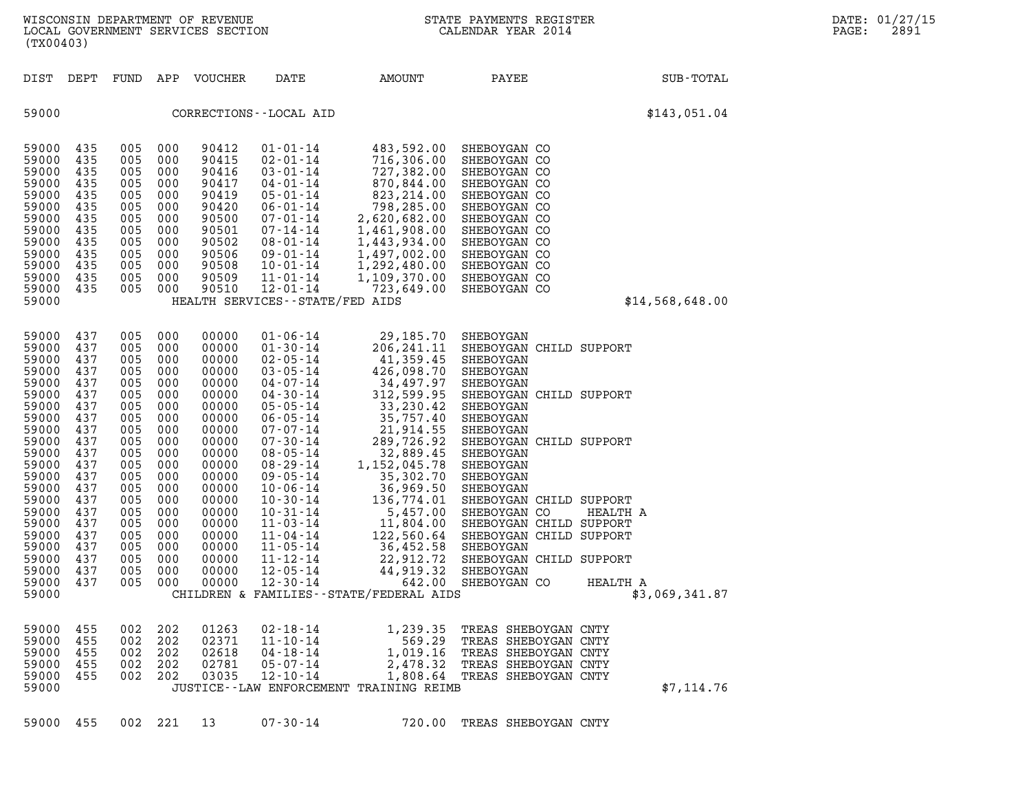| (TX00403)                                                                                                                                                                                                   |                                                                                                                                                        |                                                                                                                                                        |                                                                                                                                                        | WISCONSIN DEPARTMENT OF REVENUE<br>LOCAL GOVERNMENT SERVICES SECTION                                                                                                                               |                                                                                                                                                                                                                                                                                                                                                                                                          |                                                                                                                                                                                                                                                                                                                                                  | STATE PAYMENTS REGISTER<br>CALENDAR YEAR 2014                                                                                                                                                                                                                                                                                                                                                |                                        | DATE: 01/27/15<br>2891<br>PAGE: |
|-------------------------------------------------------------------------------------------------------------------------------------------------------------------------------------------------------------|--------------------------------------------------------------------------------------------------------------------------------------------------------|--------------------------------------------------------------------------------------------------------------------------------------------------------|--------------------------------------------------------------------------------------------------------------------------------------------------------|----------------------------------------------------------------------------------------------------------------------------------------------------------------------------------------------------|----------------------------------------------------------------------------------------------------------------------------------------------------------------------------------------------------------------------------------------------------------------------------------------------------------------------------------------------------------------------------------------------------------|--------------------------------------------------------------------------------------------------------------------------------------------------------------------------------------------------------------------------------------------------------------------------------------------------------------------------------------------------|----------------------------------------------------------------------------------------------------------------------------------------------------------------------------------------------------------------------------------------------------------------------------------------------------------------------------------------------------------------------------------------------|----------------------------------------|---------------------------------|
|                                                                                                                                                                                                             | DIST DEPT                                                                                                                                              | FUND                                                                                                                                                   |                                                                                                                                                        | APP VOUCHER                                                                                                                                                                                        | DATE                                                                                                                                                                                                                                                                                                                                                                                                     | AMOUNT                                                                                                                                                                                                                                                                                                                                           | PAYEE                                                                                                                                                                                                                                                                                                                                                                                        | SUB-TOTAL                              |                                 |
| 59000                                                                                                                                                                                                       |                                                                                                                                                        |                                                                                                                                                        |                                                                                                                                                        |                                                                                                                                                                                                    | CORRECTIONS - - LOCAL AID                                                                                                                                                                                                                                                                                                                                                                                |                                                                                                                                                                                                                                                                                                                                                  |                                                                                                                                                                                                                                                                                                                                                                                              | \$143,051.04                           |                                 |
| 59000<br>59000<br>59000<br>59000<br>59000<br>59000<br>59000<br>59000<br>59000<br>59000<br>59000<br>59000<br>59000<br>59000                                                                                  | 435<br>435<br>435<br>435<br>435<br>435<br>435<br>435<br>435<br>435<br>435<br>435<br>435                                                                | 005<br>005<br>005<br>005<br>005<br>005<br>005<br>005<br>005<br>005<br>005<br>005<br>005                                                                | 000<br>000<br>000<br>000<br>000<br>000<br>000<br>000<br>000<br>000<br>000<br>000<br>000                                                                | 90412<br>90415<br>90416<br>90417<br>90419<br>90420<br>90500<br>90501<br>90502<br>90506<br>90508<br>90509<br>90510                                                                                  | $01 - 01 - 14$<br>$02 - 01 - 14$<br>$03 - 01 - 14$<br>$04 - 01 - 14$<br>$05 - 01 - 14$<br>$06 - 01 - 14$<br>$07 - 01 - 14$<br>$07 - 14 - 14$<br>$08 - 01 - 14$<br>$09 - 01 - 14$<br>$10 - 01 - 14$<br>$11 - 01 - 14$<br>$12 - 01 - 14$<br>HEALTH SERVICES - - STATE/FED AIDS                                                                                                                             | 483,592.00<br>716,306.00<br>727,382.00<br>870,844.00<br>823, 214.00<br>798,285.00<br>2,620,682.00<br>1,461,908.00<br>1,443,934.00<br>1,497,002.00<br>1,292,480.00<br>1,109,370.00<br>723,649.00                                                                                                                                                  | SHEBOYGAN CO<br>SHEBOYGAN CO<br>SHEBOYGAN CO<br>SHEBOYGAN CO<br>SHEBOYGAN CO<br>SHEBOYGAN CO<br>SHEBOYGAN CO<br>SHEBOYGAN CO<br>SHEBOYGAN CO<br>SHEBOYGAN CO<br>SHEBOYGAN CO<br>SHEBOYGAN CO<br>SHEBOYGAN CO                                                                                                                                                                                 | \$14,568,648.00                        |                                 |
| 59000<br>59000<br>59000<br>59000<br>59000<br>59000<br>59000<br>59000<br>59000<br>59000<br>59000<br>59000<br>59000<br>59000<br>59000<br>59000<br>59000<br>59000<br>59000<br>59000<br>59000<br>59000<br>59000 | 437<br>437<br>437<br>437<br>437<br>437<br>437<br>437<br>437<br>437<br>437<br>437<br>437<br>437<br>437<br>437<br>437<br>437<br>437<br>437<br>437<br>437 | 005<br>005<br>005<br>005<br>005<br>005<br>005<br>005<br>005<br>005<br>005<br>005<br>005<br>005<br>005<br>005<br>005<br>005<br>005<br>005<br>005<br>005 | 000<br>000<br>000<br>000<br>000<br>000<br>000<br>000<br>000<br>000<br>000<br>000<br>000<br>000<br>000<br>000<br>000<br>000<br>000<br>000<br>000<br>000 | 00000<br>00000<br>00000<br>00000<br>00000<br>00000<br>00000<br>00000<br>00000<br>00000<br>00000<br>00000<br>00000<br>00000<br>00000<br>00000<br>00000<br>00000<br>00000<br>00000<br>00000<br>00000 | $01 - 06 - 14$<br>$01 - 30 - 14$<br>$02 - 05 - 14$<br>$03 - 05 - 14$<br>$04 - 07 - 14$<br>$04 - 30 - 14$<br>$05 - 05 - 14$<br>$06 - 05 - 14$<br>$07 - 07 - 14$<br>$07 - 30 - 14$<br>$08 - 05 - 14$<br>$08 - 29 - 14$<br>$09 - 05 - 14$<br>$10 - 06 - 14$<br>$10 - 30 - 14$<br>$10 - 31 - 14$<br>$11 - 03 - 14$<br>$11 - 04 - 14$<br>$11 - 05 - 14$<br>$11 - 12 - 14$<br>$12 - 05 - 14$<br>$12 - 30 - 14$ | 29,185.70<br>206, 241.11<br>41,359.45<br>426,098.70<br>34,497.97<br>312,599.95<br>33,230.42<br>35,757.40<br>21,914.55<br>289,726.92<br>32,889.45<br>1, 152, 045.78<br>35,302.70<br>36,969.50<br>136,774.01<br>5,457.00<br>11,804.00<br>122,560.64<br>36,452.58<br>22,912.72<br>44,919.32 SHEBOYGAN<br>CHILDREN & FAMILIES - - STATE/FEDERAL AIDS | SHEBOYGAN<br>SHEBOYGAN CHILD SUPPORT<br>SHEBOYGAN<br>SHEBOYGAN<br>SHEBOYGAN<br>SHEBOYGAN CHILD SUPPORT<br>SHEBOYGAN<br>SHEBOYGAN<br>SHEBOYGAN<br>SHEBOYGAN CHILD SUPPORT<br>SHEBOYGAN<br>SHEBOYGAN<br>SHEBOYGAN<br>SHEBOYGAN<br>SHEBOYGAN CHILD SUPPORT<br>SHEBOYGAN CO<br>SHEBOYGAN CHILD SUPPORT<br>SHEBOYGAN CHILD SUPPORT<br>SHEBOYGAN<br>SHEBOYGAN CHILD SUPPORT<br>642.00 SHEBOYGAN CO | HEALTH A<br>HEALTH A<br>\$3,069,341.87 |                                 |
| 59000<br>59000<br>59000<br>59000<br>59000                                                                                                                                                                   | 59000 455<br>455<br>- 455<br>- 455<br>- 455<br>59000 455                                                                                               | 002<br>002<br>002<br>002<br>002                                                                                                                        | 202<br>202<br>202<br>202<br>202<br>002 221                                                                                                             | 01263<br>02371<br>02618<br>02781<br>03035<br>13                                                                                                                                                    | $02 - 18 - 14$<br>$11 - 10 - 14$<br>$04 - 18 - 14$<br>$05 - 07 - 14$<br>$12 - 10 - 14$<br>$07 - 30 - 14$                                                                                                                                                                                                                                                                                                 | 569.29<br>1,019.16<br>2,478.32<br>1,808.64<br>JUSTICE--LAW ENFORCEMENT TRAINING REIMB                                                                                                                                                                                                                                                            | 1,239.35 TREAS SHEBOYGAN CNTY<br>TREAS SHEBOYGAN CNTY<br>TREAS SHEBOYGAN CNTY<br>TREAS SHEBOYGAN CNTY<br>TREAS SHEBOYGAN CNTY<br>720.00 TREAS SHEBOYGAN CNTY                                                                                                                                                                                                                                 | \$7,114.76                             |                                 |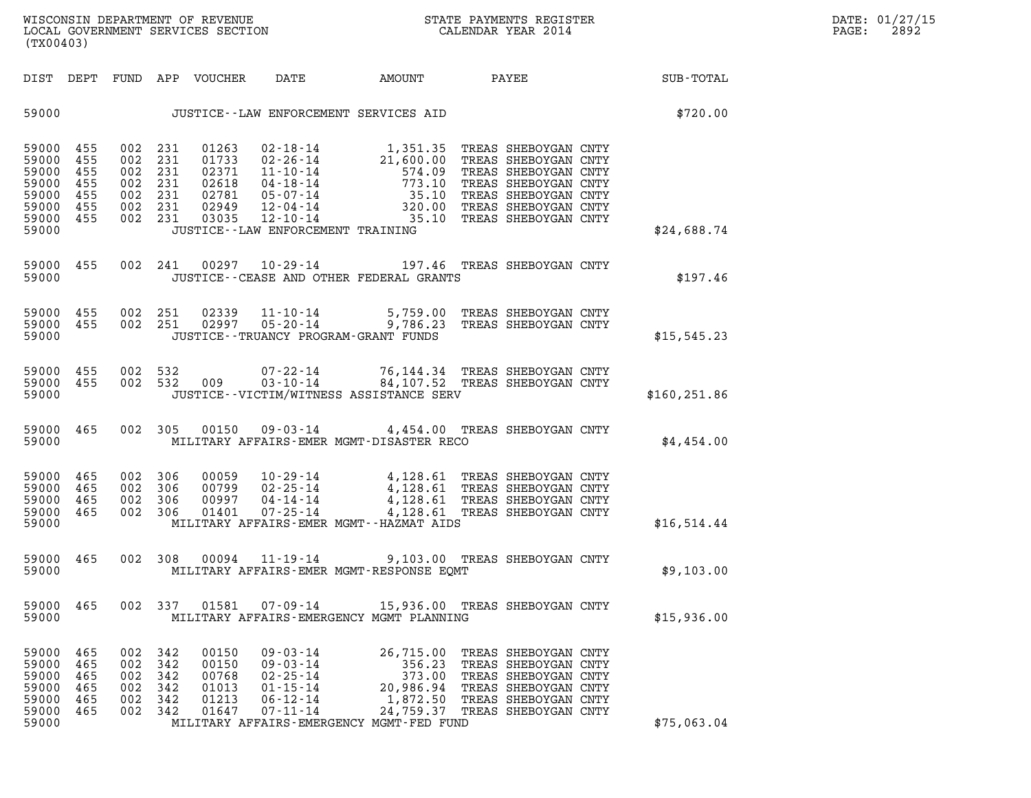| (TX00403)                                                                    |                                        |                                                                       |                          |                                                             |                                                                                                          |                                                                                                                                                                                                        |                                                            |                 | DATE: 01/27/15<br>2892<br>$\mathtt{PAGE}$ : |
|------------------------------------------------------------------------------|----------------------------------------|-----------------------------------------------------------------------|--------------------------|-------------------------------------------------------------|----------------------------------------------------------------------------------------------------------|--------------------------------------------------------------------------------------------------------------------------------------------------------------------------------------------------------|------------------------------------------------------------|-----------------|---------------------------------------------|
|                                                                              |                                        |                                                                       |                          | DIST DEPT FUND APP VOUCHER                                  | DATE                                                                                                     | AMOUNT                                                                                                                                                                                                 |                                                            | PAYEE SUB-TOTAL |                                             |
|                                                                              |                                        |                                                                       |                          |                                                             |                                                                                                          |                                                                                                                                                                                                        |                                                            | \$720.00        |                                             |
| 59000 455<br>59000<br>59000<br>59000<br>59000<br>59000<br>59000 455<br>59000 | 455<br>455<br>455<br>455<br>455        | 002<br>002 231<br>002 231<br>002 231<br>002 231<br>002 231<br>002 231 | 231                      | 01263<br>01733<br>02371<br>02618<br>02781<br>02949<br>03035 | JUSTICE - - LAW ENFORCEMENT TRAINING                                                                     |                                                                                                                                                                                                        |                                                            | \$24,688.74     |                                             |
| 59000 455<br>59000                                                           |                                        |                                                                       | 002 241                  |                                                             |                                                                                                          | 00297  10-29-14  197.46  TREAS SHEBOYGAN CNTY<br>JUSTICE - - CEASE AND OTHER FEDERAL GRANTS                                                                                                            |                                                            | \$197.46        |                                             |
| 59000<br>59000 455<br>59000                                                  | 455                                    | 002 251                                                               | 002 251                  | 02339                                                       | JUSTICE - - TRUANCY PROGRAM - GRANT FUNDS                                                                | 11-10-14 5,759.00 TREAS SHEBOYGAN CNTY<br>02997  05-20-14  9,786.23  TREAS SHEBOYGAN CNTY                                                                                                              |                                                            | \$15,545.23     |                                             |
| 59000 455<br>59000 455<br>59000                                              |                                        |                                                                       | 002 532<br>002 532       | 009                                                         | 03-10-14                                                                                                 | 07-22-14 76,144.34 TREAS SHEBOYGAN CNTY<br>84,107.52 TREAS SHEBOYGAN CNTY<br>JUSTICE - - VICTIM/WITNESS ASSISTANCE SERV                                                                                |                                                            | \$160, 251.86   |                                             |
| 59000 465<br>59000                                                           |                                        | 002 305                                                               |                          | 00150                                                       |                                                                                                          | 09-03-14 4,454.00 TREAS SHEBOYGAN CNTY<br>MILITARY AFFAIRS-EMER MGMT-DISASTER RECO                                                                                                                     |                                                            | \$4,454.00      |                                             |
| 59000<br>59000<br>59000<br>59000 465<br>59000                                | 465<br>465<br>465                      | 002 306<br>002 306<br>002<br>002 306                                  | 306                      | 00059<br>00799<br>00997<br>01401                            | 07-25-14                                                                                                 | 10-29-14 4,128.61 TREAS SHEBOYGAN CNTY<br>02-25-14 4,128.61 TREAS SHEBOYGAN CNTY<br>04-14-14 4,128.61 TREAS SHEBOYGAN CNTY<br>4,128.61 TREAS SHEBOYGAN CNTY<br>MILITARY AFFAIRS-EMER MGMT--HAZMAT AIDS |                                                            | \$16,514.44     |                                             |
| 59000 465<br>59000                                                           |                                        |                                                                       | 002 308                  | 00094                                                       | 11-19-14                                                                                                 | MILITARY AFFAIRS-EMER MGMT-RESPONSE EQMT                                                                                                                                                               | 9,103.00 TREAS SHEBOYGAN CNTY                              | \$9,103.00      |                                             |
| 59000 465<br>59000                                                           |                                        |                                                                       | 002 337                  |                                                             | 01581  07-09-14                                                                                          | 15,936.00 TREAS SHEBOYGAN CNTY<br>MILITARY AFFAIRS-EMERGENCY MGMT PLANNING                                                                                                                             |                                                            | \$15,936.00     |                                             |
| 59000<br>59000<br>59000<br>59000<br>59000<br>59000<br>59000                  | 465<br>465<br>465<br>465<br>465<br>465 | 002<br>002<br>002<br>002<br>002 342<br>002 342                        | 342<br>342<br>342<br>342 | 00150<br>00150<br>00768<br>01013<br>01213<br>01647          | $09 - 03 - 14$<br>$09 - 03 - 14$<br>$02 - 25 - 14$<br>$01 - 15 - 14$<br>$06 - 12 - 14$<br>$07 - 11 - 14$ | 26,715.00 TREAS SHEBOYGAN CNTY<br>20,986.94 TREAS SHEBOYGAN CNTY<br>1,872.50 TREAS SHEBOYGAN CNTY<br>24,759.37 TREAS SHEBOYGAN CNTY<br>MILITARY AFFAIRS-EMERGENCY MGMT-FED FUND                        | 356.23 TREAS SHEBOYGAN CNTY<br>373.00 TREAS SHEBOYGAN CNTY | \$75,063.04     |                                             |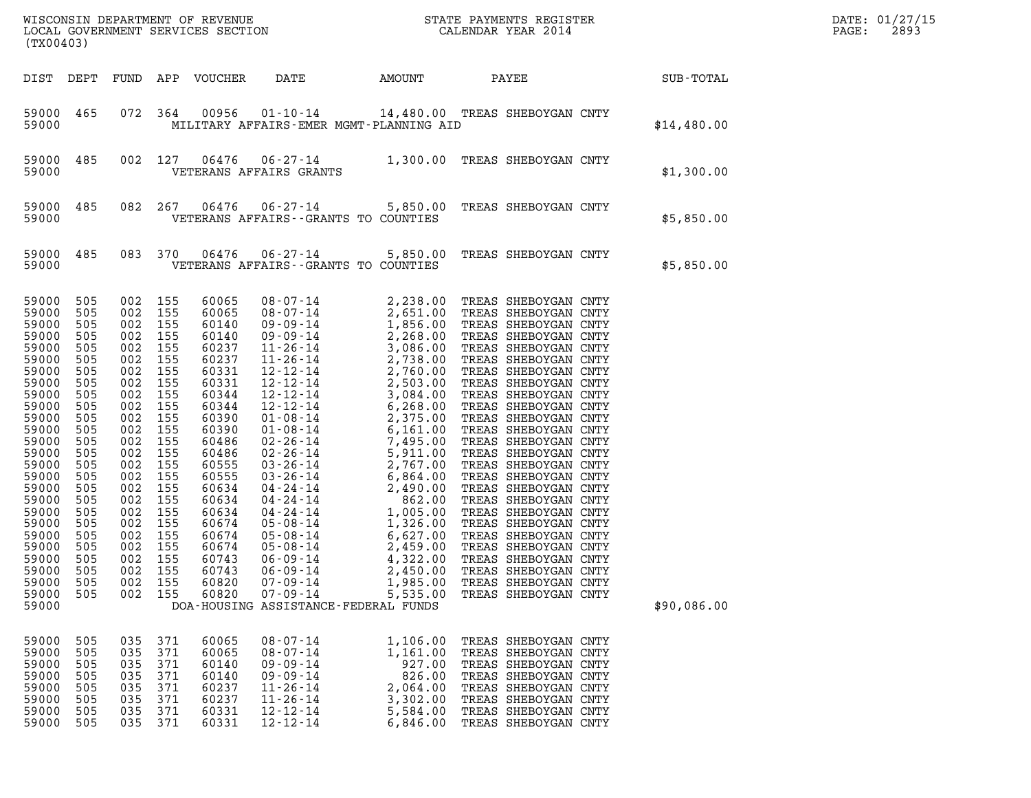| (TX00403)                                                                                                                                                                                                                                       |                                                                                                                                                                                    |                                                                                                                                                                                        |                                                                                                                                                                             |                                                                                                                                                                                                                                        |                                                                                                                                                                                                                                                                                                                                                                                                                                                       |                                                                                          |                                                                                                                                                                                                                                                                                                                                                                                                                                                                                                                                                                                                                                              |             | DATE: 01/27/15<br>2893<br>PAGE: |
|-------------------------------------------------------------------------------------------------------------------------------------------------------------------------------------------------------------------------------------------------|------------------------------------------------------------------------------------------------------------------------------------------------------------------------------------|----------------------------------------------------------------------------------------------------------------------------------------------------------------------------------------|-----------------------------------------------------------------------------------------------------------------------------------------------------------------------------|----------------------------------------------------------------------------------------------------------------------------------------------------------------------------------------------------------------------------------------|-------------------------------------------------------------------------------------------------------------------------------------------------------------------------------------------------------------------------------------------------------------------------------------------------------------------------------------------------------------------------------------------------------------------------------------------------------|------------------------------------------------------------------------------------------|----------------------------------------------------------------------------------------------------------------------------------------------------------------------------------------------------------------------------------------------------------------------------------------------------------------------------------------------------------------------------------------------------------------------------------------------------------------------------------------------------------------------------------------------------------------------------------------------------------------------------------------------|-------------|---------------------------------|
| DIST DEPT                                                                                                                                                                                                                                       |                                                                                                                                                                                    |                                                                                                                                                                                        |                                                                                                                                                                             | FUND APP VOUCHER                                                                                                                                                                                                                       | DATE                                                                                                                                                                                                                                                                                                                                                                                                                                                  | AMOUNT PAYEE                                                                             |                                                                                                                                                                                                                                                                                                                                                                                                                                                                                                                                                                                                                                              | SUB-TOTAL   |                                 |
| 59000 465<br>59000                                                                                                                                                                                                                              |                                                                                                                                                                                    | 072 364                                                                                                                                                                                |                                                                                                                                                                             | 00956                                                                                                                                                                                                                                  | MILITARY AFFAIRS-EMER MGMT-PLANNING AID                                                                                                                                                                                                                                                                                                                                                                                                               |                                                                                          | 01-10-14   14,480.00 TREAS SHEBOYGAN CNTY                                                                                                                                                                                                                                                                                                                                                                                                                                                                                                                                                                                                    | \$14,480.00 |                                 |
| 59000<br>59000                                                                                                                                                                                                                                  | 485                                                                                                                                                                                |                                                                                                                                                                                        | 002 127                                                                                                                                                                     |                                                                                                                                                                                                                                        | 06476 06-27-14 1,300.00 TREAS SHEBOYGAN CNTY<br>VETERANS AFFAIRS GRANTS                                                                                                                                                                                                                                                                                                                                                                               |                                                                                          |                                                                                                                                                                                                                                                                                                                                                                                                                                                                                                                                                                                                                                              | \$1,300.00  |                                 |
| 59000<br>59000                                                                                                                                                                                                                                  | 485                                                                                                                                                                                | 082                                                                                                                                                                                    | 267                                                                                                                                                                         | 06476                                                                                                                                                                                                                                  | VETERANS AFFAIRS -- GRANTS TO COUNTIES                                                                                                                                                                                                                                                                                                                                                                                                                |                                                                                          | 06-27-14 5,850.00 TREAS SHEBOYGAN CNTY                                                                                                                                                                                                                                                                                                                                                                                                                                                                                                                                                                                                       | \$5,850.00  |                                 |
| 59000<br>59000                                                                                                                                                                                                                                  | 485                                                                                                                                                                                | 083 370                                                                                                                                                                                |                                                                                                                                                                             | 06476                                                                                                                                                                                                                                  | VETERANS AFFAIRS -- GRANTS TO COUNTIES                                                                                                                                                                                                                                                                                                                                                                                                                |                                                                                          | 06-27-14 5,850.00 TREAS SHEBOYGAN CNTY                                                                                                                                                                                                                                                                                                                                                                                                                                                                                                                                                                                                       | \$5,850.00  |                                 |
| 59000<br>59000<br>59000<br>59000<br>59000<br>59000<br>59000<br>59000<br>59000<br>59000<br>59000<br>59000<br>59000<br>59000<br>59000<br>59000<br>59000<br>59000<br>59000<br>59000<br>59000<br>59000<br>59000<br>59000<br>59000<br>59000<br>59000 | 505<br>505<br>505<br>505<br>505<br>505<br>505<br>505<br>505<br>505<br>505<br>505<br>505<br>505<br>505<br>505<br>505<br>505<br>505<br>505<br>505<br>505<br>505<br>505<br>505<br>505 | 002<br>002<br>002<br>002<br>002<br>002<br>002<br>002<br>002<br>002<br>002<br>002<br>002<br>002<br>002<br>002<br>002<br>002<br>002<br>002<br>002<br>002<br>002<br>002<br>002<br>002 155 | 155<br>155<br>155<br>155<br>155<br>155<br>155<br>155<br>155<br>155<br>155<br>155<br>155<br>155<br>155<br>155<br>155<br>155<br>155<br>155<br>155<br>155<br>155<br>155<br>155 | 60065<br>60065<br>60140<br>60140<br>60237<br>60237<br>60331<br>60331<br>60344<br>60344<br>60390<br>60390<br>60486<br>60486<br>60555<br>60555<br>60634<br>60634<br>60634<br>60674<br>60674<br>60674<br>60743<br>60743<br>60820<br>60820 | $\begin{array}{cccc} 08\text{-}07\text{-}14 & 2,238.00 \\ 08\text{-}07\text{-}14 & 2,651.00 \\ 09\text{-}09\text{-}14 & 1,856.00 \\ 09\text{-}09\text{-}14 & 2,268.00 \\ 11\text{-}26\text{-}14 & 3,086.00 \\ 11\text{-}26\text{-}14 & 2,738.00 \\ 12\text{-}12\text{-}14 & 2,760.00 \\ 12\text{-}12\text{-}14 & 3,084.00 \\ 12\text$<br>$06 - 09 - 14$<br>$06 - 09 - 14$<br>$07 - 09 - 14$<br>$07 - 09 - 14$<br>DOA-HOUSING ASSISTANCE-FEDERAL FUNDS | 4,322.00<br>2,450.00<br>1,985.00<br>5,535.00                                             | TREAS SHEBOYGAN CNTY<br>TREAS SHEBOYGAN CNTY<br>TREAS SHEBOYGAN CNTY<br>TREAS SHEBOYGAN CNTY<br>TREAS SHEBOYGAN CNTY<br>TREAS SHEBOYGAN CNTY<br>TREAS SHEBOYGAN CNTY<br>TREAS SHEBOYGAN CNTY<br>TREAS SHEBOYGAN CNTY<br>TREAS SHEBOYGAN CNTY<br>TREAS SHEBOYGAN CNTY<br>TREAS SHEBOYGAN CNTY<br>TREAS SHEBOYGAN CNTY<br>TREAS SHEBOYGAN CNTY<br>TREAS SHEBOYGAN CNTY<br>TREAS SHEBOYGAN CNTY<br>TREAS SHEBOYGAN CNTY<br>TREAS SHEBOYGAN CNTY<br>TREAS SHEBOYGAN CNTY<br>TREAS SHEBOYGAN CNTY<br>TREAS SHEBOYGAN CNTY<br>TREAS SHEBOYGAN CNTY<br>TREAS SHEBOYGAN CNTY<br>TREAS SHEBOYGAN CNTY<br>TREAS SHEBOYGAN CNTY<br>TREAS SHEBOYGAN CNTY | \$90,086.00 |                                 |
| 59000<br>59000<br>59000<br>59000<br>59000<br>59000<br>59000<br>59000                                                                                                                                                                            | 505<br>505<br>505<br>505<br>505<br>505<br>505<br>505                                                                                                                               | 035<br>035<br>035<br>035<br>035<br>035<br>035<br>035                                                                                                                                   | 371<br>371<br>371<br>371<br>371<br>371<br>371<br>371                                                                                                                        | 60065<br>60065<br>60140<br>60140<br>60237<br>60237<br>60331<br>60331                                                                                                                                                                   | $08 - 07 - 14$<br>$08 - 07 - 14$<br>$09 - 09 - 14$<br>$09 - 09 - 14$<br>$11 - 26 - 14$<br>$11 - 26 - 14$<br>$12 - 12 - 14$<br>$12 - 12 - 14$                                                                                                                                                                                                                                                                                                          | 1,106.00<br>1,161.00<br>927.00<br>826.00<br>2,064.00<br>3,302.00<br>5,584.00<br>6,846.00 | TREAS SHEBOYGAN CNTY<br>TREAS SHEBOYGAN CNTY<br>TREAS SHEBOYGAN CNTY<br>TREAS SHEBOYGAN CNTY<br>TREAS SHEBOYGAN CNTY<br>TREAS SHEBOYGAN CNTY<br>TREAS SHEBOYGAN CNTY<br>TREAS SHEBOYGAN CNTY                                                                                                                                                                                                                                                                                                                                                                                                                                                 |             |                                 |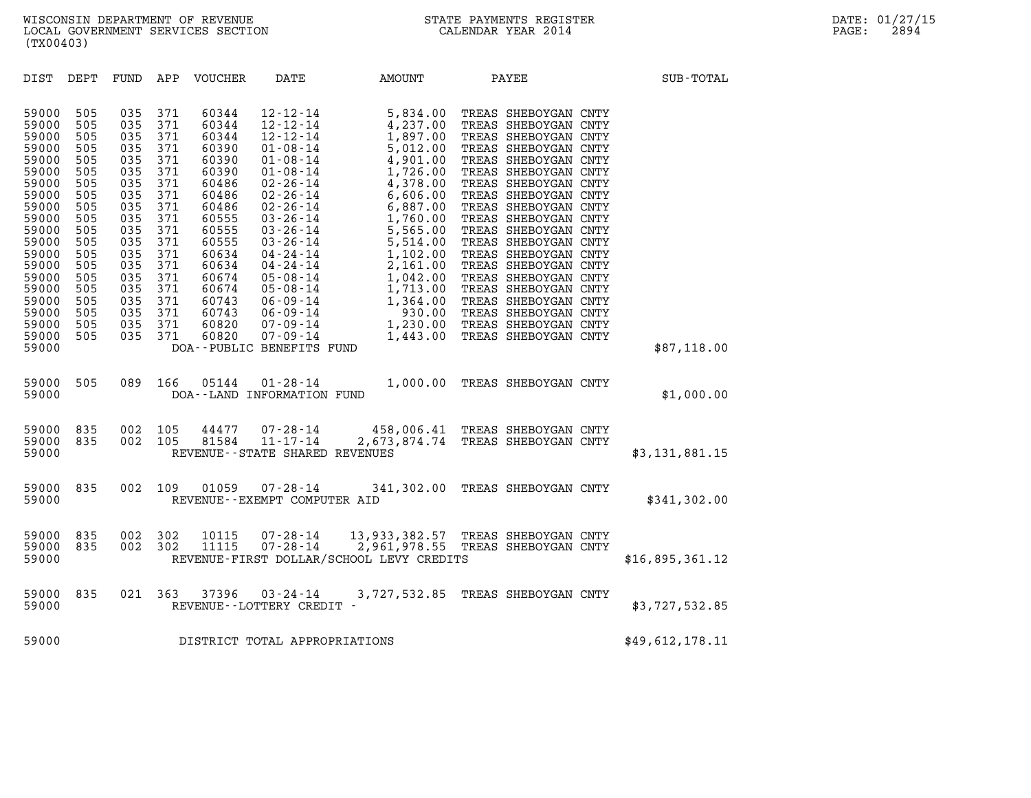| (TX00403)                                                                                                                                                                                                                                                                                                                                                                                                                                                                         |                                                                                                                                                                                                                                                                                                                                                                                                                                                                                                                                                                                                                                                                                                                                   |                                                                                                                                                                                                                                            |                                                                                                                                                                                                                                                                                                                                                                                                                                                                                              |                 |
|-----------------------------------------------------------------------------------------------------------------------------------------------------------------------------------------------------------------------------------------------------------------------------------------------------------------------------------------------------------------------------------------------------------------------------------------------------------------------------------|-----------------------------------------------------------------------------------------------------------------------------------------------------------------------------------------------------------------------------------------------------------------------------------------------------------------------------------------------------------------------------------------------------------------------------------------------------------------------------------------------------------------------------------------------------------------------------------------------------------------------------------------------------------------------------------------------------------------------------------|--------------------------------------------------------------------------------------------------------------------------------------------------------------------------------------------------------------------------------------------|----------------------------------------------------------------------------------------------------------------------------------------------------------------------------------------------------------------------------------------------------------------------------------------------------------------------------------------------------------------------------------------------------------------------------------------------------------------------------------------------|-----------------|
| DIST<br>DEPT<br>FUND                                                                                                                                                                                                                                                                                                                                                                                                                                                              | APP<br>VOUCHER<br>DATE                                                                                                                                                                                                                                                                                                                                                                                                                                                                                                                                                                                                                                                                                                            | AMOUNT                                                                                                                                                                                                                                     | PAYEE                                                                                                                                                                                                                                                                                                                                                                                                                                                                                        | SUB-TOTAL       |
| 59000<br>505<br>035<br>59000<br>505<br>035<br>035<br>59000<br>505<br>59000<br>505<br>035<br>035<br>59000<br>505<br>035<br>59000<br>505<br>505<br>035<br>59000<br>505<br>035<br>59000<br>505<br>035<br>59000<br>505<br>035<br>59000<br>035<br>59000<br>505<br>035<br>59000<br>505<br>505<br>035<br>59000<br>505<br>035<br>59000<br>59000<br>505<br>035<br>59000<br>505<br>035<br>035<br>59000<br>505<br>59000<br>505<br>035<br>035<br>59000<br>505<br>035<br>59000<br>505<br>59000 | 371<br>60344<br>$12 - 12 - 14$<br>$12 - 12 - 14$<br>371<br>60344<br>371<br>60344<br>$12 - 12 - 14$<br>371<br>$01 - 08 - 14$<br>60390<br>$01 - 08 - 14$<br>371<br>60390<br>371<br>60390<br>$01 - 08 - 14$<br>371<br>$02 - 26 - 14$<br>60486<br>371<br>$02 - 26 - 14$<br>60486<br>371<br>$02 - 26 - 14$<br>60486<br>371<br>$03 - 26 - 14$<br>60555<br>371<br>$03 - 26 - 14$<br>60555<br>$03 - 26 - 14$<br>371<br>60555<br>371<br>$04 - 24 - 14$<br>60634<br>371<br>60634<br>$04 - 24 - 14$<br>371<br>60674<br>$05 - 08 - 14$<br>371<br>60674<br>$05 - 08 - 14$<br>371<br>60743<br>$06 - 09 - 14$<br>371<br>$06 - 09 - 14$<br>60743<br>371<br>60820<br>$07 - 09 - 14$<br>371<br>60820<br>$07 - 09 - 14$<br>DOA--PUBLIC BENEFITS FUND | 5,834.00<br>4,237.00<br>1,897.00<br>5,012.00<br>4,901.00<br>1,726.00<br>4,378.00<br>6,606.00<br>6,887.00<br>1,760.00<br>5,565.00<br>5,514.00<br>1,102.00<br>2,161.00<br>1,042.00<br>1,713.00<br>1,364.00<br>930.00<br>1,230.00<br>1,443.00 | TREAS SHEBOYGAN CNTY<br>TREAS SHEBOYGAN CNTY<br>TREAS SHEBOYGAN CNTY<br>TREAS SHEBOYGAN CNTY<br>TREAS SHEBOYGAN CNTY<br>TREAS SHEBOYGAN CNTY<br>TREAS SHEBOYGAN CNTY<br>TREAS SHEBOYGAN CNTY<br>TREAS SHEBOYGAN CNTY<br>TREAS SHEBOYGAN CNTY<br>TREAS SHEBOYGAN CNTY<br>TREAS SHEBOYGAN CNTY<br>TREAS SHEBOYGAN CNTY<br>TREAS SHEBOYGAN CNTY<br>TREAS SHEBOYGAN CNTY<br>TREAS SHEBOYGAN CNTY<br>TREAS SHEBOYGAN CNTY<br>TREAS SHEBOYGAN CNTY<br>TREAS SHEBOYGAN CNTY<br>TREAS SHEBOYGAN CNTY | \$87,118.00     |
| 505<br>089<br>59000<br>59000                                                                                                                                                                                                                                                                                                                                                                                                                                                      | 166<br>05144<br>$01 - 28 - 14$<br>DOA--LAND INFORMATION FUND                                                                                                                                                                                                                                                                                                                                                                                                                                                                                                                                                                                                                                                                      | 1,000.00                                                                                                                                                                                                                                   | TREAS SHEBOYGAN CNTY                                                                                                                                                                                                                                                                                                                                                                                                                                                                         | \$1,000.00      |
| 002<br>59000<br>835<br>59000<br>835<br>002<br>59000                                                                                                                                                                                                                                                                                                                                                                                                                               | 105<br>44477<br>$07 - 28 - 14$<br>11 - 17 - 14<br>81584<br>105<br>REVENUE - - STATE SHARED REVENUES                                                                                                                                                                                                                                                                                                                                                                                                                                                                                                                                                                                                                               |                                                                                                                                                                                                                                            | 458,006.41 TREAS SHEBOYGAN CNTY<br>2,673,874.74 TREAS SHEBOYGAN CNTY                                                                                                                                                                                                                                                                                                                                                                                                                         | \$3,131,881.15  |
| 002<br>59000<br>835<br>59000                                                                                                                                                                                                                                                                                                                                                                                                                                                      | 109<br>01059<br>$07 - 28 - 14$<br>REVENUE--EXEMPT COMPUTER AID                                                                                                                                                                                                                                                                                                                                                                                                                                                                                                                                                                                                                                                                    | 341,302.00                                                                                                                                                                                                                                 | TREAS SHEBOYGAN CNTY                                                                                                                                                                                                                                                                                                                                                                                                                                                                         | \$341,302.00    |
| 59000<br>835<br>002<br>002<br>59000<br>835<br>59000                                                                                                                                                                                                                                                                                                                                                                                                                               | 302<br>10115<br>$07 - 28 - 14$<br>302<br>11115<br>$07 - 28 - 14$                                                                                                                                                                                                                                                                                                                                                                                                                                                                                                                                                                                                                                                                  | REVENUE-FIRST DOLLAR/SCHOOL LEVY CREDITS                                                                                                                                                                                                   | 13,933,382.57 TREAS SHEBOYGAN CNTY<br>2,961,978.55 TREAS SHEBOYGAN CNTY                                                                                                                                                                                                                                                                                                                                                                                                                      | \$16,895,361.12 |
| 59000<br>835<br>021<br>59000                                                                                                                                                                                                                                                                                                                                                                                                                                                      | 363<br>37396<br>$03 - 24 - 14$<br>REVENUE--LOTTERY CREDIT -                                                                                                                                                                                                                                                                                                                                                                                                                                                                                                                                                                                                                                                                       | 3,727,532.85                                                                                                                                                                                                                               | TREAS SHEBOYGAN CNTY                                                                                                                                                                                                                                                                                                                                                                                                                                                                         | \$3,727,532.85  |
| 59000                                                                                                                                                                                                                                                                                                                                                                                                                                                                             | DISTRICT TOTAL APPROPRIATIONS                                                                                                                                                                                                                                                                                                                                                                                                                                                                                                                                                                                                                                                                                                     |                                                                                                                                                                                                                                            |                                                                                                                                                                                                                                                                                                                                                                                                                                                                                              | \$49,612,178.11 |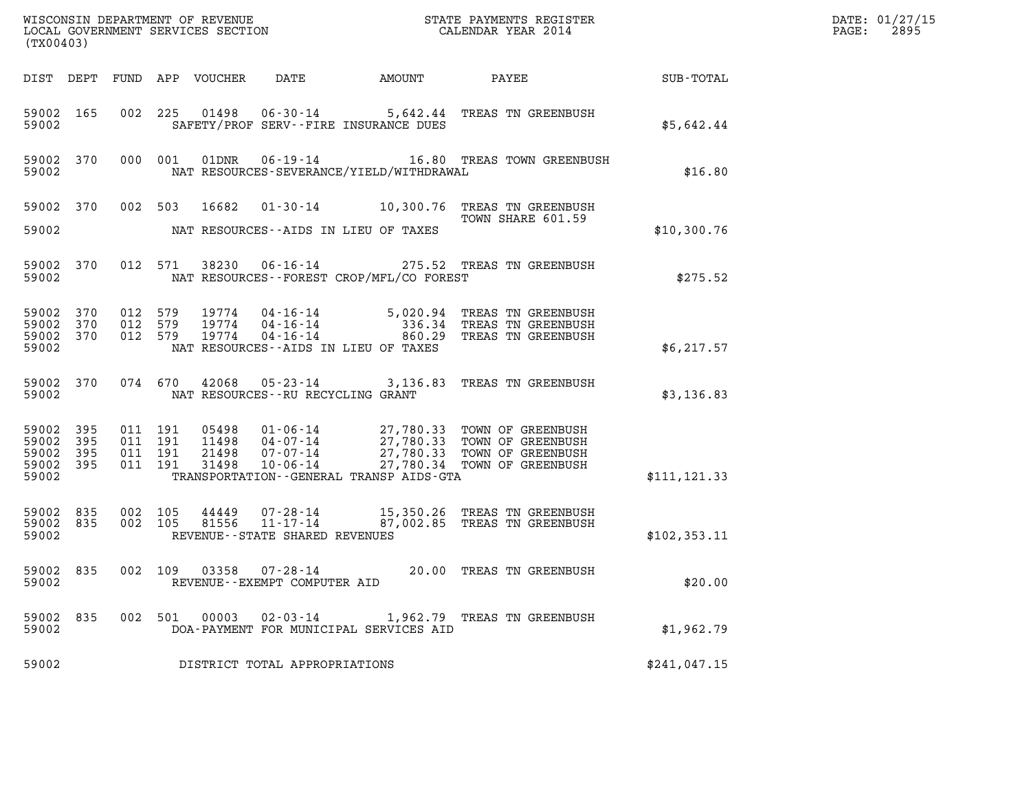| (TX00403)                                             |     |                               |                    |                                  |                                                                 |                                             |                                                                                                                                             | DATE: 01/27/15<br>2895<br>$\mathtt{PAGE:}$ |  |
|-------------------------------------------------------|-----|-------------------------------|--------------------|----------------------------------|-----------------------------------------------------------------|---------------------------------------------|---------------------------------------------------------------------------------------------------------------------------------------------|--------------------------------------------|--|
|                                                       |     |                               |                    | DIST DEPT FUND APP VOUCHER       | DATE                                                            | <b>AMOUNT</b>                               | PAYEE                                                                                                                                       | <b>SUB-TOTAL</b>                           |  |
| 59002 165<br>59002                                    |     |                               |                    |                                  |                                                                 | SAFETY/PROF SERV--FIRE INSURANCE DUES       | 002 225 01498 06-30-14 5,642.44 TREAS TN GREENBUSH                                                                                          | \$5,642.44                                 |  |
| 59002 370<br>59002                                    |     |                               | 000 001            | 01DNR                            |                                                                 | NAT RESOURCES-SEVERANCE/YIELD/WITHDRAWAL    | 06-19-14 16.80 TREAS TOWN GREENBUSH                                                                                                         | \$16.80                                    |  |
|                                                       |     |                               |                    | 59002 370 002 503 16682          |                                                                 |                                             | 01-30-14 10,300.76 TREAS TN GREENBUSH<br>TOWN SHARE 601.59                                                                                  |                                            |  |
| 59002                                                 |     |                               |                    |                                  |                                                                 | NAT RESOURCES--AIDS IN LIEU OF TAXES        |                                                                                                                                             | \$10,300.76                                |  |
| 59002 370<br>59002                                    |     |                               | 012 571            |                                  |                                                                 | NAT RESOURCES - - FOREST CROP/MFL/CO FOREST | 38230  06-16-14  275.52  TREAS TN GREENBUSH                                                                                                 | \$275.52                                   |  |
| 59002 370<br>59002 370<br>59002 370<br>59002          |     | 012 579<br>012 579<br>012 579 |                    |                                  |                                                                 | NAT RESOURCES--AIDS IN LIEU OF TAXES        | 19774  04-16-14  5,020.94  TREAS TN GREENBUSH<br>19774  04-16-14  336.34  TREAS TN GREENBUSH<br>19774  04-16-14  860.29  TREAS TN GREENBUSH | \$6,217.57                                 |  |
| 59002 370<br>59002                                    |     |                               | 074 670            | 42068                            | NAT RESOURCES - - RU RECYCLING GRANT                            |                                             | 05-23-14 3,136.83 TREAS TN GREENBUSH                                                                                                        | \$3,136.83                                 |  |
| 59002 395<br>59002 395<br>59002<br>59002 395<br>59002 | 395 | 011 191<br>011 191            | 011 191<br>011 191 | 05498<br>11498<br>21498<br>31498 | 07-07-14<br>$10 - 06 - 14$                                      | TRANSPORTATION--GENERAL TRANSP AIDS-GTA     | 01-06-14 27,780.33 TOWN OF GREENBUSH<br>04-07-14 27,780.33 TOWN OF GREENBUSH<br>27,780.33 TOWN OF GREENBUSH<br>27,780.34 TOWN OF GREENBUSH  | \$111, 121.33                              |  |
| 59002 835<br>59002 835<br>59002                       |     | 002 105<br>002 105            |                    | 44449<br>81556                   | 07-28-14<br>$11 - 17 - 14$<br>REVENUE - - STATE SHARED REVENUES |                                             | 15,350.26 TREAS TN GREENBUSH<br>87,002.85 TREAS TN GREENBUSH                                                                                | \$102, 353.11                              |  |
| 59002 835<br>59002                                    |     | 002 109                       |                    |                                  | 03358  07-28-14<br>REVENUE--EXEMPT COMPUTER AID                 |                                             | 20.00 TREAS TN GREENBUSH                                                                                                                    | \$20.00                                    |  |
| 59002 835<br>59002                                    |     |                               | 002 501            |                                  |                                                                 | DOA-PAYMENT FOR MUNICIPAL SERVICES AID      | 00003  02-03-14  1,962.79  TREAS TN GREENBUSH                                                                                               | \$1,962.79                                 |  |
| 59002                                                 |     |                               |                    |                                  | DISTRICT TOTAL APPROPRIATIONS                                   |                                             |                                                                                                                                             | \$241,047.15                               |  |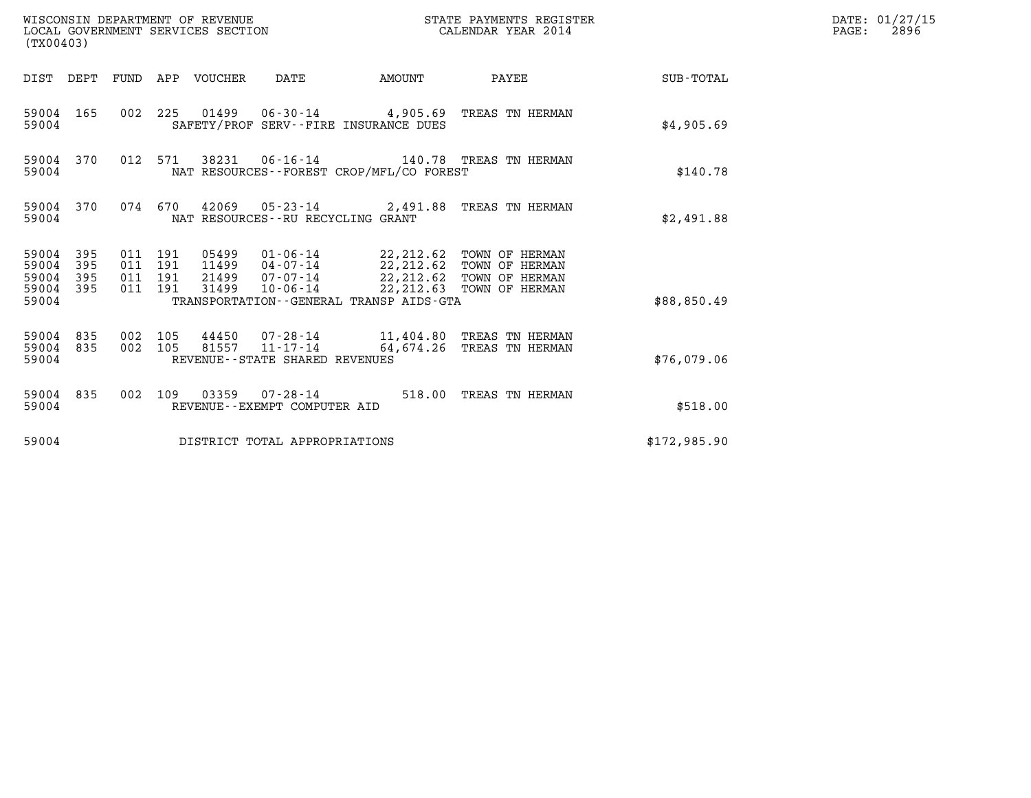| WISCONSIN DEPARTMENT OF REVENUE<br>(TX00403)                       | STATE PAYMENTS REGISTER<br>LOCAL GOVERNMENT SERVICES SECTION<br>CALENDAR YEAR 2014                                                                                                                                                                                                 | DATE: 01/27/15<br>$\mathtt{PAGE:}$<br>2896 |
|--------------------------------------------------------------------|------------------------------------------------------------------------------------------------------------------------------------------------------------------------------------------------------------------------------------------------------------------------------------|--------------------------------------------|
|                                                                    | DIST DEPT FUND APP VOUCHER DATE<br>AMOUNT<br>PAYEE                                                                                                                                                                                                                                 | <b>SUB-TOTAL</b>                           |
| 59004 165<br>59004                                                 | 002 225 01499 06-30-14 4,905.69 TREAS TN HERMAN<br>SAFETY/PROF SERV--FIRE INSURANCE DUES                                                                                                                                                                                           | \$4,905.69                                 |
| 59004 370<br>59004                                                 | 012 571<br>38231  06-16-14  140.78  TREAS TN HERMAN<br>NAT RESOURCES--FOREST CROP/MFL/CO FOREST                                                                                                                                                                                    | \$140.78                                   |
| 59004 370<br>59004                                                 | 074 670 42069 05-23-14 2,491.88 TREAS TN HERMAN<br>NAT RESOURCES - - RU RECYCLING GRANT                                                                                                                                                                                            | \$2,491.88                                 |
| 59004 395<br>59004<br>395<br>59004<br>395<br>59004<br>395<br>59004 | 011 191<br>05499  01-06-14  22,212.62  TOWN OF HERMAN<br>11499  04-07-14  22,212.62  TOWN OF HERMAN<br>011 191<br>21499 07-07-14 22, 212.62 TOWN OF HERMAN<br>011 191<br>011 191<br>31499<br>10-06-14<br>22, 212.63 TOWN OF HERMAN<br>TRANSPORTATION - - GENERAL TRANSP AIDS - GTA | \$88,850.49                                |
| 59004 835<br>59004 835<br>59004                                    | 002 105<br>44450 07-28-14 11,404.80 TREAS TN HERMAN<br>002 105<br>64,674.26 TREAS TN HERMAN<br>REVENUE--STATE SHARED REVENUES                                                                                                                                                      | \$76,079.06                                |
| 59004 835<br>59004                                                 | 002 109 03359 07-28-14 518.00 TREAS TN HERMAN<br>REVENUE--EXEMPT COMPUTER AID                                                                                                                                                                                                      | \$518.00                                   |
| 59004                                                              | DISTRICT TOTAL APPROPRIATIONS                                                                                                                                                                                                                                                      | \$172,985.90                               |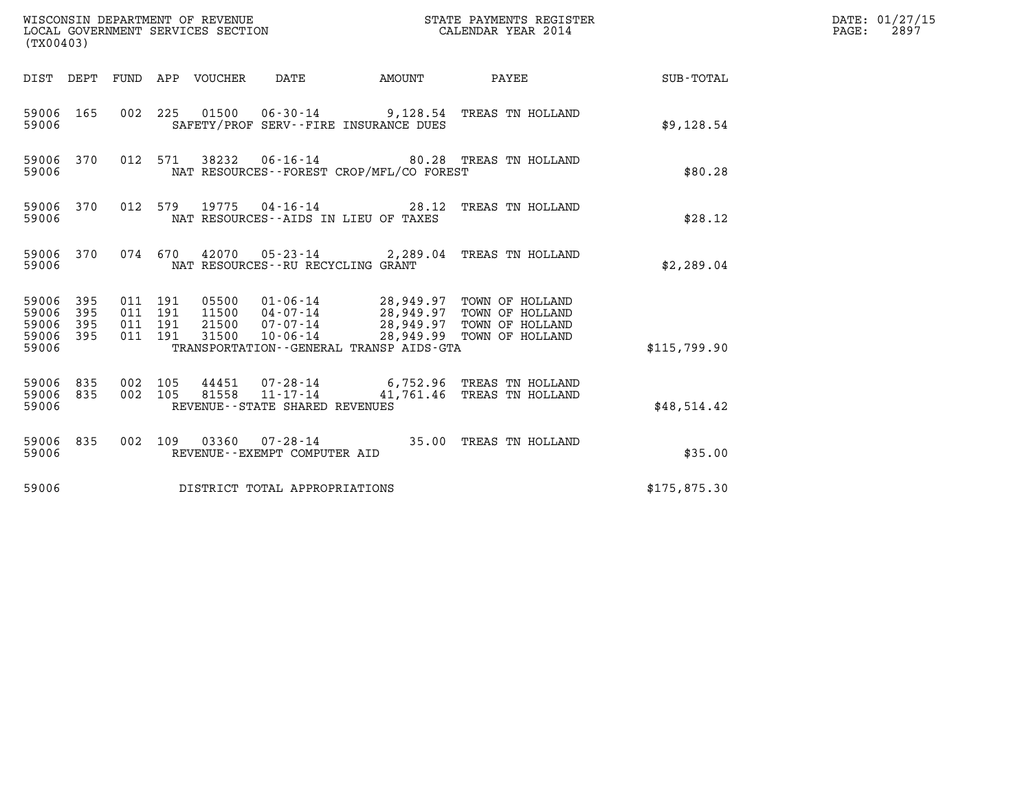| (TX00403)                                         |            |                    |                    |                                  | WISCONSIN DEPARTMENT OF REVENUE<br>LOCAL GOVERNMENT SERVICES SECTION |                                          | STATE PAYMENTS REGISTER<br>CALENDAR YEAR 2014                                                                             |              | DATE: 01/27/15<br>PAGE:<br>2897 |
|---------------------------------------------------|------------|--------------------|--------------------|----------------------------------|----------------------------------------------------------------------|------------------------------------------|---------------------------------------------------------------------------------------------------------------------------|--------------|---------------------------------|
| DIST DEPT                                         |            |                    |                    | FUND APP VOUCHER                 | DATE                                                                 | <b>AMOUNT</b>                            | PAYEE                                                                                                                     | SUB-TOTAL    |                                 |
| 59006 165<br>59006                                |            |                    |                    |                                  | SAFETY/PROF SERV--FIRE INSURANCE DUES                                |                                          | 002 225 01500 06-30-14 9,128.54 TREAS TN HOLLAND                                                                          | \$9,128.54   |                                 |
| 59006 370<br>59006                                |            |                    | 012 571            | 38232                            |                                                                      | NAT RESOURCES--FOREST CROP/MFL/CO FOREST | 06-16-14 80.28 TREAS TN HOLLAND                                                                                           | \$80.28      |                                 |
| 59006 370<br>59006                                |            | 012 579            |                    |                                  | NAT RESOURCES -- AIDS IN LIEU OF TAXES                               |                                          | 19775 04-16-14 28.12 TREAS TN HOLLAND                                                                                     | \$28.12      |                                 |
| 59006 370<br>59006                                |            |                    |                    |                                  | NAT RESOURCES - - RU RECYCLING GRANT                                 |                                          | 074 670 42070 05-23-14 2,289.04 TREAS TN HOLLAND                                                                          | \$2,289.04   |                                 |
| 59006 395<br>59006<br>59006<br>59006 395<br>59006 | 395<br>395 | 011 191<br>011 191 | 011 191<br>011 191 | 05500<br>11500<br>21500<br>31500 | 04-07-14<br>07-07-14<br>$10 - 06 - 14$                               | TRANSPORTATION--GENERAL TRANSP AIDS-GTA  | 01-06-14 28,949.97 TOWN OF HOLLAND<br>28,949.97 TOWN OF HOLLAND<br>28,949.97 TOWN OF HOLLAND<br>28,949.99 TOWN OF HOLLAND | \$115,799.90 |                                 |
| 59006 835<br>59006<br>59006                       | 835        | 002 105<br>002 105 |                    | 44451<br>81558                   | 07-28-14<br>$11 - 17 - 14$<br>REVENUE - - STATE SHARED REVENUES      |                                          | 6,752.96 TREAS TN HOLLAND<br>41,761.46 TREAS TN HOLLAND                                                                   | \$48,514.42  |                                 |
| 59006 835<br>59006                                |            |                    |                    |                                  | REVENUE--EXEMPT COMPUTER AID                                         |                                          | 002 109 03360 07-28-14 35.00 TREAS TN HOLLAND                                                                             | \$35.00      |                                 |
| 59006                                             |            |                    |                    |                                  | DISTRICT TOTAL APPROPRIATIONS                                        |                                          |                                                                                                                           | \$175,875.30 |                                 |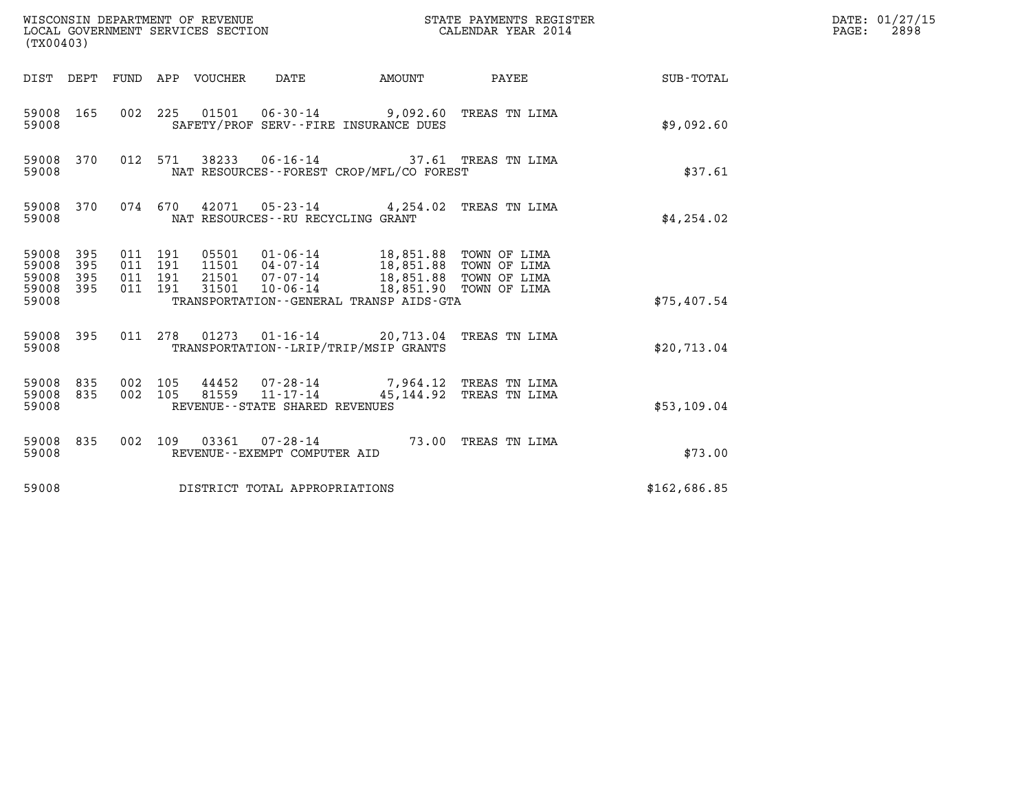| (TX00403)                                 |                          |                                          |         | WISCONSIN DEPARTMENT OF REVENUE<br>LOCAL GOVERNMENT SERVICES SECTION |                                                           |                                                                                                                                                           | STATE PAYMENTS REGISTER<br>CALENDAR YEAR 2014 |              | DATE: 01/27/15<br>$\mathtt{PAGE}$ :<br>2898 |
|-------------------------------------------|--------------------------|------------------------------------------|---------|----------------------------------------------------------------------|-----------------------------------------------------------|-----------------------------------------------------------------------------------------------------------------------------------------------------------|-----------------------------------------------|--------------|---------------------------------------------|
|                                           |                          |                                          |         | DIST DEPT FUND APP VOUCHER DATE                                      |                                                           | <b>AMOUNT</b>                                                                                                                                             | PAYEE                                         | SUB-TOTAL    |                                             |
| 59008 165<br>59008                        |                          |                                          |         |                                                                      |                                                           | 002 225 01501 06-30-14 9,092.60 TREAS TN LIMA<br>SAFETY/PROF SERV--FIRE INSURANCE DUES                                                                    |                                               | \$9,092.60   |                                             |
| 59008 370<br>59008                        |                          |                                          | 012 571 |                                                                      |                                                           | 38233  06-16-14  37.61 TREAS TN LIMA<br>NAT RESOURCES--FOREST CROP/MFL/CO FOREST                                                                          |                                               | \$37.61      |                                             |
| 59008 370<br>59008                        |                          |                                          | 074 670 |                                                                      | NAT RESOURCES--RU RECYCLING GRANT                         | 42071  05-23-14  4,254.02  TREAS TN LIMA                                                                                                                  |                                               | \$4,254.02   |                                             |
| 59008<br>59008<br>59008<br>59008<br>59008 | 395<br>395<br>395<br>395 | 011 191<br>011 191<br>011 191<br>011 191 |         | 21501<br>31501                                                       | 07-07-14<br>10-06-14                                      | 05501  01-06-14  18,851.88  TOWN OF LIMA<br>11501  04-07-14  18,851.88  TOWN OF LIMA<br>18,851.90 TOWN OF LIMA<br>TRANSPORTATION--GENERAL TRANSP AIDS-GTA | 18,851.88 TOWN OF LIMA                        | \$75,407.54  |                                             |
| 59008 395<br>59008                        |                          |                                          |         |                                                                      |                                                           | 011 278 01273 01-16-14 20,713.04 TREAS TN LIMA<br>TRANSPORTATION - - LRIP/TRIP/MSIP GRANTS                                                                |                                               | \$20,713.04  |                                             |
| 59008<br>59008<br>59008                   | 835<br>835               | 002 105<br>002 105                       |         | 44452<br>81559                                                       | 07-28-14<br>11-17-14<br>REVENUE - - STATE SHARED REVENUES | 7,964.12 TREAS TN LIMA<br>45,144.92                                                                                                                       | TREAS TN LIMA                                 | \$53,109.04  |                                             |
| 59008 835<br>59008                        |                          |                                          |         |                                                                      | 002 109 03361 07-28-14<br>REVENUE - - EXEMPT COMPUTER AID |                                                                                                                                                           | 73.00 TREAS TN LIMA                           | \$73.00      |                                             |
| 59008                                     |                          |                                          |         |                                                                      | DISTRICT TOTAL APPROPRIATIONS                             |                                                                                                                                                           |                                               | \$162,686.85 |                                             |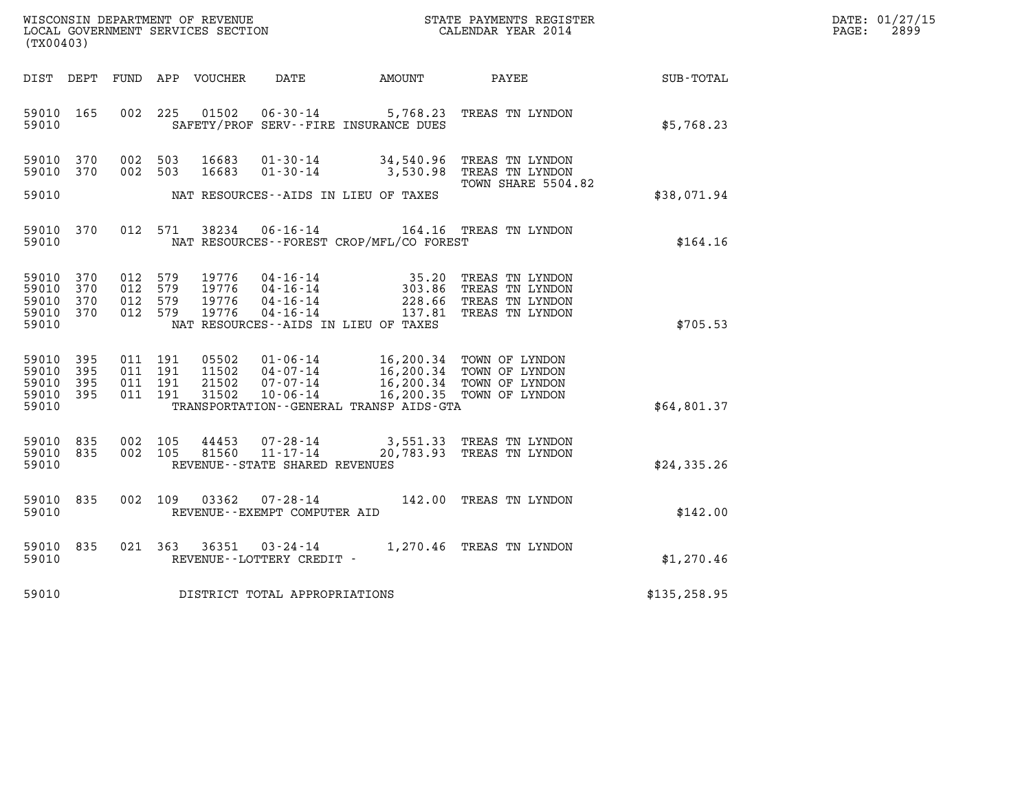| WISCONSIN DEPARTMENT OF REVENUE   | STATE PAYMENTS REGISTER | DATE: 01/27/15 |
|-----------------------------------|-------------------------|----------------|
| LOCAL GOVERNMENT SERVICES SECTION | CALENDAR YEAR 2014      | 2899<br>PAGE:  |

| (TX00403)                                     |                   |                                          |                                  |                                               |                                                                                                                                                                                                                          | WISCONSIN DEPARTMENT OF REVENUE<br>LOCAL GOVERNMENT SERVICES SECTION<br>(TWO 1001 CALENDAR YEAR 2014                                                                                                                                                                                                  |               | DATE: 01/27/15<br>PAGE:<br>2899 |
|-----------------------------------------------|-------------------|------------------------------------------|----------------------------------|-----------------------------------------------|--------------------------------------------------------------------------------------------------------------------------------------------------------------------------------------------------------------------------|-------------------------------------------------------------------------------------------------------------------------------------------------------------------------------------------------------------------------------------------------------------------------------------------------------|---------------|---------------------------------|
|                                               |                   |                                          | DIST DEPT FUND APP VOUCHER       |                                               | DATE AMOUNT                                                                                                                                                                                                              | PAYEE                                                                                                                                                                                                                                                                                                 | SUB-TOTAL     |                                 |
| 59010 165<br>59010                            |                   | 002 225                                  | 01502                            | $06 - 30 - 14$                                | 5,768.23<br>SAFETY/PROF SERV--FIRE INSURANCE DUES                                                                                                                                                                        | TREAS TN LYNDON                                                                                                                                                                                                                                                                                       | \$5,768.23    |                                 |
| 59010 370<br>59010 370                        |                   | 002 503                                  | 16683<br>002 503 16683           | $01 - 30 - 14$<br>$01 - 30 - 14$              | 34,540.96<br>3,530.98                                                                                                                                                                                                    | TREAS TN LYNDON<br>TREAS TN LYNDON<br>TOWN SHARE 5504.82                                                                                                                                                                                                                                              |               |                                 |
| 59010                                         |                   |                                          |                                  |                                               | NAT RESOURCES--AIDS IN LIEU OF TAXES                                                                                                                                                                                     |                                                                                                                                                                                                                                                                                                       | \$38,071.94   |                                 |
| 59010 370<br>59010                            |                   | 012 571                                  | 38234                            |                                               | NAT RESOURCES--FOREST CROP/MFL/CO FOREST                                                                                                                                                                                 | 06-16-14 164.16 TREAS TN LYNDON                                                                                                                                                                                                                                                                       | \$164.16      |                                 |
| 59010<br>59010<br>59010<br>59010 370<br>59010 | 370<br>370<br>370 | 012 579<br>012 579<br>012 579<br>012 579 | 19776<br>19776<br>19776<br>19776 |                                               | $\begin{array}{llll} 04\cdot 16\cdot 14 & 35\cdot 20 \\ 04\cdot 16\cdot 14 & 303\cdot 86 \\ 04\cdot 16\cdot 14 & 228\cdot 66 \\ 04\cdot 16\cdot 14 & 137\cdot 81 \end{array}$<br>NAT RESOURCES - - AIDS IN LIEU OF TAXES | TREAS TN LYNDON<br>TREAS TN LYNDON<br>TREAS TN LYNDON<br>TREAS TN LYNDON                                                                                                                                                                                                                              | \$705.53      |                                 |
| 59010<br>59010<br>59010<br>59010 395<br>59010 | 395<br>395<br>395 | 011 191<br>011 191<br>011 191<br>011 191 | 05502<br>11502<br>21502<br>31502 |                                               | TRANSPORTATION--GENERAL TRANSP AIDS-GTA                                                                                                                                                                                  | $\begin{array}{lllllll} 01\cdot 06\cdot 14 & 16\, , 200\, .34 & \text{TOWN OF LYNDOM} \\ 04\cdot 07\cdot 14 & 16\, , 200\, .34 & \text{TOWN OF LYNDOM} \\ 07\cdot 07\cdot 14 & 16\, , 200\, .34 & \text{TOWN OF LYNDOM} \\ 10\cdot 06\cdot 14 & 16\, , 200\, .35 & \text{TOWN OF LYNDOM} \end{array}$ | \$64,801.37   |                                 |
| 59010<br>59010 835<br>59010                   | 835               | 002 105<br>002 105                       | 44453<br>81560                   | 11-17-14<br>REVENUE - - STATE SHARED REVENUES |                                                                                                                                                                                                                          | 07-28-14 3,551.33 TREAS TN LYNDON<br>20,783.93 TREAS TN LYNDON                                                                                                                                                                                                                                        | \$24,335.26   |                                 |
| 59010<br>59010                                | 835               | 002 109                                  | 03362                            | 07-28-14<br>REVENUE--EXEMPT COMPUTER AID      |                                                                                                                                                                                                                          | 142.00 TREAS TN LYNDON                                                                                                                                                                                                                                                                                | \$142.00      |                                 |
| 59010 835<br>59010                            |                   |                                          | 021 363 36351                    | REVENUE--LOTTERY CREDIT -                     |                                                                                                                                                                                                                          | 03-24-14 1,270.46 TREAS TN LYNDON                                                                                                                                                                                                                                                                     | \$1,270.46    |                                 |
| 59010                                         |                   |                                          |                                  | DISTRICT TOTAL APPROPRIATIONS                 |                                                                                                                                                                                                                          |                                                                                                                                                                                                                                                                                                       | \$135, 258.95 |                                 |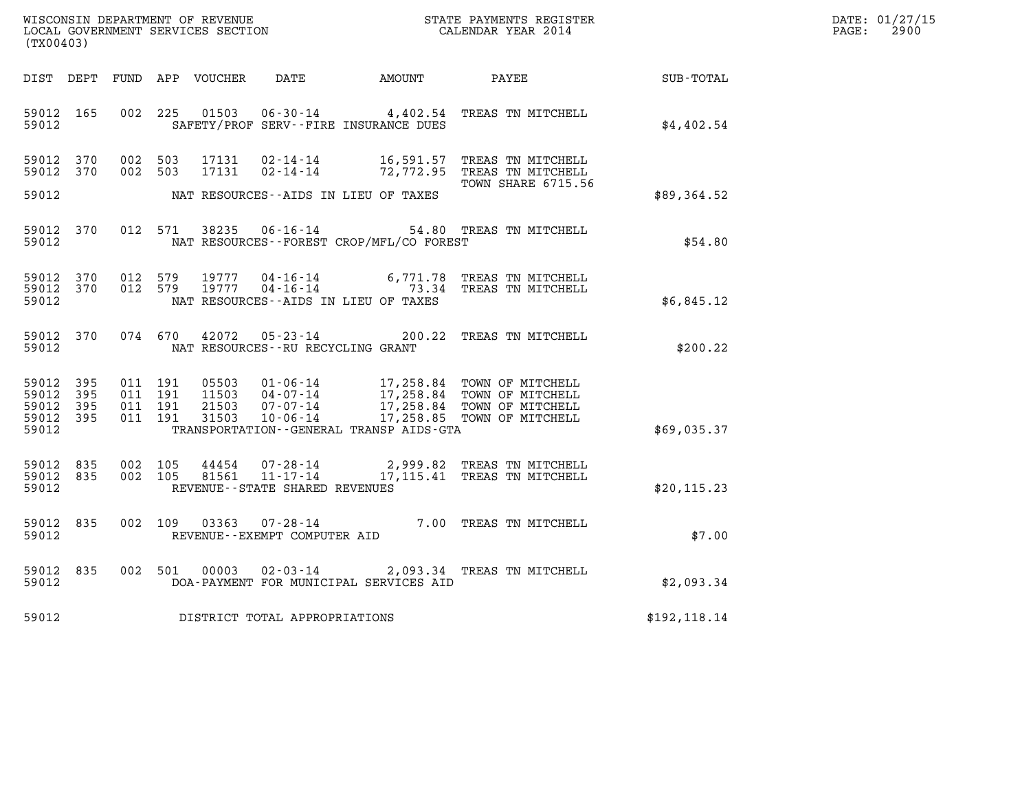| WISCONSIN DEPARTMENT OF REVENUE   | STATE PAYMENTS REGISTER | DATE: 01/27/15 |
|-----------------------------------|-------------------------|----------------|
| LOCAL GOVERNMENT SERVICES SECTION | CALENDAR YEAR 2014      | 2900<br>PAGE:  |

| (TX00403)                                 |                          |                          |                          | WISCONSIN DEPARTMENT OF REVENUE<br>LOCAL GOVERNMENT SERVICES SECTION |                                                                                                                 |                        | STATE PAYMENTS REGISTER<br>CALENDAR YEAR 2014                                                              |                  |
|-------------------------------------------|--------------------------|--------------------------|--------------------------|----------------------------------------------------------------------|-----------------------------------------------------------------------------------------------------------------|------------------------|------------------------------------------------------------------------------------------------------------|------------------|
| DIST                                      | DEPT                     | FUND                     | APP                      | VOUCHER                                                              | DATE                                                                                                            | AMOUNT                 | PAYEE                                                                                                      | <b>SUB-TOTAL</b> |
| 59012<br>59012                            | 165                      | 002                      | 225                      | 01503                                                                | $06 - 30 - 14$<br>SAFETY/PROF SERV--FIRE INSURANCE DUES                                                         | 4,402.54               | TREAS TN MITCHELL                                                                                          | \$4,402.54       |
| 59012<br>59012                            | 370<br>370               | 002<br>002               | 503<br>503               | 17131<br>17131                                                       | $02 - 14 - 14$<br>$02 - 14 - 14$                                                                                | 16,591.57<br>72,772.95 | TREAS TN MITCHELL<br>TREAS TN MITCHELL<br><b>TOWN SHARE 6715.56</b>                                        |                  |
| 59012                                     |                          |                          |                          |                                                                      | NAT RESOURCES--AIDS IN LIEU OF TAXES                                                                            |                        |                                                                                                            | \$89,364.52      |
| 59012<br>59012                            | 370                      | 012                      | 571                      | 38235                                                                | 06-16-14<br>NAT RESOURCES - - FOREST CROP/MFL/CO FOREST                                                         |                        | 54.80 TREAS TN MITCHELL                                                                                    | \$54.80          |
| 59012<br>59012<br>59012                   | 370<br>370               | 012<br>012               | 579<br>579               | 19777<br>19777                                                       | $04 - 16 - 14$<br>$04 - 16 - 14$<br>NAT RESOURCES -- AIDS IN LIEU OF TAXES                                      | 6,771.78<br>73.34      | TREAS TN MITCHELL<br>TREAS TN MITCHELL                                                                     | \$6,845.12       |
| 59012<br>59012                            | 370                      | 074                      | 670                      | 42072                                                                | $05 - 23 - 14$<br>NAT RESOURCES - - RU RECYCLING GRANT                                                          | 200.22                 | TREAS TN MITCHELL                                                                                          | \$200.22         |
| 59012<br>59012<br>59012<br>59012<br>59012 | 395<br>395<br>395<br>395 | 011<br>011<br>011<br>011 | 191<br>191<br>191<br>191 | 05503<br>11503<br>21503<br>31503                                     | $01 - 06 - 14$<br>$04 - 07 - 14$<br>$07 - 07 - 14$<br>$10 - 06 - 14$<br>TRANSPORTATION--GENERAL TRANSP AIDS-GTA | 17,258.85              | 17,258.84 TOWN OF MITCHELL<br>17,258.84 TOWN OF MITCHELL<br>17,258.84 TOWN OF MITCHELL<br>TOWN OF MITCHELL | \$69,035.37      |
| 59012<br>59012<br>59012                   | 835<br>835               | 002<br>002               | 105<br>105               | 44454<br>81561                                                       | $07 - 28 - 14$<br>$11 - 17 - 14$<br>REVENUE - - STATE SHARED REVENUES                                           | 2,999.82               | TREAS TN MITCHELL<br>17,115.41 TREAS TN MITCHELL                                                           | \$20, 115.23     |
| 59012<br>59012                            | 835                      | 002                      | 109                      | 03363                                                                | $07 - 28 - 14$<br>REVENUE--EXEMPT COMPUTER AID                                                                  |                        | 7.00 TREAS TN MITCHELL                                                                                     | \$7.00           |
| 59012<br>59012                            | 835                      | 002                      | 501                      | 00003                                                                | $02 - 03 - 14$<br>DOA-PAYMENT FOR MUNICIPAL SERVICES AID                                                        |                        | 2,093.34 TREAS TN MITCHELL                                                                                 | \$2,093.34       |
| 59012                                     |                          |                          |                          |                                                                      | DISTRICT TOTAL APPROPRIATIONS                                                                                   |                        |                                                                                                            | \$192, 118.14    |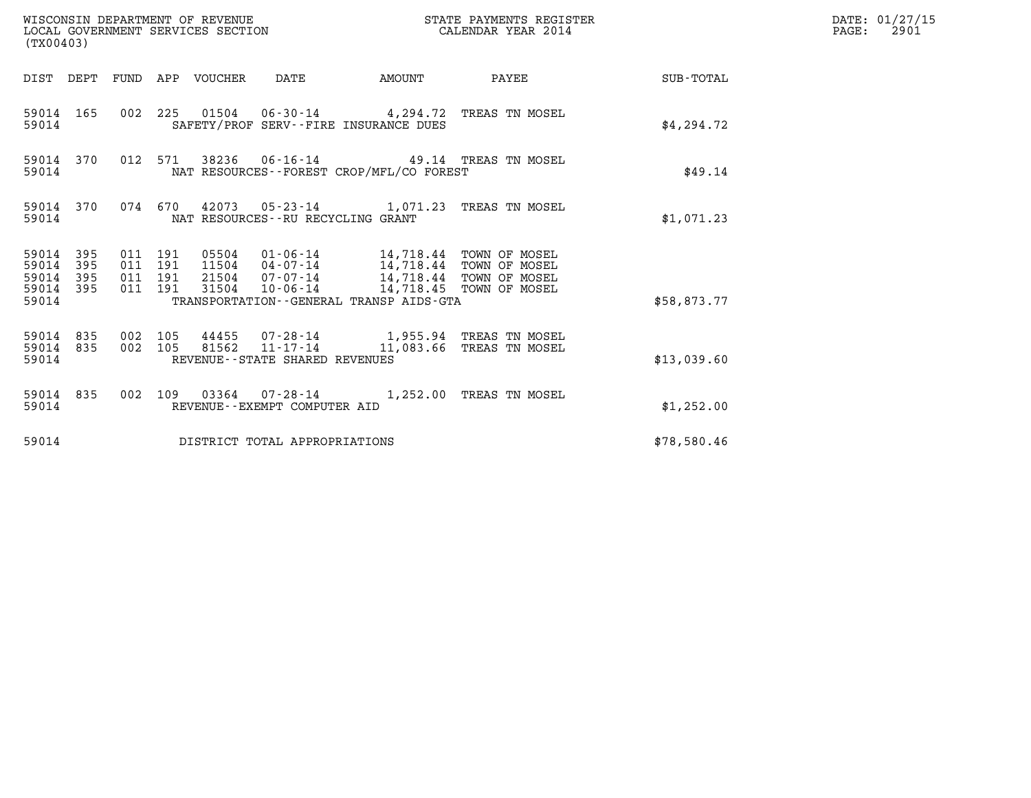| WISCONSIN DEPARTMENT OF REVENUE<br>WISCONSIN DEPARTMENT OF REVENUE<br>LOCAL GOVERNMENT SERVICES SECTION<br>(TX00403) |            |                                          |         |                                 |                                                  |                                                                                                                                                                                                                   | STATE PAYMENTS REGISTER<br>CALENDAR YEAR 2014                      |             | DATE: 01/27/15<br>$\mathtt{PAGE:}$<br>2901 |
|----------------------------------------------------------------------------------------------------------------------|------------|------------------------------------------|---------|---------------------------------|--------------------------------------------------|-------------------------------------------------------------------------------------------------------------------------------------------------------------------------------------------------------------------|--------------------------------------------------------------------|-------------|--------------------------------------------|
|                                                                                                                      |            |                                          |         | DIST DEPT FUND APP VOUCHER DATE |                                                  |                                                                                                                                                                                                                   | AMOUNT PAYEE SUB-TOTAL                                             |             |                                            |
| 59014                                                                                                                | 59014 165  |                                          |         |                                 |                                                  | SAFETY/PROF SERV--FIRE INSURANCE DUES                                                                                                                                                                             | 002 225 01504 06-30-14 4,294.72 TREAS TN MOSEL                     | \$4,294.72  |                                            |
| 59014                                                                                                                | 59014 370  |                                          |         |                                 |                                                  | NAT RESOURCES--FOREST CROP/MFL/CO FOREST                                                                                                                                                                          | 012 571 38236 06-16-14 49.14 TREAS TN MOSEL                        | \$49.14     |                                            |
| 59014                                                                                                                | 59014 370  |                                          |         |                                 | NAT RESOURCES--RU RECYCLING GRANT                |                                                                                                                                                                                                                   | 074 670 42073 05-23-14 1,071.23 TREAS TN MOSEL                     | \$1,071.23  |                                            |
| 59014 395<br>59014<br>59014<br>59014 395<br>59014                                                                    | 395<br>395 | 011 191<br>011 191<br>011 191<br>011 191 |         | 31504                           |                                                  | 05504  01-06-14  14,718.44  TOWN OF MOSEL<br>11504  04-07-14  14,718.44  TOWN OF MOSEL<br>21504  07-07-14  14,718.44 TOWN OF MOSEL<br>10-06-14 14,718.45 TOWN OF MOSEL<br>TRANSPORTATION--GENERAL TRANSP AIDS-GTA |                                                                    | \$58,873.77 |                                            |
| 59014 835<br>59014                                                                                                   | 59014 835  | 002 105                                  | 002 105 |                                 | 81562 11-17-14<br>REVENUE--STATE SHARED REVENUES |                                                                                                                                                                                                                   | 44455 07-28-14 1,955.94 TREAS TN MOSEL<br>11,083.66 TREAS TN MOSEL | \$13,039.60 |                                            |
| 59014                                                                                                                | 59014 835  |                                          |         |                                 | REVENUE--EXEMPT COMPUTER AID                     |                                                                                                                                                                                                                   | 002 109 03364 07-28-14 1,252.00 TREAS TN MOSEL                     | \$1,252.00  |                                            |
| 59014                                                                                                                |            |                                          |         |                                 | DISTRICT TOTAL APPROPRIATIONS                    |                                                                                                                                                                                                                   |                                                                    | \$78,580.46 |                                            |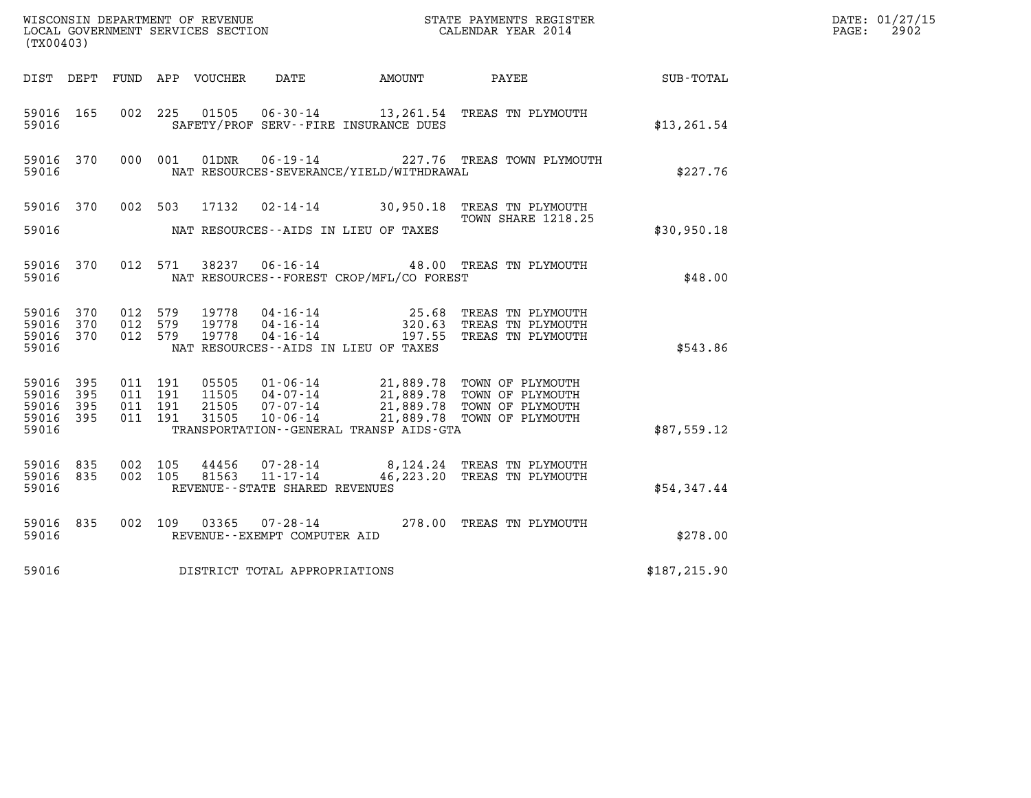| (TX00403)                                 |                            |                                          |         |                                  |                                                        |                                                                    |                                                                                                                               |               | DATE: 01/27/15<br>$\mathtt{PAGE}$ :<br>2902 |
|-------------------------------------------|----------------------------|------------------------------------------|---------|----------------------------------|--------------------------------------------------------|--------------------------------------------------------------------|-------------------------------------------------------------------------------------------------------------------------------|---------------|---------------------------------------------|
|                                           |                            |                                          |         | DIST DEPT FUND APP VOUCHER       | DATE                                                   | AMOUNT                                                             | PAYEE                                                                                                                         | SUB-TOTAL     |                                             |
| 59016 165<br>59016                        |                            | 002 225                                  |         | 01505                            |                                                        | SAFETY/PROF SERV--FIRE INSURANCE DUES                              | 06-30-14 13,261.54 TREAS TN PLYMOUTH                                                                                          | \$13, 261.54  |                                             |
| 59016 370<br>59016                        |                            |                                          | 000 001 |                                  | 01DNR 06-19-14                                         | NAT RESOURCES-SEVERANCE/YIELD/WITHDRAWAL                           | 227.76 TREAS TOWN PLYMOUTH                                                                                                    | \$227.76      |                                             |
| 59016 370<br>59016                        |                            |                                          | 002 503 |                                  |                                                        | NAT RESOURCES--AIDS IN LIEU OF TAXES                               | 17132  02-14-14  30,950.18  TREAS TN PLYMOUTH<br>TOWN SHARE 1218.25                                                           | \$30,950.18   |                                             |
|                                           |                            |                                          |         |                                  |                                                        |                                                                    |                                                                                                                               |               |                                             |
| 59016 370<br>59016                        |                            | 012 571                                  |         |                                  |                                                        | NAT RESOURCES - - FOREST CROP/MFL/CO FOREST                        | 38237  06-16-14  48.00 TREAS TN PLYMOUTH                                                                                      | \$48.00       |                                             |
| 59016 370<br>59016<br>59016<br>59016      | 370<br>370                 | 012 579<br>012 579<br>012 579            |         | 19778<br>19778<br>19778          | $04 - 16 - 14$<br>$04 - 16 - 14$<br>04-16-14           | 25.68<br>320.63<br>197.55<br>NAT RESOURCES - AIDS IN LIEU OF TAXES | TREAS TN PLYMOUTH<br>TREAS TN PLYMOUTH<br>TREAS TN PLYMOUTH                                                                   | \$543.86      |                                             |
| 59016<br>59016<br>59016<br>59016<br>59016 | - 395<br>395<br>395<br>395 | 011 191<br>011 191<br>011 191<br>011 191 |         | 05505<br>11505<br>21505<br>31505 | 04-07-14<br>07-07-14<br>$10 - 06 - 14$                 | TRANSPORTATION - - GENERAL TRANSP AIDS - GTA                       | 01-06-14 21,889.78 TOWN OF PLYMOUTH<br>21,889.78 TOWN OF PLYMOUTH<br>21,889.78 TOWN OF PLYMOUTH<br>21,889.78 TOWN OF PLYMOUTH | \$87,559.12   |                                             |
| 59016<br>59016<br>59016                   | 835<br>835                 | 002 105<br>002 105                       |         | 44456<br>81563                   | 07-28-14<br>11-17-14<br>REVENUE--STATE SHARED REVENUES |                                                                    | 8,124.24 TREAS TN PLYMOUTH<br>46,223.20 TREAS TN PLYMOUTH                                                                     | \$54,347.44   |                                             |
| 59016 835<br>59016                        |                            |                                          | 002 109 | 03365                            | $07 - 28 - 14$<br>REVENUE--EXEMPT COMPUTER AID         |                                                                    | 278.00 TREAS TN PLYMOUTH                                                                                                      | \$278.00      |                                             |
| 59016                                     |                            |                                          |         |                                  | DISTRICT TOTAL APPROPRIATIONS                          |                                                                    |                                                                                                                               | \$187, 215.90 |                                             |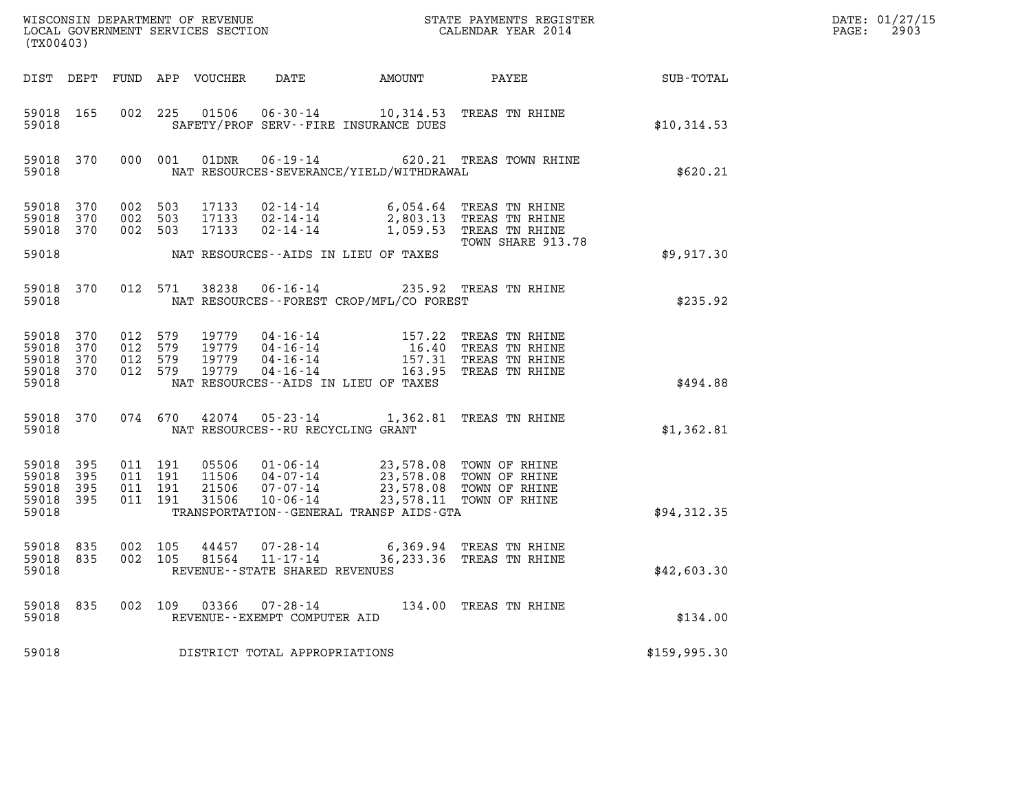| (TX00403)                                 |                           |                                          |         |                                  |                                                                      |                                                                                     |                                                                                                             |              | DATE: 01/27/15<br>2903<br>PAGE: |
|-------------------------------------------|---------------------------|------------------------------------------|---------|----------------------------------|----------------------------------------------------------------------|-------------------------------------------------------------------------------------|-------------------------------------------------------------------------------------------------------------|--------------|---------------------------------|
| DIST DEPT                                 |                           |                                          |         | FUND APP VOUCHER                 | DATE                                                                 | AMOUNT                                                                              | PAYEE                                                                                                       | SUB-TOTAL    |                                 |
| 59018 165<br>59018                        |                           | 002                                      | 225     |                                  |                                                                      | 01506  06-30-14  10,314.53  TREAS TN RHINE<br>SAFETY/PROF SERV--FIRE INSURANCE DUES |                                                                                                             | \$10,314.53  |                                 |
| 59018 370<br>59018                        |                           | 000 001                                  |         | 01DNR                            | $06 - 19 - 14$                                                       | NAT RESOURCES-SEVERANCE/YIELD/WITHDRAWAL                                            | 620.21 TREAS TOWN RHINE                                                                                     | \$620.21     |                                 |
| 59018<br>59018<br>59018                   | 370<br>370<br>370         | 002 503<br>002 503<br>002 503            |         | 17133<br>17133<br>17133          | 02-14-14<br>02-14-14                                                 |                                                                                     | 02-14-14 6,054.64 TREAS TN RHINE<br>2,803.13 TREAS TN RHINE<br>1,059.53 TREAS TN RHINE<br>TOWN SHARE 913.78 |              |                                 |
| 59018                                     |                           |                                          |         |                                  |                                                                      | NAT RESOURCES--AIDS IN LIEU OF TAXES                                                |                                                                                                             | \$9,917.30   |                                 |
| 59018 370<br>59018                        |                           | 012 571                                  |         | 38238                            | $06 - 16 - 14$                                                       | NAT RESOURCES--FOREST CROP/MFL/CO FOREST                                            | 235.92 TREAS TN RHINE                                                                                       | \$235.92     |                                 |
| 59018<br>59018<br>59018<br>59018<br>59018 | 370<br>370<br>370<br>370  | 012<br>012 579<br>012 579<br>012 579     | 579     | 19779<br>19779<br>19779<br>19779 | $04 - 16 - 14$<br>$04 - 16 - 14$<br>$04 - 16 - 14$<br>$04 - 16 - 14$ | 157.22<br>16.40<br>157.31<br>163.95<br>NAT RESOURCES--AIDS IN LIEU OF TAXES         | TREAS TN RHINE<br>TREAS TN RHINE<br>TREAS TN RHINE<br>TREAS TN RHINE                                        | \$494.88     |                                 |
| 59018 370<br>59018                        |                           |                                          | 074 670 |                                  | NAT RESOURCES -- RU RECYCLING GRANT                                  | 42074  05-23-14  1,362.81  TREAS TN RHINE                                           |                                                                                                             | \$1,362.81   |                                 |
| 59018<br>59018<br>59018<br>59018<br>59018 | 395<br>395<br>395<br>-395 | 011 191<br>011 191<br>011 191<br>011 191 |         | 05506<br>11506<br>21506<br>31506 | 01-06-14<br>04-07-14<br>07-07-14<br>$10 - 06 - 14$                   | 23,578.08 TOWN OF RHINE<br>TRANSPORTATION--GENERAL TRANSP AIDS-GTA                  | 23,578.08 TOWN OF RHINE<br>23,578.08 TOWN OF RHINE<br>23,578.11 TOWN OF RHINE                               | \$94,312.35  |                                 |
| 59018<br>59018<br>59018                   | 835<br>835                | 002 105<br>002 105                       |         | 44457<br>81564                   | 07-28-14<br>$11 - 17 - 14$<br>REVENUE - - STATE SHARED REVENUES      |                                                                                     | 6,369.94 TREAS TN RHINE<br>36,233.36 TREAS TN RHINE                                                         | \$42,603.30  |                                 |
| 59018 835<br>59018                        |                           |                                          |         |                                  | 002 109 03366 07-28-14<br>REVENUE--EXEMPT COMPUTER AID               |                                                                                     | 134.00 TREAS TN RHINE                                                                                       | \$134.00     |                                 |
| 59018                                     |                           |                                          |         |                                  | DISTRICT TOTAL APPROPRIATIONS                                        |                                                                                     |                                                                                                             | \$159,995.30 |                                 |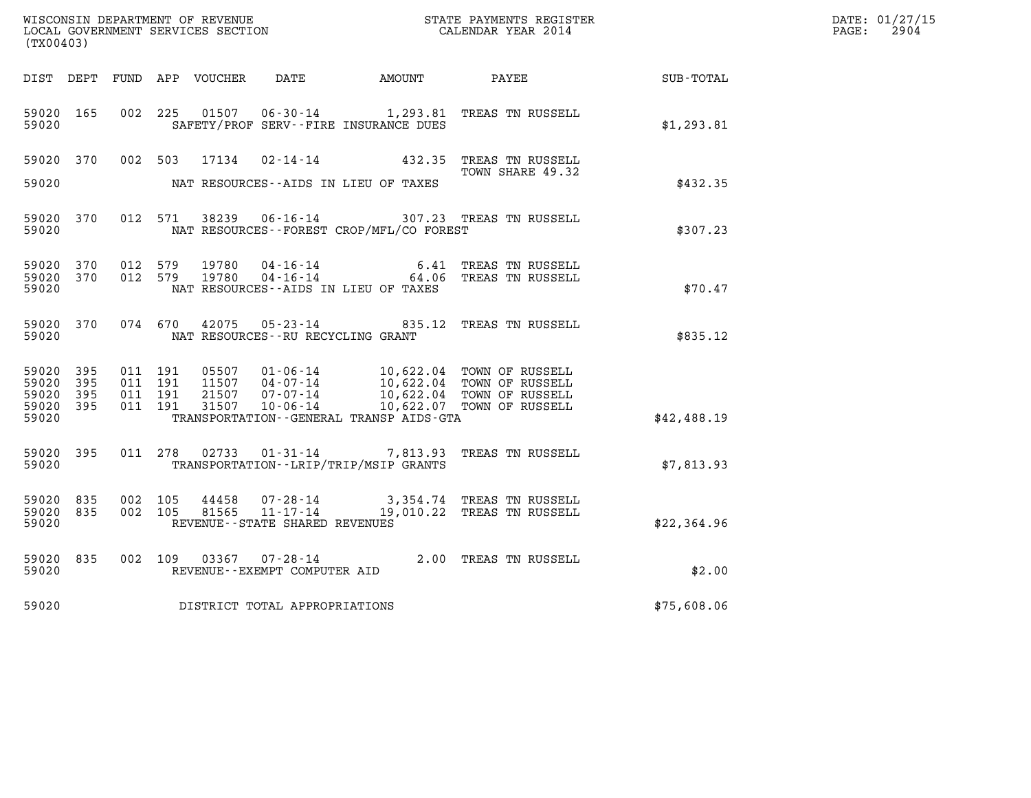| (TX00403)                                     |                     |                               |                    |                                   |                                              |                                                                                                                                                                              |                  | DATE: 01/27/15<br>$\mathtt{PAGE:}$<br>2904 |
|-----------------------------------------------|---------------------|-------------------------------|--------------------|-----------------------------------|----------------------------------------------|------------------------------------------------------------------------------------------------------------------------------------------------------------------------------|------------------|--------------------------------------------|
|                                               |                     |                               |                    |                                   |                                              |                                                                                                                                                                              | <b>SUB-TOTAL</b> |                                            |
| 59020 165<br>59020                            |                     |                               | 002 225            |                                   | SAFETY/PROF SERV--FIRE INSURANCE DUES        | 01507  06-30-14   1,293.81  TREAS TN RUSSELL                                                                                                                                 | \$1,293.81       |                                            |
|                                               |                     |                               |                    |                                   |                                              | 59020 370 002 503 17134 02-14-14 432.35 TREAS TN RUSSELL<br>TOWN SHARE 49.32                                                                                                 |                  |                                            |
| 59020                                         |                     |                               |                    |                                   | NAT RESOURCES--AIDS IN LIEU OF TAXES         |                                                                                                                                                                              | \$432.35         |                                            |
| 59020                                         | 59020 370           |                               |                    |                                   | NAT RESOURCES - - FOREST CROP/MFL/CO FOREST  | 012 571 38239 06-16-14 307.23 TREAS TN RUSSELL                                                                                                                               | \$307.23         |                                            |
| 59020 370<br>59020 370<br>59020               |                     |                               |                    |                                   | NAT RESOURCES--AIDS IN LIEU OF TAXES         | 012 579 19780 04-16-14 6.41 TREAS TN RUSSELL 012 579 19780 04-16-14 64.06 TREAS TN RUSSELL                                                                                   | \$70.47          |                                            |
| 59020                                         | 59020 370           |                               |                    | NAT RESOURCES--RU RECYCLING GRANT |                                              | 074 670 42075 05-23-14 835.12 TREAS TN RUSSELL                                                                                                                               | \$835.12         |                                            |
| 59020 395<br>59020<br>59020<br>59020<br>59020 | 395<br>395<br>- 395 | 011 191<br>011 191<br>011 191 | 011 191            |                                   | TRANSPORTATION - - GENERAL TRANSP AIDS - GTA | 05507 01-06-14 10,622.04 TOWN OF RUSSELL<br>11507 04-07-14 10,622.04 TOWN OF RUSSELL<br>21507 07-07-14 10,622.04 TOWN OF RUSSELL<br>31507 10-06-14 10,622.07 TOWN OF RUSSELL | \$42,488.19      |                                            |
| 59020 395<br>59020                            |                     |                               |                    |                                   | TRANSPORTATION - - LRIP/TRIP/MSIP GRANTS     | 011 278 02733 01-31-14 7,813.93 TREAS TN RUSSELL                                                                                                                             | \$7,813.93       |                                            |
| 59020 835<br>59020 835<br>59020               |                     |                               | 002 105<br>002 105 | REVENUE--STATE SHARED REVENUES    |                                              | 44458  07-28-14  3,354.74  TREAS TN RUSSELL<br>81565  11-17-14   19,010.22  TREAS TN RUSSELL                                                                                 | \$22,364.96      |                                            |
| 59020                                         | 59020 835           |                               |                    | REVENUE--EXEMPT COMPUTER AID      |                                              | 002 109 03367 07-28-14 2.00 TREAS TN RUSSELL                                                                                                                                 | \$2.00           |                                            |
| 59020                                         |                     |                               |                    | DISTRICT TOTAL APPROPRIATIONS     |                                              |                                                                                                                                                                              | \$75,608.06      |                                            |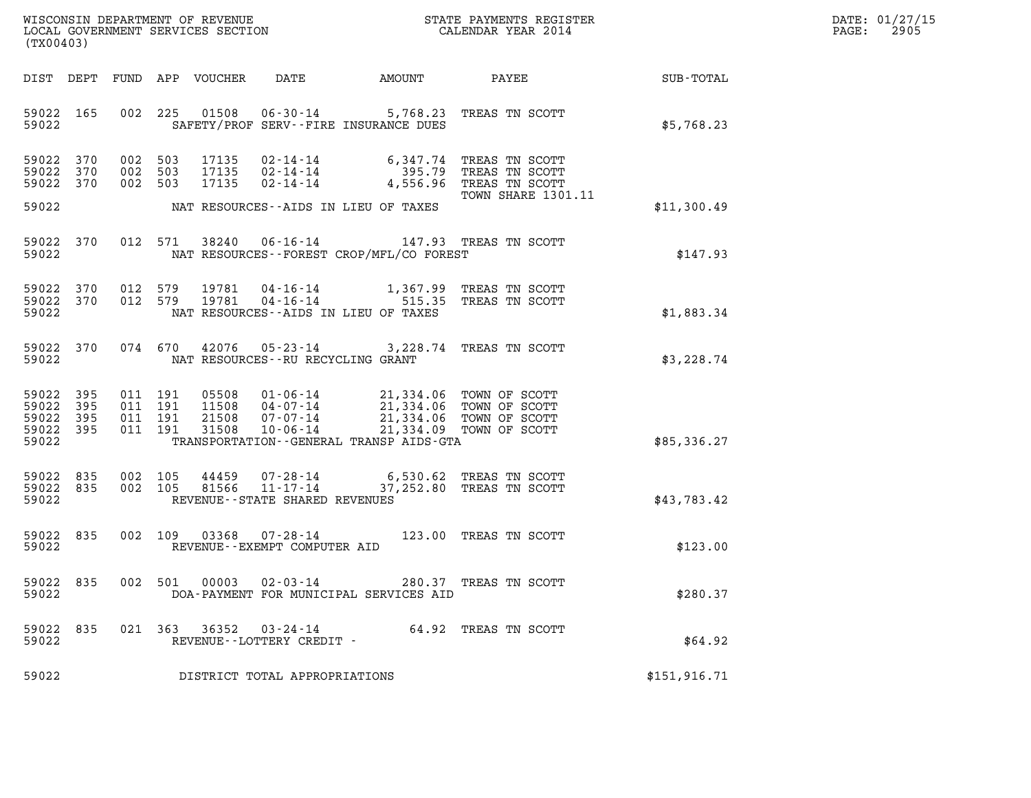| DATE: | 01/27/15 |
|-------|----------|
| PAGE: | 2905     |

| (TX00403)                                                |     |                                                                     |                                                                                                                                                                                                                                                          |                         |               | DATE: 01/27/15<br>2905<br>$\mathtt{PAGE:}$ |
|----------------------------------------------------------|-----|---------------------------------------------------------------------|----------------------------------------------------------------------------------------------------------------------------------------------------------------------------------------------------------------------------------------------------------|-------------------------|---------------|--------------------------------------------|
|                                                          |     | DIST DEPT FUND APP VOUCHER DATE                                     |                                                                                                                                                                                                                                                          |                         |               |                                            |
| 59022 165<br>59022                                       |     |                                                                     | 002 225 01508 06-30-14 5,768.23 TREAS TN SCOTT<br>SAFETY/PROF SERV--FIRE INSURANCE DUES                                                                                                                                                                  |                         | \$5,768.23    |                                            |
| 59022 370<br>59022<br>370<br>59022 370                   |     | 002 503<br>002 503<br>002 503<br>17135                              | $17135 \t 02-14-14 \t 6,347.74 \t TREAS TN SCOTT17135 \t 02-14-14 \t 395.79 TREAS TN SCOTT$<br>$02 - 14 - 14$                                                                                                                                            | 4,556.96 TREAS TN SCOTT |               |                                            |
| 59022                                                    |     | NAT RESOURCES--AIDS IN LIEU OF TAXES                                |                                                                                                                                                                                                                                                          | TOWN SHARE 1301.11      | \$11,300.49   |                                            |
| 59022 370<br>59022                                       |     |                                                                     | 012 571 38240 06-16-14 147.93 TREAS TN SCOTT<br>NAT RESOURCES--FOREST CROP/MFL/CO FOREST                                                                                                                                                                 |                         | \$147.93      |                                            |
| 59022 370<br>59022 370<br>59022                          |     |                                                                     | $\begin{array}{cccccc} 012 & 579 & 19781 & 04\texttt{-}16\texttt{-}14 & & 1,367.99 & \texttt{TREAS TN SCOTT} \\ 012 & 579 & 19781 & 04\texttt{-}16\texttt{-}14 & & 515.35 & \texttt{TREAS TN SCOTT} \end{array}$<br>NAT RESOURCES--AIDS IN LIEU OF TAXES |                         | \$1,883.34    |                                            |
| 59022 370<br>59022                                       |     | NAT RESOURCES--RU RECYCLING GRANT                                   | 074 670 42076 05-23-14 3,228.74 TREAS TN SCOTT                                                                                                                                                                                                           |                         | \$3,228.74    |                                            |
| 59022 395<br>59022<br>59022<br>395<br>59022 395<br>59022 | 395 | 011 191<br>011 191<br>011 191<br>011 191<br>31508                   | 05508  01-06-14  21,334.06  TOWN OF SCOTT<br>11508  04-07-14  21,334.06  TOWN OF SCOTT<br>21508  07-07-14  21,334.06  TOWN OF SCOTT<br>$10 - 06 - 14$<br>TRANSPORTATION--GENERAL TRANSP AIDS-GTA                                                         | 21,334.09 TOWN OF SCOTT | \$85,336.27   |                                            |
| 59022 835<br>59022 835<br>59022                          |     | 002 105<br>44459<br>002 105 81566<br>REVENUE--STATE SHARED REVENUES | 07-28-14 6,530.62 TREAS TN SCOTT<br>11-17-14 37,252.80 TREAS TN SCOTT                                                                                                                                                                                    |                         | \$43,783.42   |                                            |
| 59022 835<br>59022                                       |     | REVENUE--EXEMPT COMPUTER AID                                        | 002 109 03368 07-28-14 123.00 TREAS TN SCOTT                                                                                                                                                                                                             |                         | \$123.00      |                                            |
| 59022 835<br>59022                                       |     | 002 501 00003<br>02-03-14                                           | DOA-PAYMENT FOR MUNICIPAL SERVICES AID                                                                                                                                                                                                                   | 280.37 TREAS TN SCOTT   | \$280.37      |                                            |
| 59022<br>59022                                           | 835 | 021 363 36352 03-24-14<br>REVENUE--LOTTERY CREDIT -                 |                                                                                                                                                                                                                                                          | 64.92 TREAS TN SCOTT    | \$64.92       |                                            |
| 59022                                                    |     | DISTRICT TOTAL APPROPRIATIONS                                       |                                                                                                                                                                                                                                                          |                         | \$151, 916.71 |                                            |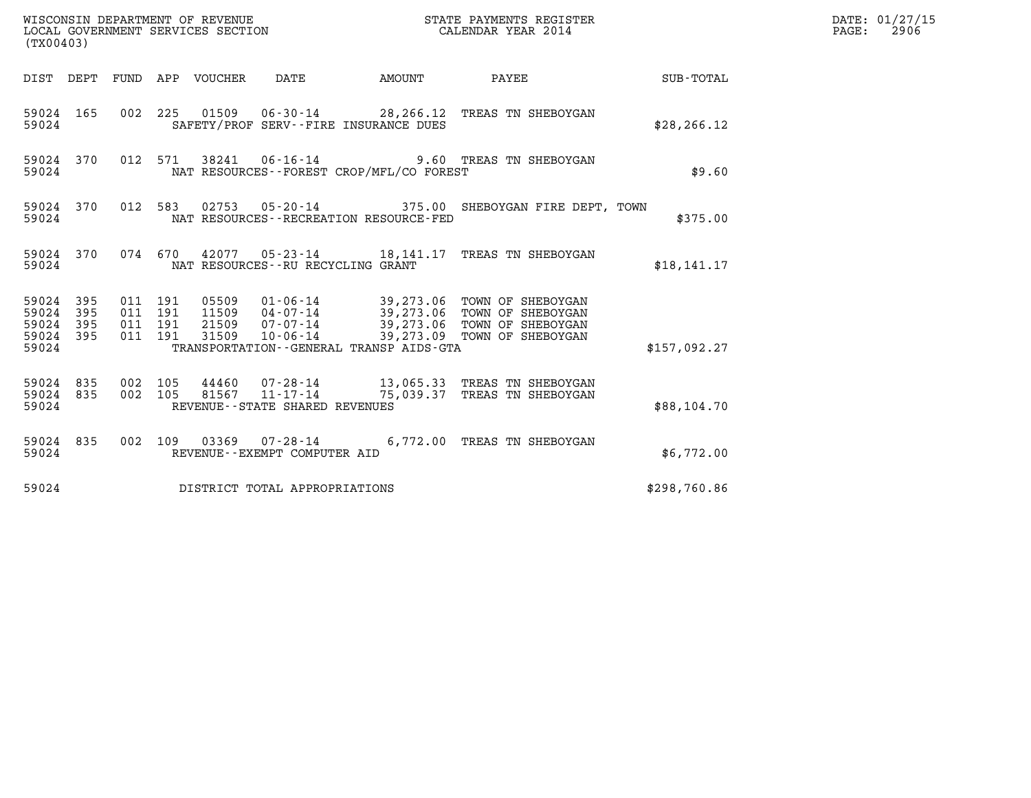| (TX00403)                                                                                                   | WISCONSIN DEPARTMENT OF REVENUE<br>LOCAL GOVERNMENT SERVICES SECTION                                            | STATE PAYMENTS REGISTER<br>CALENDAR YEAR 2014                                                                                               |              | DATE: 01/27/15<br>$\mathtt{PAGE}$ :<br>2906 |
|-------------------------------------------------------------------------------------------------------------|-----------------------------------------------------------------------------------------------------------------|---------------------------------------------------------------------------------------------------------------------------------------------|--------------|---------------------------------------------|
| DIST DEPT FUND APP VOUCHER                                                                                  | DATE                                                                                                            | <b>EXAMPLE THE AMOUNT</b><br>PAYEE                                                                                                          | SUB-TOTAL    |                                             |
| 59024 165<br>59024                                                                                          | 002 225 01509 06-30-14 28,266.12 TREAS TN SHEBOYGAN<br>SAFETY/PROF SERV--FIRE INSURANCE DUES                    |                                                                                                                                             | \$28, 266.12 |                                             |
| 59024 370<br>59024                                                                                          | 012 571 38241 06-16-14 9.60 TREAS TN SHEBOYGAN<br>NAT RESOURCES--FOREST CROP/MFL/CO FOREST                      |                                                                                                                                             | \$9.60       |                                             |
| 59024 370<br>012 583<br>59024                                                                               | NAT RESOURCES - - RECREATION RESOURCE - FED                                                                     | 02753  05-20-14  375.00  SHEBOYGAN FIRE DEPT, TOWN                                                                                          | \$375.00     |                                             |
| 59024 370<br>59024                                                                                          | 074 670 42077 05-23-14 18,141.17 TREAS TN SHEBOYGAN<br>NAT RESOURCES - - RU RECYCLING GRANT                     |                                                                                                                                             | \$18, 141.17 |                                             |
| 59024 395<br>011 191<br>59024<br>395<br>011 191<br>59024<br>395<br>011 191<br>59024 395<br>011 191<br>59024 | 05509<br>11509<br>$07 - 07 - 14$<br>21509<br>$10 - 06 - 14$<br>31509<br>TRANSPORTATION--GENERAL TRANSP AIDS-GTA | 01-06-14 39,273.06 TOWN OF SHEBOYGAN<br>04-07-14 39,273.06 TOWN OF SHEBOYGAN<br>39, 273.06 TOWN OF SHEBOYGAN<br>39,273.09 TOWN OF SHEBOYGAN | \$157,092.27 |                                             |
| 59024 835<br>002 105<br>835<br>002 105<br>59024<br>59024                                                    | 81567<br>$11 - 17 - 14$<br>REVENUE--STATE SHARED REVENUES                                                       | 44460 07-28-14 13,065.33 TREAS TN SHEBOYGAN<br>75,039.37 TREAS TN SHEBOYGAN                                                                 | \$88,104.70  |                                             |
| 59024 835<br>59024                                                                                          | 002 109 03369 07-28-14<br>REVENUE--EXEMPT COMPUTER AID                                                          | 6,772.00 TREAS TN SHEBOYGAN                                                                                                                 | \$6,772.00   |                                             |
| 59024                                                                                                       | DISTRICT TOTAL APPROPRIATIONS                                                                                   |                                                                                                                                             | \$298,760.86 |                                             |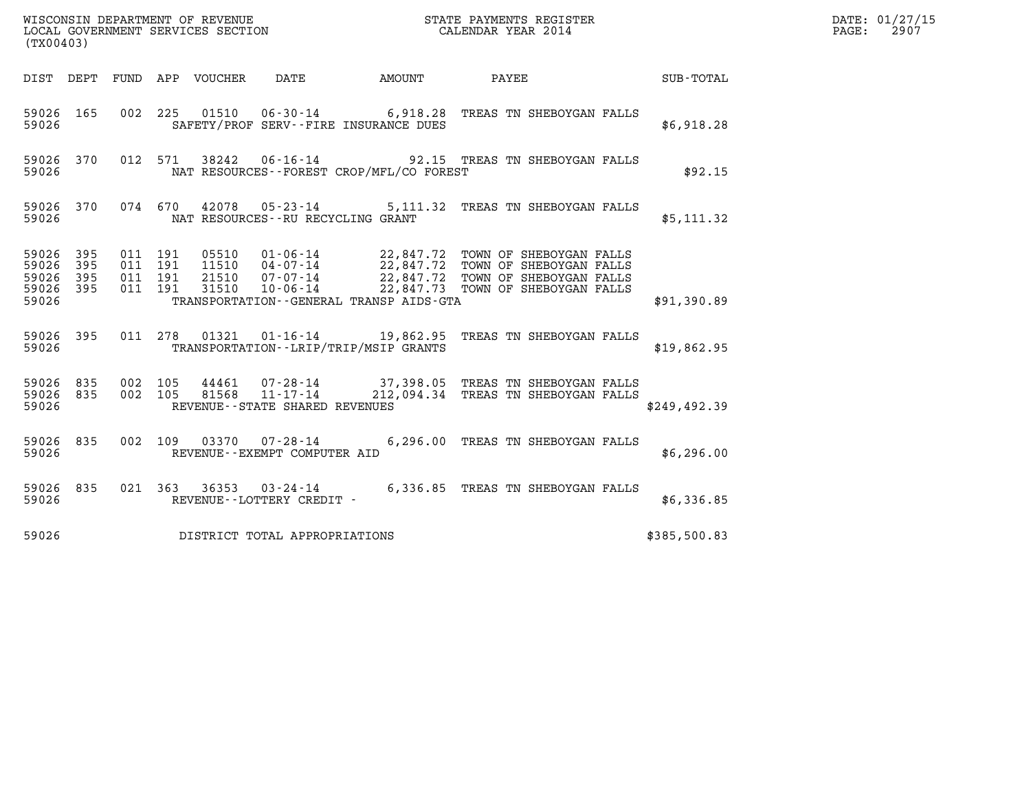| (TX00403)                                         |            |                               |                                 |                                              | DATE: 01/27/15<br>PAGE:<br>2907                                                                                                                                                                                          |              |  |
|---------------------------------------------------|------------|-------------------------------|---------------------------------|----------------------------------------------|--------------------------------------------------------------------------------------------------------------------------------------------------------------------------------------------------------------------------|--------------|--|
|                                                   |            |                               | DIST DEPT FUND APP VOUCHER DATE |                                              | AMOUNT PAYEE SUB-TOTAL                                                                                                                                                                                                   |              |  |
| 59026 165<br>59026                                |            |                               |                                 | SAFETY/PROF SERV--FIRE INSURANCE DUES        | 002 225 01510 06-30-14 6,918.28 TREAS TN SHEBOYGAN FALLS                                                                                                                                                                 | \$6,918.28   |  |
| 59026 370<br>59026                                |            |                               | 012 571                         | NAT RESOURCES--FOREST CROP/MFL/CO FOREST     | 38242  06-16-14  92.15  TREAS TN SHEBOYGAN FALLS                                                                                                                                                                         | \$92.15      |  |
| 59026 370<br>59026                                |            |                               | 074 670                         | NAT RESOURCES--RU RECYCLING GRANT            | 42078  05-23-14  5,111.32  TREAS TN SHEBOYGAN FALLS                                                                                                                                                                      | \$5,111.32   |  |
| 59026 395<br>59026<br>59026<br>59026 395<br>59026 | 395<br>395 | 011 191<br>011 191<br>011 191 | 011 191<br>31510                | TRANSPORTATION - - GENERAL TRANSP AIDS - GTA | 05510  01-06-14  22,847.72  TOWN OF SHEBOYGAN FALLS<br>11510  04-07-14  22,847.72  TOWN OF SHEBOYGAN FALLS<br>21510  07-07-14  22,847.72  TOWN OF SHEBOYGAN FALLS<br>31510  10-06-14  22,847.73  TOWN OF SHEBOYGAN FALLS | \$91,390.89  |  |
| 59026 395<br>59026                                |            |                               |                                 | TRANSPORTATION--LRIP/TRIP/MSIP GRANTS        | 011  278  01321  01-16-14  19,862.95  TREAS TN SHEBOYGAN FALLS                                                                                                                                                           | \$19,862.95  |  |
| 59026 835<br>59026                                |            | 59026 835 002 105             | 002 105                         | REVENUE--STATE SHARED REVENUES               | 44461  07-28-14  37,398.05  TREAS TN SHEBOYGAN FALLS<br>81568  11-17-14  212,094.34  TREAS TN SHEBOYGAN FALLS                                                                                                            | \$249,492.39 |  |
| 59026 835<br>59026                                |            |                               |                                 | REVENUE--EXEMPT COMPUTER AID                 | 002 109 03370 07-28-14 6,296.00 TREAS TN SHEBOYGAN FALLS                                                                                                                                                                 | \$6,296.00   |  |
| 59026 835<br>59026                                |            |                               |                                 | REVENUE--LOTTERY CREDIT -                    | 021 363 36353 03-24-14 6,336.85 TREAS TN SHEBOYGAN FALLS                                                                                                                                                                 | \$6,336.85   |  |
| 59026                                             |            |                               |                                 | DISTRICT TOTAL APPROPRIATIONS                |                                                                                                                                                                                                                          | \$385,500.83 |  |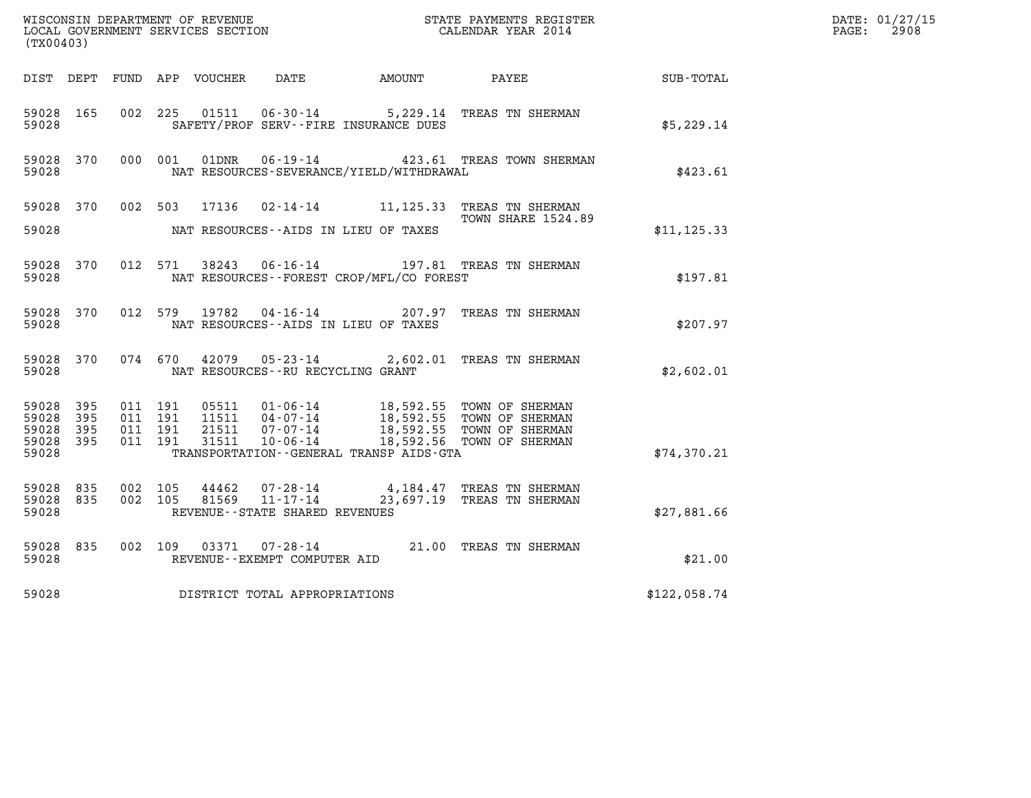| $\tt WISCONSIM DEPARTMENT OF REVENUE$ $\tt WISCONSIMENT$ SERVICES SECTION $\tt WISCONBINENT$ SERVICES SECTION $\tt CALENDAR$ YEAR 2014<br>(TX00403) |            |                    |         |                       |                                                                 |                                             |                                                                                                                         |              | DATE: 01/27/15<br>$\mathtt{PAGE:}$<br>2908 |
|-----------------------------------------------------------------------------------------------------------------------------------------------------|------------|--------------------|---------|-----------------------|-----------------------------------------------------------------|---------------------------------------------|-------------------------------------------------------------------------------------------------------------------------|--------------|--------------------------------------------|
| DIST DEPT                                                                                                                                           |            |                    |         | FUND APP VOUCHER DATE |                                                                 | AMOUNT                                      | PAYEE                                                                                                                   | SUB-TOTAL    |                                            |
| 59028 165<br>59028                                                                                                                                  |            |                    | 002 225 | 01511                 | $06 - 30 - 14$                                                  | SAFETY/PROF SERV--FIRE INSURANCE DUES       | 5,229.14 TREAS TN SHERMAN                                                                                               | \$5,229.14   |                                            |
| 59028 370<br>59028                                                                                                                                  |            |                    | 000 001 | 01DNR                 |                                                                 | NAT RESOURCES-SEVERANCE/YIELD/WITHDRAWAL    | 06-19-14 423.61 TREAS TOWN SHERMAN                                                                                      | \$423.61     |                                            |
| 59028 370                                                                                                                                           |            |                    |         | 002 503 17136         |                                                                 |                                             | 02-14-14 11,125.33 TREAS TN SHERMAN<br>TOWN SHARE 1524.89                                                               |              |                                            |
| 59028                                                                                                                                               |            |                    |         |                       |                                                                 | NAT RESOURCES--AIDS IN LIEU OF TAXES        |                                                                                                                         | \$11, 125.33 |                                            |
| 59028 370<br>59028                                                                                                                                  |            |                    | 012 571 | 38243                 |                                                                 | NAT RESOURCES - - FOREST CROP/MFL/CO FOREST | 06-16-14 197.81 TREAS TN SHERMAN                                                                                        | \$197.81     |                                            |
| 59028 370<br>59028                                                                                                                                  |            | 012 579            |         | 19782                 | $04 - 16 - 14$                                                  | NAT RESOURCES -- AIDS IN LIEU OF TAXES      | 207.97 TREAS TN SHERMAN                                                                                                 | \$207.97     |                                            |
| 59028 370<br>59028                                                                                                                                  |            |                    | 074 670 | 42079                 | NAT RESOURCES - - RU RECYCLING GRANT                            |                                             | 05-23-14 2,602.01 TREAS TN SHERMAN                                                                                      | \$2,602.01   |                                            |
| 59028<br>59028                                                                                                                                      | 395<br>395 | 011 191<br>011 191 |         |                       | $11511$ $04-07-14$                                              |                                             | 05511  01-06-14  18,592.55  TOWN OF SHERMAN<br>11511  04-07-14  18,592.55  TOWN OF SHERMAN<br>18,592.55 TOWN OF SHERMAN |              |                                            |
| 59028<br>59028 395<br>59028                                                                                                                         | 395        | 011 191<br>011 191 |         | 31511                 | 21511 07-07-14<br>$10 - 06 - 14$                                | TRANSPORTATION--GENERAL TRANSP AIDS-GTA     | 18,592.55 TOWN OF SHERMAN<br>18,592.56 TOWN OF SHERMAN                                                                  | \$74,370.21  |                                            |
| 59028 835<br>59028 835<br>59028                                                                                                                     |            | 002 105<br>002 105 |         | 44462<br>81569        | 07-28-14<br>$11 - 17 - 14$<br>REVENUE - - STATE SHARED REVENUES |                                             | 4,184.47 TREAS TN SHERMAN<br>23,697.19 TREAS TN SHERMAN                                                                 | \$27,881.66  |                                            |
|                                                                                                                                                     |            |                    |         |                       |                                                                 |                                             |                                                                                                                         |              |                                            |
| 59028 835<br>59028                                                                                                                                  |            |                    | 002 109 |                       | REVENUE--EXEMPT COMPUTER AID                                    |                                             | 21.00 TREAS TN SHERMAN                                                                                                  | \$21.00      |                                            |
| 59028                                                                                                                                               |            |                    |         |                       | DISTRICT TOTAL APPROPRIATIONS                                   |                                             |                                                                                                                         | \$122,058.74 |                                            |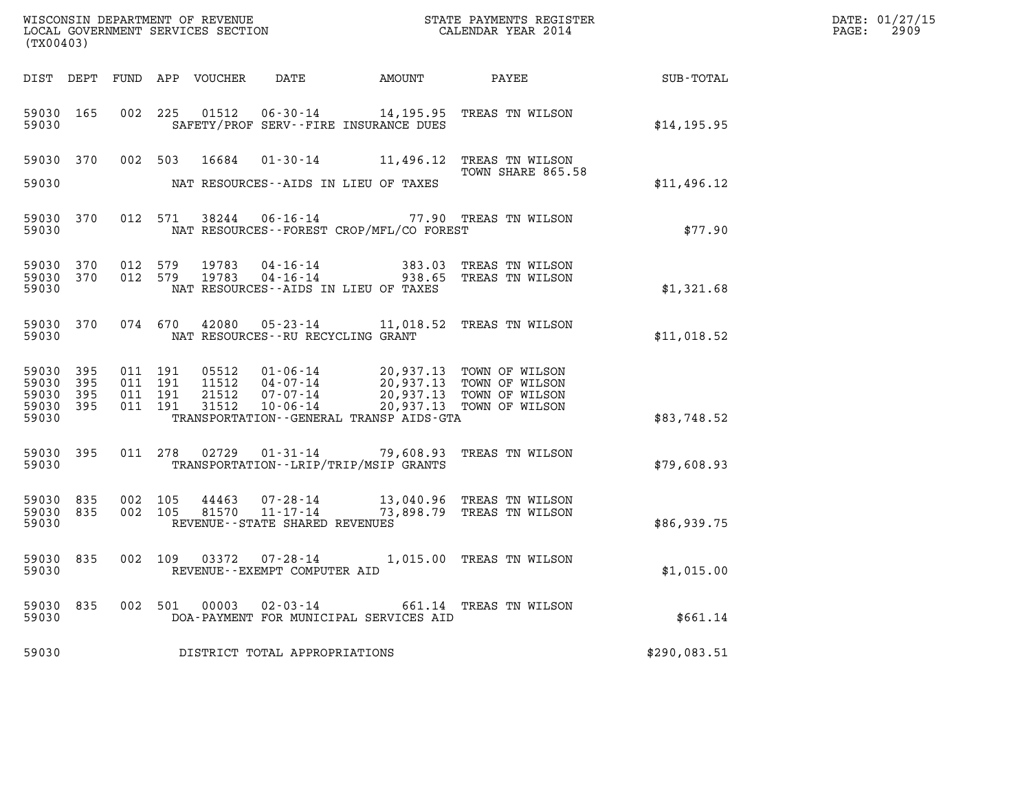| DATE: | 01/27/15 |
|-------|----------|
| PAGE: | 2909     |

| (TX00403)                                             |           |                    |                    |                            |                                            |                                                |                                                                                                                                                           |              | DATE: 01/27/15<br>2909<br>$\mathtt{PAGE}$ : |
|-------------------------------------------------------|-----------|--------------------|--------------------|----------------------------|--------------------------------------------|------------------------------------------------|-----------------------------------------------------------------------------------------------------------------------------------------------------------|--------------|---------------------------------------------|
|                                                       |           |                    |                    | DIST DEPT FUND APP VOUCHER | DATE                                       | AMOUNT                                         | <b>PAYEE</b> FOUND THE PAYEE                                                                                                                              | SUB-TOTAL    |                                             |
| 59030 165<br>59030                                    |           |                    |                    |                            |                                            | SAFETY/PROF SERV--FIRE INSURANCE DUES          | 002 225 01512 06-30-14 14,195.95 TREAS TN WILSON                                                                                                          | \$14, 195.95 |                                             |
| 59030                                                 | 59030 370 |                    |                    | 002 503 16684              |                                            | NAT RESOURCES--AIDS IN LIEU OF TAXES           | 01-30-14 11,496.12 TREAS TN WILSON<br>TOWN SHARE 865.58                                                                                                   | \$11,496.12  |                                             |
| 59030 370<br>59030                                    |           |                    |                    |                            |                                            | NAT RESOURCES - - FOREST CROP/MFL/CO FOREST    | 012 571 38244 06-16-14 77.90 TREAS TN WILSON                                                                                                              | \$77.90      |                                             |
| 59030 370<br>59030 370<br>59030                       |           | 012 579            | 012 579            | 19783<br>19783             | $04 - 16 - 14$                             | 383.03<br>NAT RESOURCES--AIDS IN LIEU OF TAXES | TREAS TN WILSON<br>04-16-14 938.65 TREAS TN WILSON                                                                                                        | \$1,321.68   |                                             |
| 59030                                                 | 59030 370 |                    |                    |                            | NAT RESOURCES--RU RECYCLING GRANT          |                                                | 074 670 42080 05-23-14 11,018.52 TREAS TN WILSON                                                                                                          | \$11,018.52  |                                             |
| 59030 395<br>59030<br>59030 395<br>59030 395<br>59030 | 395       | 011 191<br>011 191 | 011 191<br>011 191 | 11512<br>21512<br>31512    |                                            | TRANSPORTATION--GENERAL TRANSP AIDS-GTA        | 05512  01-06-14  20,937.13  TOWN OF WILSON<br>04-07-14 20,937.13 TOWN OF WILSON<br>07-07-14 20,937.13 TOWN OF WILSON<br>10-06-14 20,937.13 TOWN OF WILSON | \$83,748.52  |                                             |
| 59030 395<br>59030                                    |           |                    | 011 278            |                            |                                            | TRANSPORTATION - - LRIP/TRIP/MSIP GRANTS       | 02729  01-31-14  79,608.93  TREAS TN WILSON                                                                                                               | \$79,608.93  |                                             |
| 59030 835<br>59030 835<br>59030                       |           | 002<br>002 105     | 105                | 44463<br>81570             | 11-17-14<br>REVENUE--STATE SHARED REVENUES |                                                | 07-28-14 13,040.96 TREAS TN WILSON<br>73,898.79 TREAS TN WILSON                                                                                           | \$86,939.75  |                                             |
| 59030 835<br>59030                                    |           |                    | 002 109            |                            | REVENUE - - EXEMPT COMPUTER AID            |                                                | 1,015.00 TREAS TN WILSON                                                                                                                                  | \$1,015.00   |                                             |
| 59030<br>59030                                        | 835       |                    | 002 501            | 00003                      | $02 - 03 - 14$                             | DOA-PAYMENT FOR MUNICIPAL SERVICES AID         | 661.14 TREAS TN WILSON                                                                                                                                    | \$661.14     |                                             |
| 59030                                                 |           |                    |                    |                            | DISTRICT TOTAL APPROPRIATIONS              |                                                |                                                                                                                                                           | \$290,083.51 |                                             |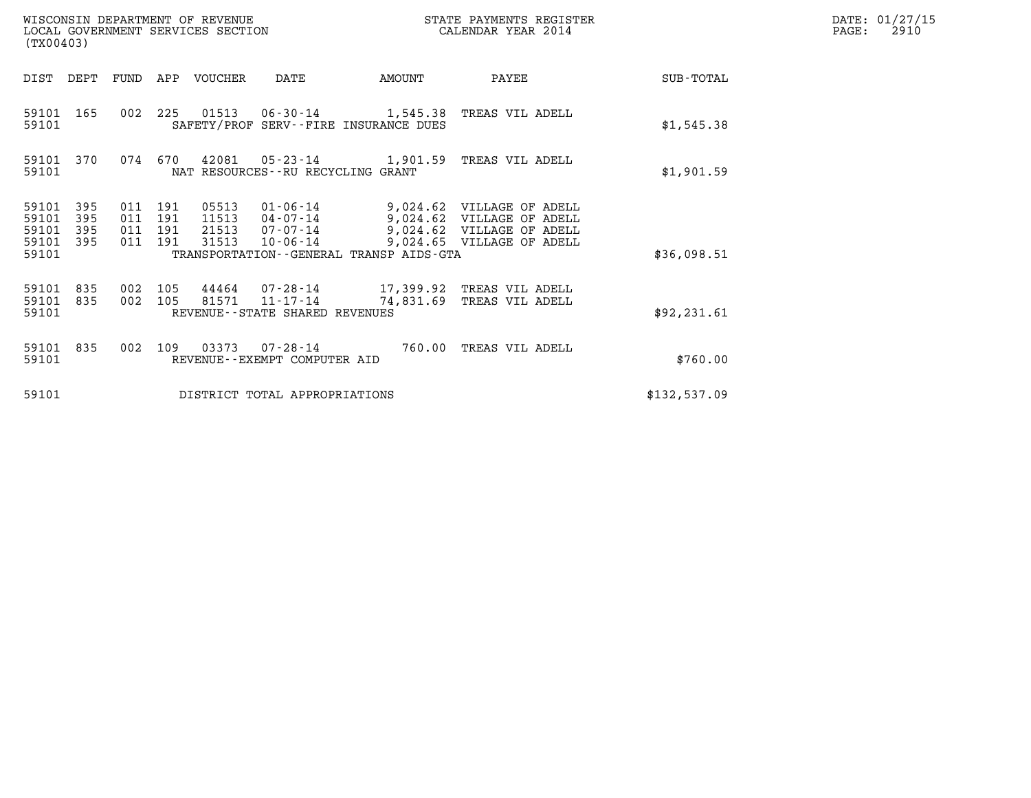| WISCONSIN DEPARTMENT OF REVENUE<br>(TX00403)                                 | LOCAL GOVERNMENT SERVICES SECTION                                                                                                                                                                         | STATE PAYMENTS REGISTER<br>CALENDAR YEAR 2014 |                                                                                     |              | DATE: 01/27/15<br>$\mathtt{PAGE}$ :<br>2910 |
|------------------------------------------------------------------------------|-----------------------------------------------------------------------------------------------------------------------------------------------------------------------------------------------------------|-----------------------------------------------|-------------------------------------------------------------------------------------|--------------|---------------------------------------------|
| DIST DEPT<br>FUND                                                            | APP VOUCHER<br>DATE                                                                                                                                                                                       | AMOUNT                                        | PAYEE                                                                               | SUB-TOTAL    |                                             |
| 59101<br>165<br>59101                                                        | 002 225<br>01513  06-30-14   1,545.38   TREAS VIL ADELL<br>SAFETY/PROF SERV--FIRE INSURANCE DUES                                                                                                          |                                               |                                                                                     | \$1,545.38   |                                             |
| 074<br>59101 370<br>59101                                                    | 42081<br>670<br>05-23-14 1,901.59<br>NAT RESOURCES--RU RECYCLING GRANT                                                                                                                                    |                                               | TREAS VIL ADELL                                                                     | \$1,901.59   |                                             |
| 59101<br>395<br>59101<br>395<br>011<br>59101<br>395<br>395<br>59101<br>59101 | 011 191<br>05513<br>01-06-14 9,024.62 VILLAGE OF ADELL<br>191<br>11513<br>$04 - 07 - 14$<br>$07 - 07 - 14$<br>011 191<br>21513<br>011 191<br>31513<br>10-06-14<br>TRANSPORTATION--GENERAL TRANSP AIDS-GTA |                                               | 9,024.62 VILLAGE OF ADELL<br>9,024.62 VILLAGE OF ADELL<br>9,024.65 VILLAGE OF ADELL | \$36,098.51  |                                             |
| 59101<br>835<br>002<br>002<br>59101<br>835<br>59101                          | 105<br>44464 07-28-14<br>105<br>81571 11-17-14<br>REVENUE - - STATE SHARED REVENUES                                                                                                                       | 74,831.69                                     | 17,399.92 TREAS VIL ADELL<br>TREAS VIL ADELL                                        | \$92, 231.61 |                                             |
| 59101<br>835<br>002<br>59101                                                 | 109<br>03373<br>07-28-14<br>REVENUE - - EXEMPT COMPUTER AID                                                                                                                                               | 760.00                                        | TREAS VIL ADELL                                                                     | \$760.00     |                                             |
| 59101                                                                        | DISTRICT TOTAL APPROPRIATIONS                                                                                                                                                                             |                                               |                                                                                     | \$132,537.09 |                                             |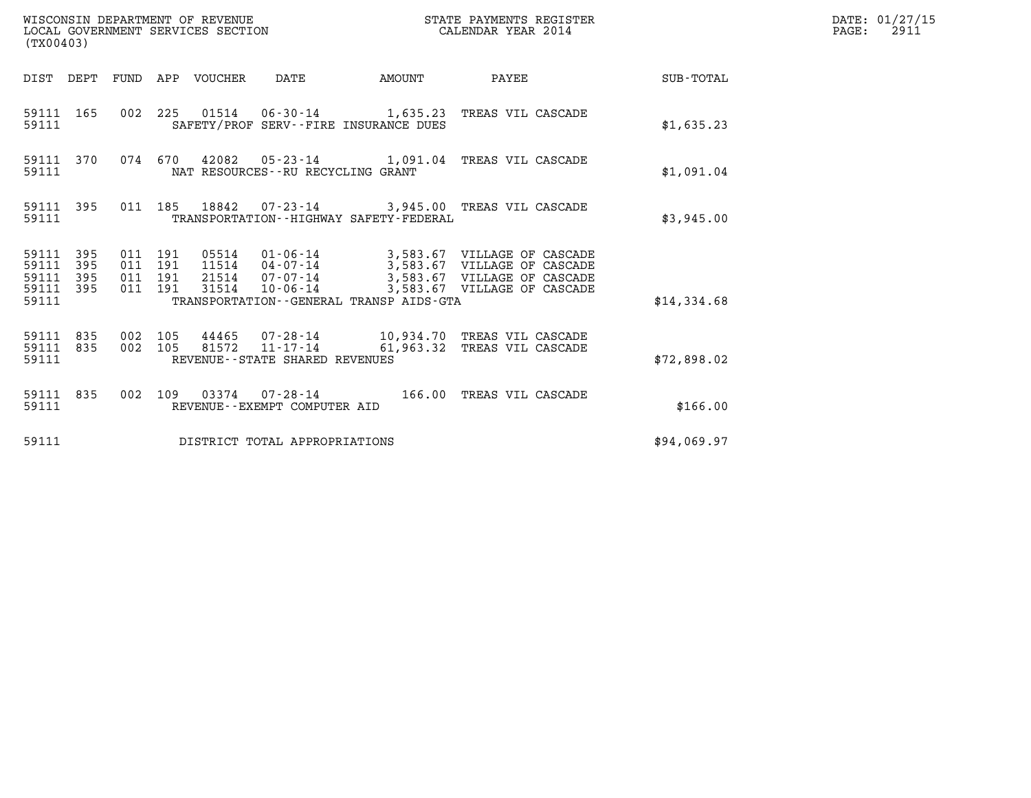| WISCONSIN DEPARTMENT OF REVENUE<br>WISCONSIN DEPARTMENT OF REVENUE<br>LOCAL GOVERNMENT SERVICES SECTION<br>(TX00403) |           |                                          |  |                                 |                                       |                                             | STATE PAYMENTS REGISTER<br>CALENDAR YEAR 2014                                                                                                                                        |             | DATE: 01/27/15<br>$\mathtt{PAGE:}$<br>2911 |
|----------------------------------------------------------------------------------------------------------------------|-----------|------------------------------------------|--|---------------------------------|---------------------------------------|---------------------------------------------|--------------------------------------------------------------------------------------------------------------------------------------------------------------------------------------|-------------|--------------------------------------------|
|                                                                                                                      |           |                                          |  | DIST DEPT FUND APP VOUCHER DATE |                                       | AMOUNT                                      | PAYEE SUB-TOTAL                                                                                                                                                                      |             |                                            |
| 59111                                                                                                                | 59111 165 |                                          |  |                                 | SAFETY/PROF SERV--FIRE INSURANCE DUES |                                             | 002 225 01514 06-30-14 1,635.23 TREAS VIL CASCADE                                                                                                                                    | \$1,635.23  |                                            |
| 59111                                                                                                                | 59111 370 |                                          |  |                                 | NAT RESOURCES--RU RECYCLING GRANT     |                                             | 074 670 42082 05-23-14 1,091.04 TREAS VIL CASCADE                                                                                                                                    | \$1,091.04  |                                            |
| 59111                                                                                                                | 59111 395 |                                          |  |                                 |                                       | TRANSPORTATION - - HIGHWAY SAFETY - FEDERAL | 011 185 18842  07-23-14 3,945.00 TREAS VIL CASCADE                                                                                                                                   | \$3,945.00  |                                            |
| 59111 395<br>59111<br>59111 395<br>59111 395<br>59111                                                                | 395       | 011 191<br>011 191<br>011 191<br>011 191 |  | 31514                           |                                       | TRANSPORTATION--GENERAL TRANSP AIDS-GTA     | 05514  01-06-14  3,583.67  VILLAGE OF CASCADE<br>11514  04-07-14  3,583.67  VILLAGE OF CASCADE<br>21514 07-07-14 3,583.67 VILLAGE OF CASCADE<br>10-06-14 3,583.67 VILLAGE OF CASCADE | \$14,334.68 |                                            |
| 59111 835<br>59111                                                                                                   | 59111 835 | 002 105<br>002 105                       |  | 81572                           | REVENUE--STATE SHARED REVENUES        |                                             | 44465 07-28-14 10,934.70 TREAS VIL CASCADE<br>11-17-14 61,963.32 TREAS VIL CASCADE                                                                                                   | \$72,898.02 |                                            |
| 59111                                                                                                                | 59111 835 |                                          |  |                                 | REVENUE--EXEMPT COMPUTER AID          |                                             | 002 109 03374 07-28-14 166.00 TREAS VIL CASCADE                                                                                                                                      | \$166.00    |                                            |
| 59111                                                                                                                |           |                                          |  |                                 | DISTRICT TOTAL APPROPRIATIONS         |                                             |                                                                                                                                                                                      | \$94,069.97 |                                            |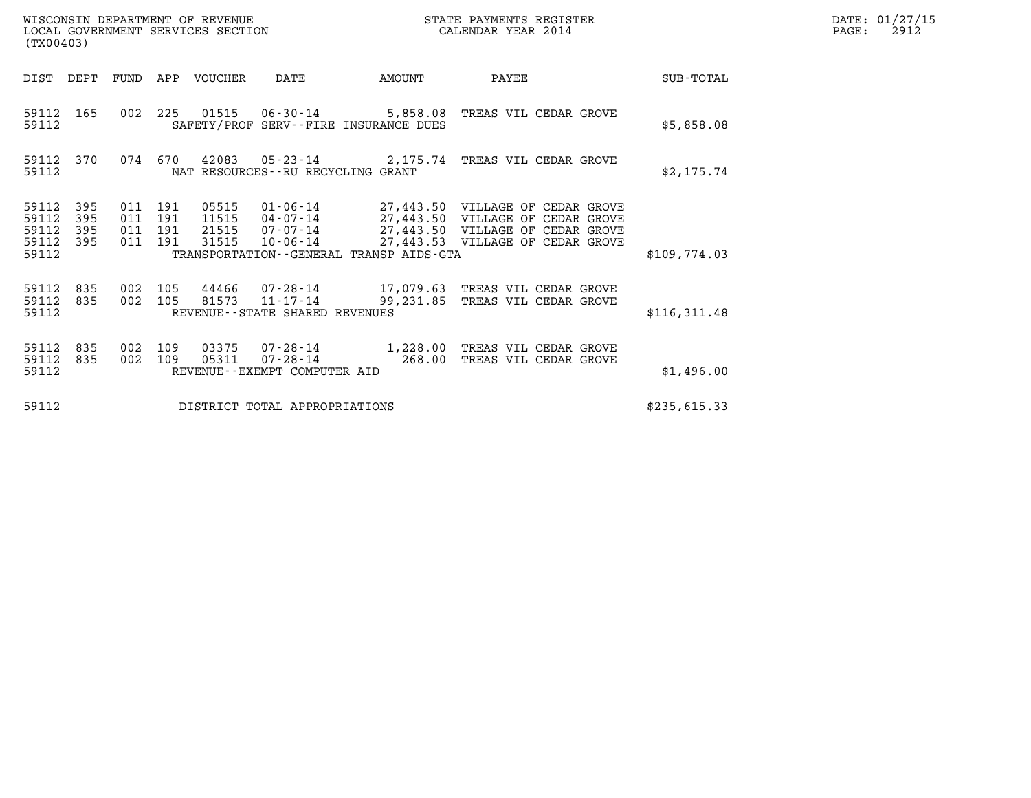| DATE: | 01/27/15 |
|-------|----------|
| PAGE: | 2912     |

| WISCONSIN DEPARTMENT OF REVENUE<br>LOCAL GOVERNMENT SERVICES SECTION<br>(TX00403) |                          |                    |                    |                                  |                                   |                                         | STATE PAYMENTS REGISTER<br>CALENDAR YEAR 2014                                                                                                                                    |              | DATE: 01/27/15<br>$\mathtt{PAGE:}$<br>2912 |
|-----------------------------------------------------------------------------------|--------------------------|--------------------|--------------------|----------------------------------|-----------------------------------|-----------------------------------------|----------------------------------------------------------------------------------------------------------------------------------------------------------------------------------|--------------|--------------------------------------------|
| DIST DEPT                                                                         |                          | FUND               |                    | APP VOUCHER                      | DATE                              | AMOUNT                                  | PAYEE                                                                                                                                                                            | SUB-TOTAL    |                                            |
| 59112 165<br>59112                                                                |                          | 002                | 225                |                                  |                                   | SAFETY/PROF SERV--FIRE INSURANCE DUES   | 01515  06-30-14  5,858.08  TREAS VIL CEDAR GROVE                                                                                                                                 | \$5,858.08   |                                            |
| 59112<br>59112                                                                    | 370                      |                    | 074 670            | 42083                            | NAT RESOURCES--RU RECYCLING GRANT |                                         | 05-23-14 2,175.74 TREAS VIL CEDAR GROVE                                                                                                                                          | \$2,175.74   |                                            |
| 59112<br>59112<br>59112<br>59112                                                  | 395<br>395<br>395<br>395 | 011 191<br>011 191 | 011 191<br>011 191 | 05515<br>11515<br>21515<br>31515 |                                   |                                         | 01-06-14 27,443.50 VILLAGE OF CEDAR GROVE<br>04-07-14 27,443.50 VILLAGE OF CEDAR GROVE<br>07-07-14 27,443.50 VILLAGE OF CEDAR GROVE<br>10-06-14 27,443.53 VILLAGE OF CEDAR GROVE |              |                                            |
| 59112                                                                             |                          |                    |                    |                                  |                                   | TRANSPORTATION--GENERAL TRANSP AIDS-GTA |                                                                                                                                                                                  | \$109,774.03 |                                            |
| 59112<br>59112<br>59112                                                           | 835<br>835               | 002<br>002         | 105<br>105         | 81573                            | REVENUE--STATE SHARED REVENUES    |                                         | 44466 07-28-14 17,079.63 TREAS VIL CEDAR GROVE<br>11-17-14 99,231.85 TREAS VIL CEDAR GROVE                                                                                       | \$116,311.48 |                                            |
| 59112<br>59112<br>59112                                                           | 835<br>835               | 002<br>002         | 109<br>109         | 03375<br>05311                   | REVENUE - - EXEMPT COMPUTER AID   |                                         | 07-28-14 1,228.00 TREAS VIL CEDAR GROVE<br>07-28-14 268.00 TREAS VIL CEDAR GROVE                                                                                                 | \$1,496.00   |                                            |
| 59112<br>DISTRICT TOTAL APPROPRIATIONS                                            |                          |                    |                    |                                  |                                   |                                         |                                                                                                                                                                                  | \$235,615.33 |                                            |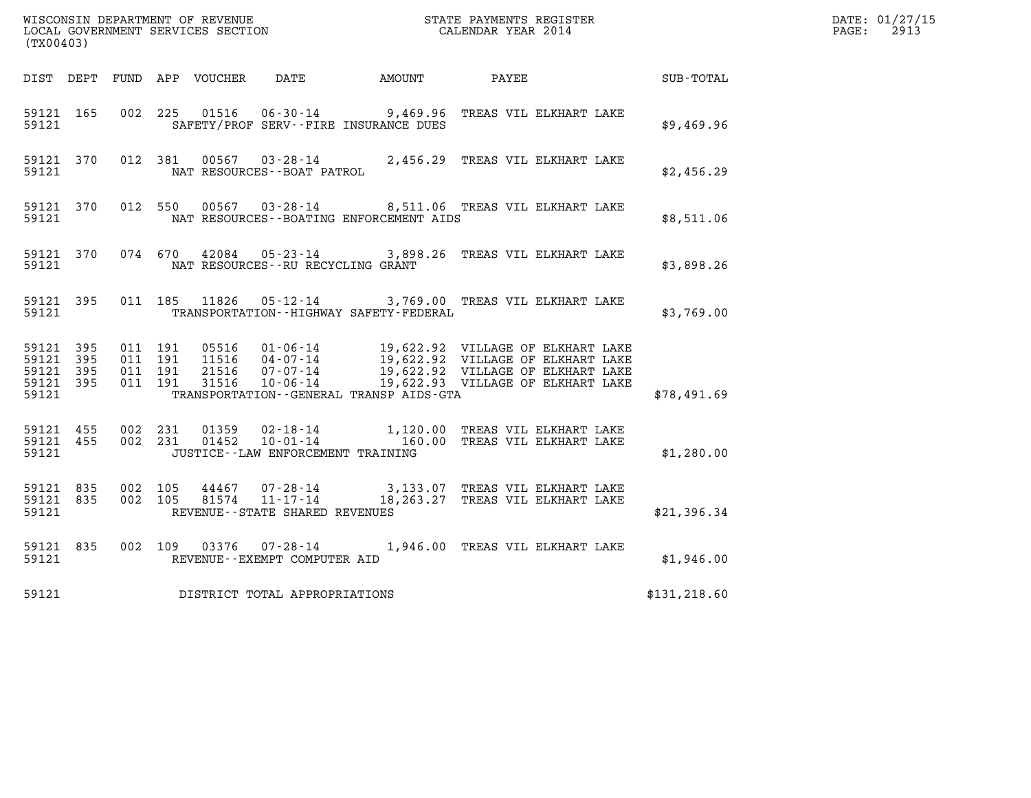| WISCONSIN DEPARTMENT OF REVENUE<br>LOCAL GOVERNMENT SERVICES SECTION<br>LOCAL GOVERNMENT SERVICES SECTION<br>CALENDAR YEAR 2014<br>(TX00403) |           |                                                             |  |  |                                                 |                                                                                                                                                                                                                          |               | DATE: 01/27/15<br>PAGE: 2913 |
|----------------------------------------------------------------------------------------------------------------------------------------------|-----------|-------------------------------------------------------------|--|--|-------------------------------------------------|--------------------------------------------------------------------------------------------------------------------------------------------------------------------------------------------------------------------------|---------------|------------------------------|
|                                                                                                                                              |           |                                                             |  |  |                                                 | DIST DEPT FUND APP VOUCHER DATE AMOUNT PAYEE PATE SUB-TOTAL                                                                                                                                                              |               |                              |
|                                                                                                                                              | 59121 165 | 59121                                                       |  |  | SAFETY/PROF SERV--FIRE INSURANCE DUES           | 002 225 01516 06-30-14 9,469.96 TREAS VIL ELKHART LAKE                                                                                                                                                                   | \$9,469.96    |                              |
| 59121                                                                                                                                        |           |                                                             |  |  | NAT RESOURCES--BOAT PATROL                      | 59121 370 012 381 00567 03-28-14 2,456.29 TREAS VIL ELKHART LAKE                                                                                                                                                         | \$2,456.29    |                              |
|                                                                                                                                              |           | 59121 200                                                   |  |  | NAT RESOURCES--BOATING ENFORCEMENT AIDS         | 59121 370 012 550 00567 03-28-14 8,511.06 TREAS VIL ELKHART LAKE                                                                                                                                                         | \$8,511.06    |                              |
|                                                                                                                                              |           |                                                             |  |  | 59121 NAT RESOURCES--RU RECYCLING GRANT         | 59121 370 074 670 42084 05-23-14 3,898.26 TREAS VIL ELKHART LAKE                                                                                                                                                         | \$3,898.26    |                              |
|                                                                                                                                              |           |                                                             |  |  | 59121 TRANSPORTATION - HIGHWAY SAFETY - FEDERAL | 59121 395 011 185 11826 05-12-14 3,769.00 TREAS VIL ELKHART LAKE                                                                                                                                                         | \$3,769.00    |                              |
| 59121 395<br>59121 395<br>59121 395                                                                                                          |           | 011 191<br>011 191<br>011 191<br>59121 395 011 191<br>59121 |  |  | TRANSPORTATION - - GENERAL TRANSP AIDS - GTA    | 05516  01-06-14  19,622.92  VILLAGE OF ELKHART LAKE<br>11516  04-07-14  19,622.92  VILLAGE OF ELKHART LAKE<br>21516  07-07-14  19,622.92  VILLAGE OF ELKHART LAKE<br>11516  10-06-14  19,622.93  VILLAGE OF ELKHART LAKE | \$78,491.69   |                              |
|                                                                                                                                              |           | 59121                                                       |  |  | JUSTICE - - LAW ENFORCEMENT TRAINING            | 59121 455 002 231 01359 02-18-14 1,120.00 TREAS VIL ELKHART LAKE 59121 455 002 231 01452 10-01-14 160.00 TREAS VIL ELKHART LAKE                                                                                          | \$1,280.00    |                              |
| 59121                                                                                                                                        |           |                                                             |  |  | REVENUE--STATE SHARED REVENUES                  | 59121 835 002 105 44467 07-28-14 3,133.07 TREAS VIL ELKHART LAKE 59121 835 002 105 81574 11-17-14 18,263.27 TREAS VIL ELKHART LAKE                                                                                       | \$21,396.34   |                              |
|                                                                                                                                              | 59121 835 | 59121 2020                                                  |  |  | REVENUE--EXEMPT COMPUTER AID                    | 002 109 03376 07-28-14 1,946.00 TREAS VIL ELKHART LAKE                                                                                                                                                                   | \$1,946.00    |                              |
| 59121                                                                                                                                        |           |                                                             |  |  | DISTRICT TOTAL APPROPRIATIONS                   |                                                                                                                                                                                                                          | \$131, 218.60 |                              |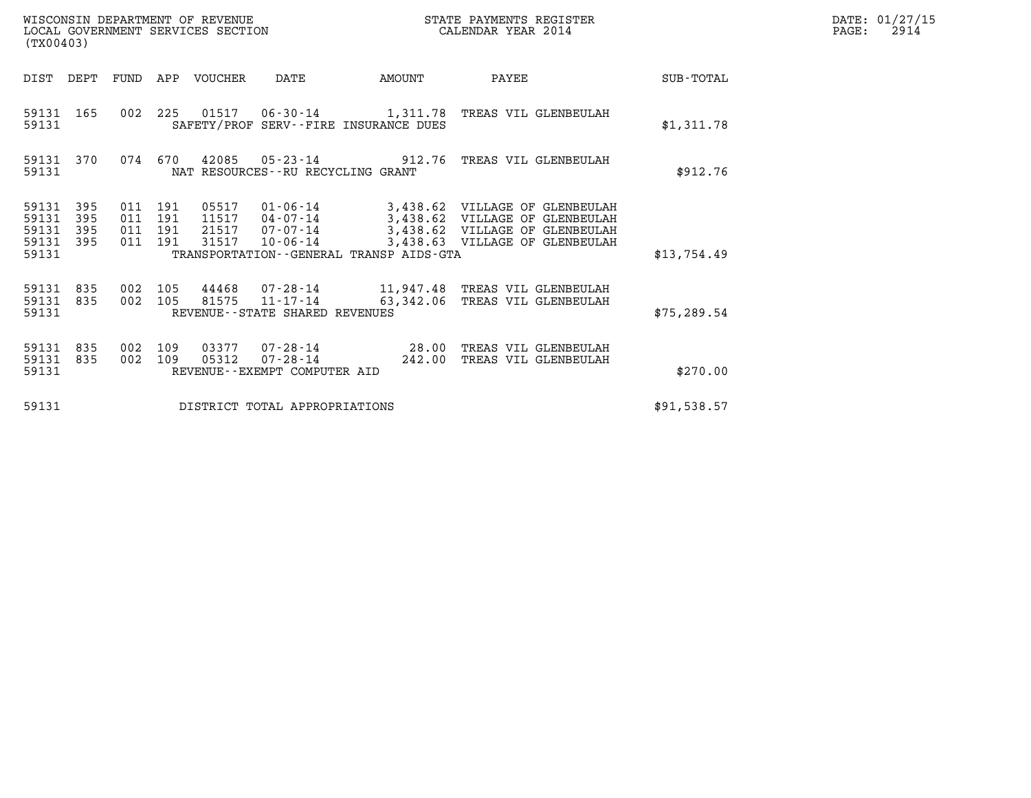| DATE: | 01/27/15 |
|-------|----------|
| PAGE: | 2914     |

| WISCONSIN DEPARTMENT OF REVENUE<br>LOCAL GOVERNMENT SERVICES SECTION<br>(TX00403) |                                                                                                               |                                          |            |                                  |                                                               |                                              | STATE PAYMENTS REGISTER<br>CALENDAR YEAR 2014                                                                                                 |              | DATE: 01/27/15<br>$\mathtt{PAGE:}$<br>2914 |
|-----------------------------------------------------------------------------------|---------------------------------------------------------------------------------------------------------------|------------------------------------------|------------|----------------------------------|---------------------------------------------------------------|----------------------------------------------|-----------------------------------------------------------------------------------------------------------------------------------------------|--------------|--------------------------------------------|
| DIST DEPT                                                                         |                                                                                                               | FUND                                     |            | APP VOUCHER                      | DATE                                                          | AMOUNT                                       | PAYEE                                                                                                                                         | SUB-TOTAL    |                                            |
| 59131 165<br>59131                                                                |                                                                                                               | 002                                      | 225        |                                  |                                                               | SAFETY/PROF SERV--FIRE INSURANCE DUES        |                                                                                                                                               | \$1,311.78   |                                            |
| 59131                                                                             | 59131 370<br>074 670<br>42085<br>05-23-14 912.76 TREAS VIL GLENBEULAH<br>NAT RESOURCES - - RU RECYCLING GRANT |                                          |            |                                  |                                                               |                                              | \$912.76                                                                                                                                      |              |                                            |
| 59131<br>59131<br>59131<br>59131 395<br>59131                                     | 395<br>395<br>395                                                                                             | 011 191<br>011 191<br>011 191<br>011 191 |            | 05517<br>11517<br>21517<br>31517 | 04-07-14<br>$07 - 07 - 14$<br>$10 - 06 - 14$                  | TRANSPORTATION - - GENERAL TRANSP AIDS - GTA | 01-06-14 3,438.62 VILLAGE OF GLENBEULAH<br>3,438.62 VILLAGE OF GLENBEULAH<br>3,438.62 VILLAGE OF GLENBEULAH<br>3,438.63 VILLAGE OF GLENBEULAH | \$13,754.49  |                                            |
|                                                                                   |                                                                                                               |                                          |            |                                  |                                                               |                                              |                                                                                                                                               |              |                                            |
| 59131<br>59131 835<br>59131                                                       | 835                                                                                                           | 002<br>002                               | 105<br>105 | 44468<br>81575                   | REVENUE - - STATE SHARED REVENUES                             |                                              | $07 - 28 - 14$ 11,947.48 TREAS VIL GLENBEULAH<br>11-17-14 63,342.06 TREAS VIL GLENBEULAH                                                      | \$75, 289.54 |                                            |
| 59131<br>59131<br>59131                                                           | 835<br>835                                                                                                    | 002<br>002                               | 109<br>109 | 03377<br>05312                   | 07-28-14<br>$07 - 28 - 14$<br>REVENUE - - EXEMPT COMPUTER AID | 28.00<br>242.00                              | TREAS VIL GLENBEULAH<br>TREAS VIL GLENBEULAH                                                                                                  | \$270.00     |                                            |
| 59131<br>DISTRICT TOTAL APPROPRIATIONS                                            |                                                                                                               |                                          |            |                                  |                                                               |                                              |                                                                                                                                               | \$91,538.57  |                                            |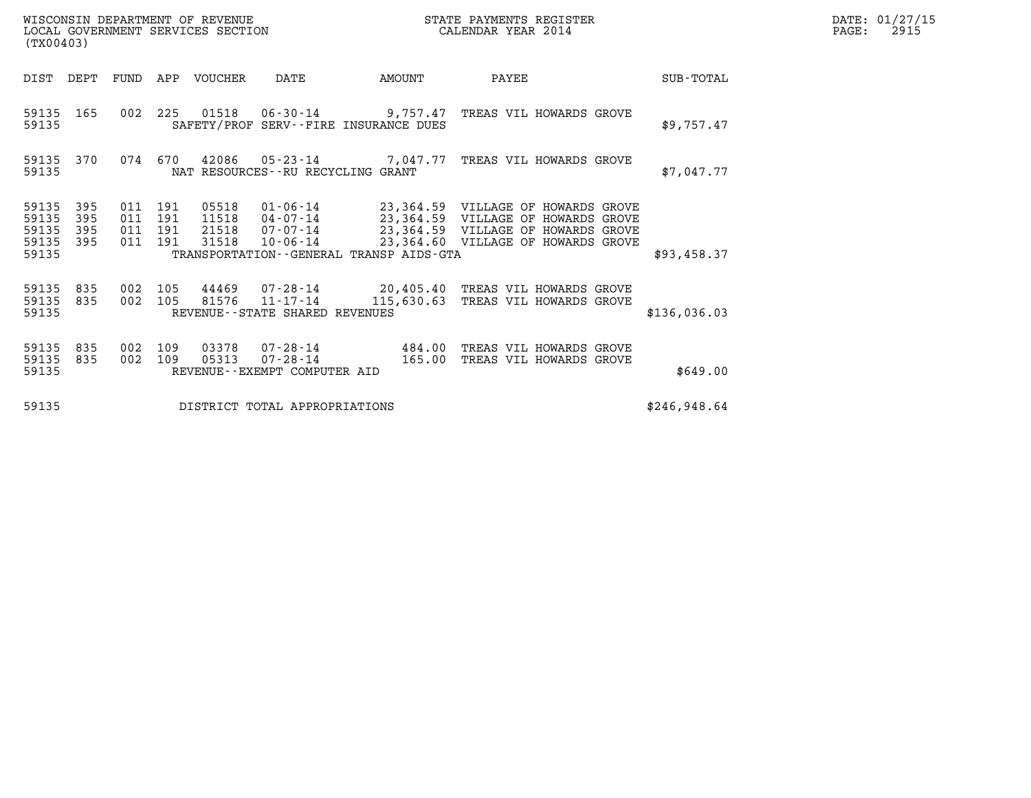| DATE: | 01/27/15 |
|-------|----------|
| PAGE: | 2915     |

| WISCONSIN DEPARTMENT OF REVENUE<br>LOCAL GOVERNMENT SERVICES SECTION<br>(TX00403) |                          |                                          |     |                                  |                                                            | STATE PAYMENTS REGISTER<br>CALENDAR YEAR 2014 |                                                                                                                                                                                                |              | DATE: 01/27/15<br>$\mathtt{PAGE:}$<br>2915 |
|-----------------------------------------------------------------------------------|--------------------------|------------------------------------------|-----|----------------------------------|------------------------------------------------------------|-----------------------------------------------|------------------------------------------------------------------------------------------------------------------------------------------------------------------------------------------------|--------------|--------------------------------------------|
|                                                                                   |                          |                                          |     | DIST DEPT FUND APP VOUCHER       | DATE                                                       | AMOUNT                                        | PAYEE                                                                                                                                                                                          | SUB-TOTAL    |                                            |
| 59135 165<br>59135                                                                |                          |                                          |     |                                  |                                                            | SAFETY/PROF SERV--FIRE INSURANCE DUES         | 002 225 01518 06-30-14 9,757.47 TREAS VIL HOWARDS GROVE                                                                                                                                        | \$9,757.47   |                                            |
| 59135 370<br>59135                                                                |                          | 074 670                                  |     | 42086                            | NAT RESOURCES--RU RECYCLING GRANT                          |                                               | 05-23-14 7,047.77 TREAS VIL HOWARDS GROVE                                                                                                                                                      | \$7,047.77   |                                            |
| 59135<br>59135<br>59135<br>59135<br>59135                                         | 395<br>395<br>395<br>395 | 011 191<br>011 191<br>011 191<br>011 191 |     | 05518<br>11518<br>21518<br>31518 |                                                            | TRANSPORTATION--GENERAL TRANSP AIDS-GTA       | $01 - 06 - 14$ 23,364.59 VILLAGE OF HOWARDS GROVE<br>04-07-14 23,364.59 VILLAGE OF HOWARDS GROVE<br>07-07-14 23,364.59 VILLAGE OF HOWARDS GROVE<br>10-06-14 23,364.60 VILLAGE OF HOWARDS GROVE | \$93,458.37  |                                            |
| 59135<br>59135 835<br>59135                                                       | 835                      | 002 105<br>002 105                       |     | 81576                            | REVENUE - - STATE SHARED REVENUES                          |                                               | 44469 07-28-14 20,405.40 TREAS VIL HOWARDS GROVE<br>11-17-14 115,630.63 TREAS VIL HOWARDS GROVE                                                                                                | \$136,036.03 |                                            |
| 59135<br>59135 835<br>59135                                                       | 835                      | 002<br>002 109                           | 109 | 03378<br>05313                   | $07 - 28 - 14$<br>07-28-14<br>REVENUE--EXEMPT COMPUTER AID | 165.00                                        | 484.00 TREAS VIL HOWARDS GROVE<br>TREAS VIL HOWARDS GROVE                                                                                                                                      | \$649.00     |                                            |
| 59135                                                                             |                          |                                          |     |                                  | DISTRICT TOTAL APPROPRIATIONS                              |                                               |                                                                                                                                                                                                | \$246,948.64 |                                            |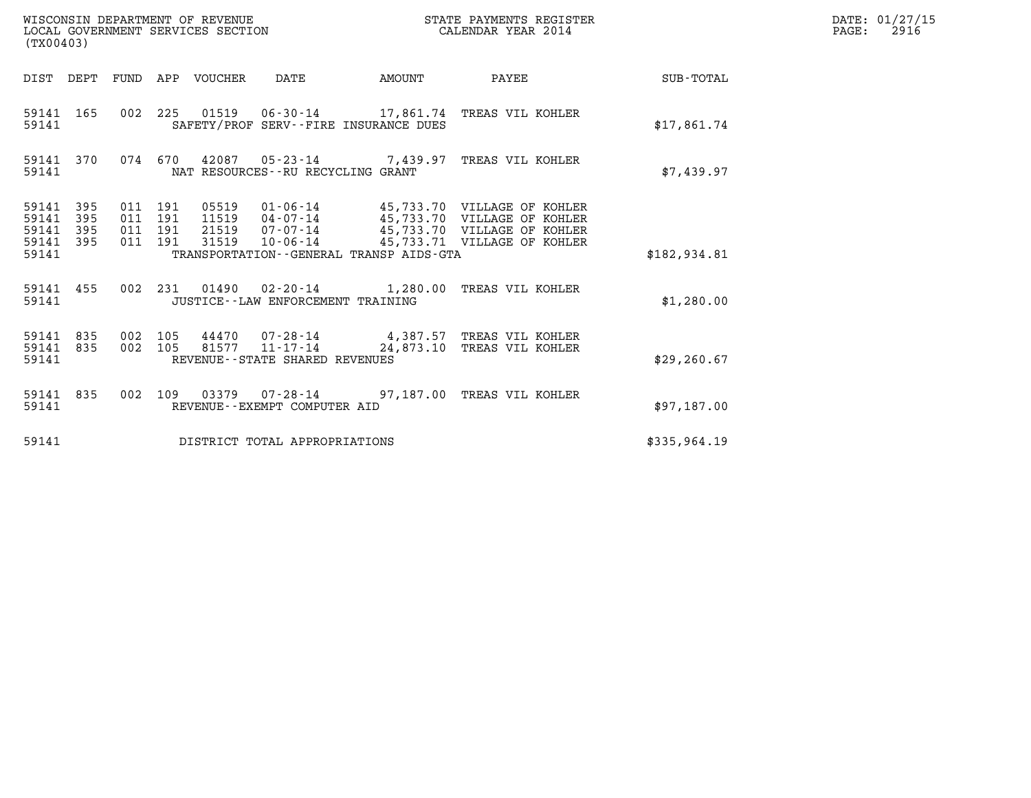|                                                   | WISCONSIN DEPARTMENT OF REVENUE<br>LOCAL GOVERNMENT SERVICES SECTION<br>(TX00403) |                                          |  |                                  |                                                           | STATE PAYMENTS REGISTER<br>CALENDAR YEAR 2014 |                                                                                                                                                     |              | DATE: 01/27/15<br>$\mathtt{PAGE:}$<br>2916 |
|---------------------------------------------------|-----------------------------------------------------------------------------------|------------------------------------------|--|----------------------------------|-----------------------------------------------------------|-----------------------------------------------|-----------------------------------------------------------------------------------------------------------------------------------------------------|--------------|--------------------------------------------|
|                                                   |                                                                                   |                                          |  | DIST DEPT FUND APP VOUCHER DATE  | AMOUNT                                                    |                                               | PAYEE SUB-TOTAL                                                                                                                                     |              |                                            |
| 59141 165<br>59141                                |                                                                                   |                                          |  |                                  | SAFETY/PROF SERV--FIRE INSURANCE DUES                     |                                               | 002 225 01519 06-30-14 17,861.74 TREAS VIL KOHLER                                                                                                   | \$17,861.74  |                                            |
| 59141 370<br>59141                                |                                                                                   |                                          |  |                                  | NAT RESOURCES--RU RECYCLING GRANT                         |                                               | 074 670 42087 05-23-14 7,439.97 TREAS VIL KOHLER                                                                                                    | \$7,439.97   |                                            |
| 59141 395<br>59141<br>59141<br>59141 395<br>59141 | 395<br>395                                                                        | 011 191<br>011 191<br>011 191<br>011 191 |  | 05519<br>11519<br>21519<br>31519 | $10 - 06 - 14$<br>TRANSPORTATION--GENERAL TRANSP AIDS-GTA |                                               | 01-06-14 45,733.70 VILLAGE OF KOHLER<br>04-07-14 45,733.70 VILLAGE OF KOHLER<br>07-07-14 45,733.70 VILLAGE OF KOHLER<br>45,733.71 VILLAGE OF KOHLER | \$182,934.81 |                                            |
| 59141 455<br>59141                                |                                                                                   |                                          |  |                                  | JUSTICE - - LAW ENFORCEMENT TRAINING                      |                                               | 002 231 01490 02-20-14 1,280.00 TREAS VIL KOHLER                                                                                                    | \$1,280.00   |                                            |
| 59141 835<br>59141 835<br>59141                   |                                                                                   | 002 105<br>002 105                       |  |                                  | 81577 11-17-14<br>REVENUE--STATE SHARED REVENUES          |                                               | 4,387.57 TREAS VIL KOHLER<br>24,873.10 TREAS VIL KOHLER                                                                                             | \$29, 260.67 |                                            |
| 59141                                             | 59141 835                                                                         |                                          |  |                                  | REVENUE--EXEMPT COMPUTER AID                              |                                               | 002 109 03379 07-28-14 97,187.00 TREAS VIL KOHLER                                                                                                   | \$97,187.00  |                                            |
| 59141                                             |                                                                                   |                                          |  |                                  | DISTRICT TOTAL APPROPRIATIONS                             |                                               |                                                                                                                                                     | \$335,964.19 |                                            |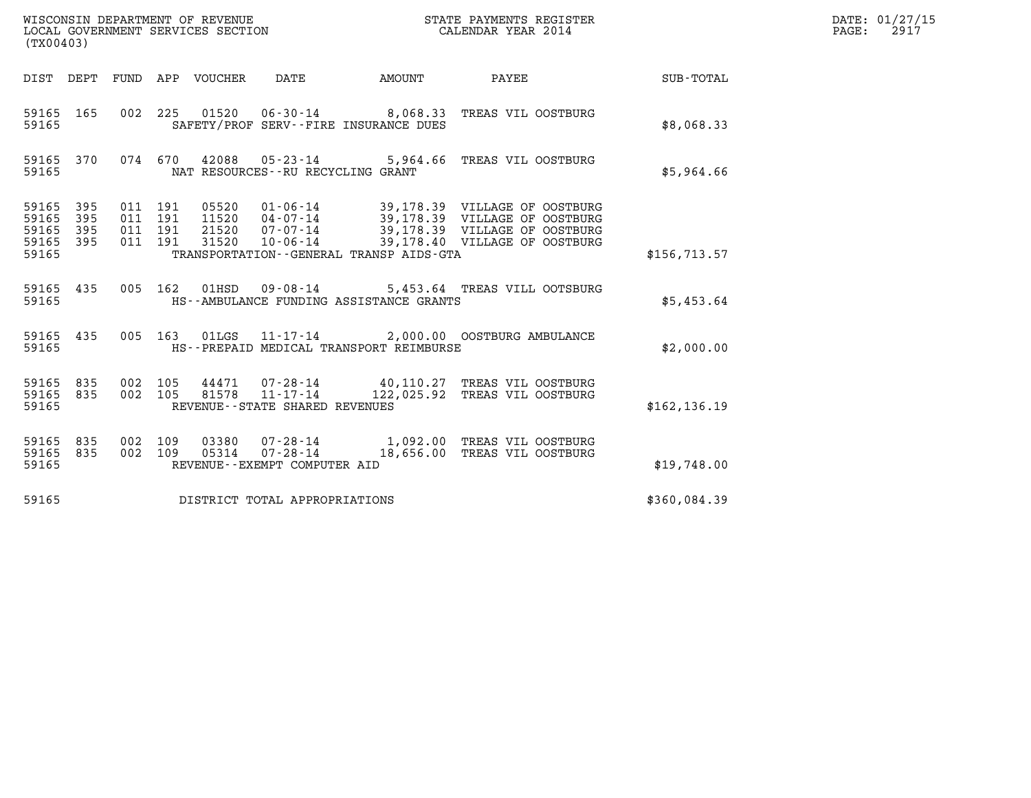| WISCONSIN DEPARTMENT OF REVENUE<br>LOCAL GOVERNMENT SERVICES SECTION<br>$(mv \wedge \wedge \wedge \wedge)$ | STATE PAYMENTS REGISTER<br>CALENDAR YEAR 2014 | DATE: 01/27/15<br>2917<br>PAGE: |
|------------------------------------------------------------------------------------------------------------|-----------------------------------------------|---------------------------------|

| (TX00403)                                                                                                                                                         |                                                                                                           |            |                                                                                                                                  |               |
|-------------------------------------------------------------------------------------------------------------------------------------------------------------------|-----------------------------------------------------------------------------------------------------------|------------|----------------------------------------------------------------------------------------------------------------------------------|---------------|
| DIST<br>DEPT<br>FUND<br>APP<br>VOUCHER                                                                                                                            | DATE                                                                                                      | AMOUNT     | PAYEE                                                                                                                            | SUB-TOTAL     |
| 002<br>225<br>165<br>01520<br>59165<br>59165                                                                                                                      | 06-30-14 8,068.33 TREAS VIL OOSTBURG<br>SAFETY/PROF SERV--FIRE INSURANCE DUES                             |            |                                                                                                                                  | \$8,068.33    |
| 074<br>670<br>59165<br>370<br>42088<br>59165                                                                                                                      | $05 - 23 - 14$ 5,964.66<br>NAT RESOURCES -- RU RECYCLING GRANT                                            |            | TREAS VIL OOSTBURG                                                                                                               | \$5,964.66    |
| 395<br>59165<br>011<br>191<br>05520<br>59165<br>395<br>011<br>191<br>11520<br>59165<br>395<br>011<br>191<br>21520<br>395<br>011<br>191<br>31520<br>59165<br>59165 | $01 - 06 - 14$<br>$04 - 07 - 14$<br>07-07-14<br>$10 - 06 - 14$<br>TRANSPORTATION--GENERAL TRANSP AIDS-GTA |            | 39,178.39 VILLAGE OF OOSTBURG<br>39,178.39 VILLAGE OF OOSTBURG<br>39,178.39 VILLAGE OF OOSTBURG<br>39,178.40 VILLAGE OF OOSTBURG | \$156, 713.57 |
| 435<br>005<br>162<br>59165<br>01HSD<br>59165                                                                                                                      | 09-08-14 5,453.64 TREAS VILL OOTSBURG<br>HS--AMBULANCE FUNDING ASSISTANCE GRANTS                          |            |                                                                                                                                  | \$5,453.64    |
| 005<br>435<br>163<br>59165<br>01LGS<br>59165                                                                                                                      | $11 - 17 - 14$<br>HS--PREPAID MEDICAL TRANSPORT REIMBURSE                                                 | 2,000.00   | OOSTBURG AMBULANCE                                                                                                               | \$2,000.00    |
| 002<br>105<br>59165<br>835<br>44471<br>59165<br>835<br>002<br>105<br>81578<br>59165                                                                               | 07-28-14<br>$11 - 17 - 14$<br>REVENUE - - STATE SHARED REVENUES                                           | 122,025.92 | 40,110.27 TREAS VIL OOSTBURG<br>TREAS VIL OOSTBURG                                                                               | \$162, 136.19 |
| 835<br>002<br>109<br>03380<br>59165<br>002<br>109<br>835<br>05314<br>59165<br>59165                                                                               | $07 - 28 - 14$ 1,092.00<br>$07 - 28 - 14$<br>REVENUE - - EXEMPT COMPUTER AID                              | 18,656.00  | TREAS VIL OOSTBURG<br>TREAS VIL OOSTBURG                                                                                         | \$19,748.00   |
| 59165                                                                                                                                                             | DISTRICT TOTAL APPROPRIATIONS                                                                             |            |                                                                                                                                  | \$360,084.39  |

(TX00403)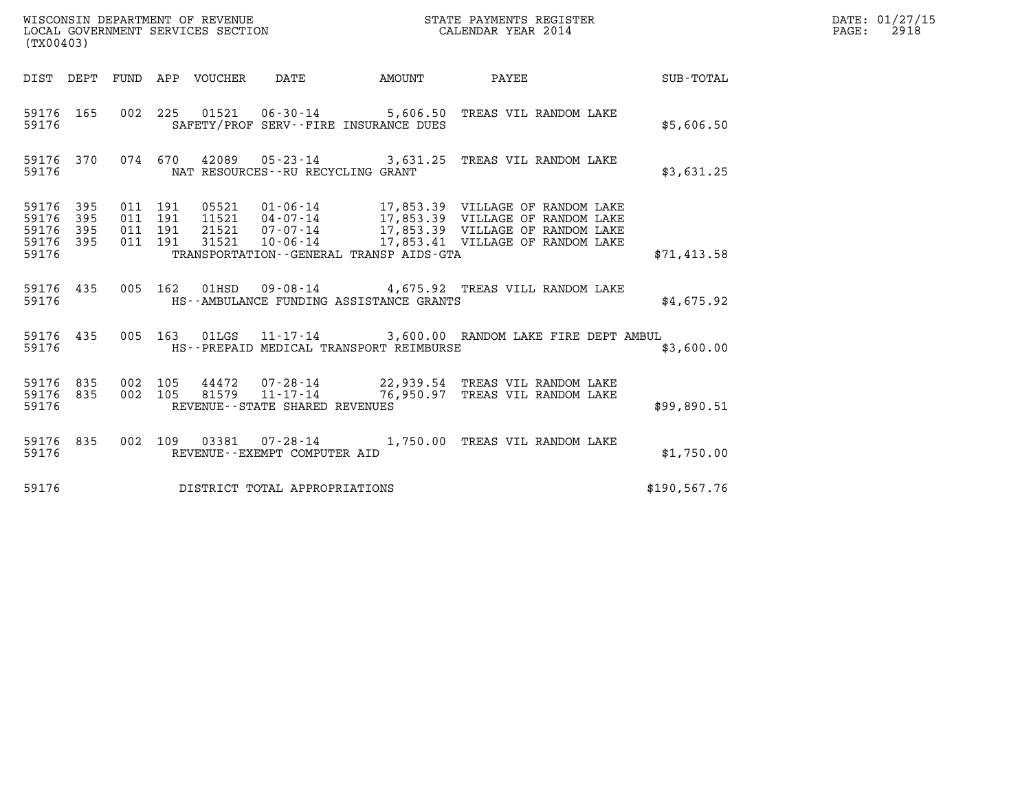| (TX00403)                                                          |                                                   |                                                  | STATE PAYMENTS REGISTER                                                     |              | DATE: 01/27/15<br>$\mathtt{PAGE:}$<br>2918 |
|--------------------------------------------------------------------|---------------------------------------------------|--------------------------------------------------|-----------------------------------------------------------------------------|--------------|--------------------------------------------|
|                                                                    | DIST DEPT FUND APP VOUCHER DATE                   |                                                  | AMOUNT PAYEE                                                                | SUB-TOTAL    |                                            |
| 59176 165<br>59176                                                 |                                                   | SAFETY/PROF SERV--FIRE INSURANCE DUES            | 002 225 01521 06-30-14 5,606.50 TREAS VIL RANDOM LAKE                       | \$5,606.50   |                                            |
| 59176 370<br>59176                                                 |                                                   | NAT RESOURCES - - RU RECYCLING GRANT             | 074  670  42089  05-23-14  3,631.25  TREAS VIL RANDOM LAKE                  | \$3,631.25   |                                            |
| 59176 395<br>59176<br>395<br>59176<br>395<br>395<br>59176<br>59176 | 011 191<br>011 191<br>011 191<br>011 191<br>31521 | TRANSPORTATION--GENERAL TRANSP AIDS-GTA          | 10-06-14 17,853.41 VILLAGE OF RANDOM LAKE                                   | \$71,413.58  |                                            |
| 59176 435<br>59176                                                 |                                                   | HS--AMBULANCE FUNDING ASSISTANCE GRANTS          | 005 162 01HSD 09-08-14 4,675.92 TREAS VILL RANDOM LAKE                      | \$4,675.92   |                                            |
| 59176 435<br>59176                                                 |                                                   | HS--PREPAID MEDICAL TRANSPORT REIMBURSE          | 005 163 01LGS 11-17-14 3,600.00 RANDOM LAKE FIRE DEPT AMBUL                 | \$3,600.00   |                                            |
| 59176 835<br>59176 835<br>59176                                    | 002 105<br>44472<br>002 105<br>81579              | $11 - 17 - 14$<br>REVENUE--STATE SHARED REVENUES | 07-28-14 22,939.54 TREAS VIL RANDOM LAKE<br>76,950.97 TREAS VIL RANDOM LAKE | \$99,890.51  |                                            |
| 59176 835<br>59176                                                 |                                                   | REVENUE--EXEMPT COMPUTER AID                     | 002 109 03381 07-28-14 1,750.00 TREAS VIL RANDOM LAKE                       | \$1,750.00   |                                            |
| 59176                                                              |                                                   | DISTRICT TOTAL APPROPRIATIONS                    |                                                                             | \$190,567.76 |                                            |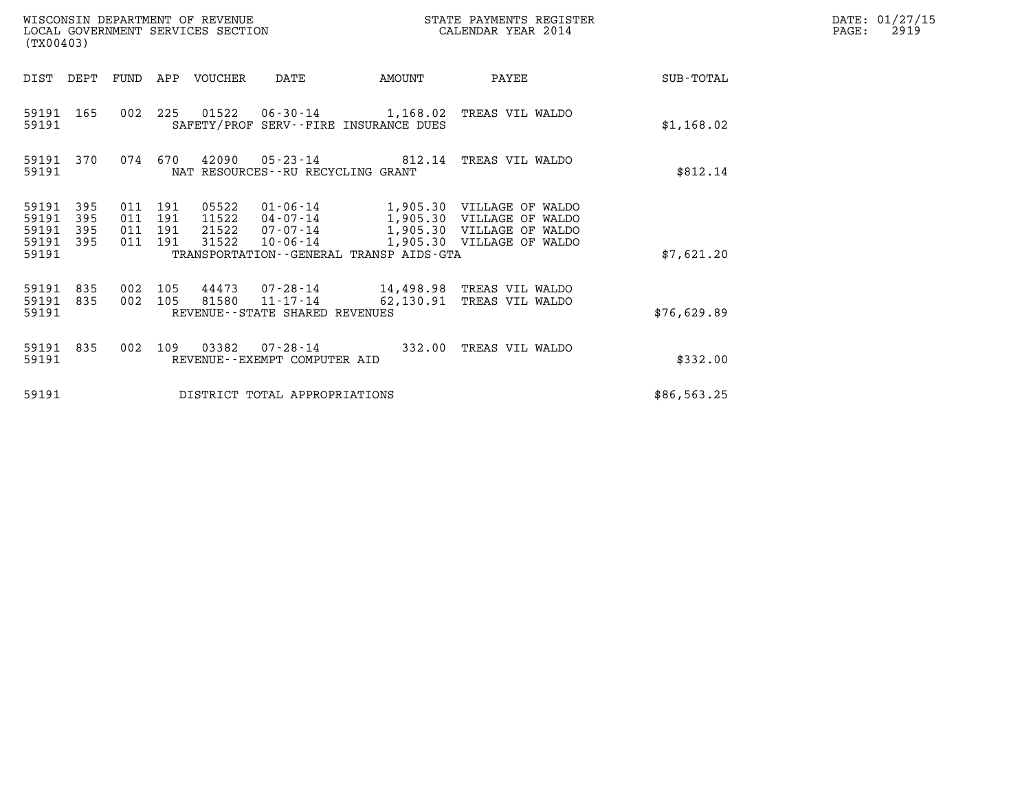| (TX00403)                                 |                          |                                      |            | WISCONSIN DEPARTMENT OF REVENUE<br>LOCAL GOVERNMENT SERVICES SECTION |                                                                       |           | STATE PAYMENTS REGISTER<br>CALENDAR YEAR 2014                                                                                      |             | DATE: 01/27/15<br>$\mathtt{PAGE}$ :<br>2919 |
|-------------------------------------------|--------------------------|--------------------------------------|------------|----------------------------------------------------------------------|-----------------------------------------------------------------------|-----------|------------------------------------------------------------------------------------------------------------------------------------|-------------|---------------------------------------------|
| DIST DEPT                                 |                          | FUND                                 |            | APP VOUCHER                                                          | DATE                                                                  | AMOUNT    | PAYEE                                                                                                                              | SUB-TOTAL   |                                             |
| 59191<br>59191                            | 165                      |                                      | 002 225    |                                                                      | SAFETY/PROF SERV--FIRE INSURANCE DUES                                 |           |                                                                                                                                    | \$1,168.02  |                                             |
| 59191                                     | 59191 370                | 074                                  | 670        | 42090                                                                | NAT RESOURCES--RU RECYCLING GRANT                                     |           | 05-23-14  812.14 TREAS VIL WALDO                                                                                                   | \$812.14    |                                             |
| 59191<br>59191<br>59191<br>59191<br>59191 | 395<br>395<br>395<br>395 | 011 191<br>011<br>011 191<br>011 191 | 191        | 05522<br>11522<br>21522<br>31522                                     | $07 - 07 - 14$<br>10-06-14<br>TRANSPORTATION--GENERAL TRANSP AIDS-GTA |           | 01-06-14 1,905.30 VILLAGE OF WALDO<br>04-07-14 1,905.30 VILLAGE OF WALDO<br>1,905.30 VILLAGE OF WALDO<br>1,905.30 VILLAGE OF WALDO | \$7,621.20  |                                             |
| 59191<br>59191<br>59191                   | 835<br>835               | 002<br>002                           | 105<br>105 | 81580                                                                | $11 - 17 - 14$<br>REVENUE - - STATE SHARED REVENUES                   | 62,130.91 | 44473 07-28-14 14,498.98 TREAS VIL WALDO<br>TREAS VIL WALDO                                                                        | \$76,629.89 |                                             |
| 59191<br>59191                            | 835                      | 002                                  | 109        | 03382                                                                | 07-28-14<br>REVENUE - - EXEMPT COMPUTER AID                           | 332.00    | TREAS VIL WALDO                                                                                                                    | \$332.00    |                                             |
| 59191                                     |                          |                                      |            |                                                                      | DISTRICT TOTAL APPROPRIATIONS                                         |           |                                                                                                                                    | \$86,563.25 |                                             |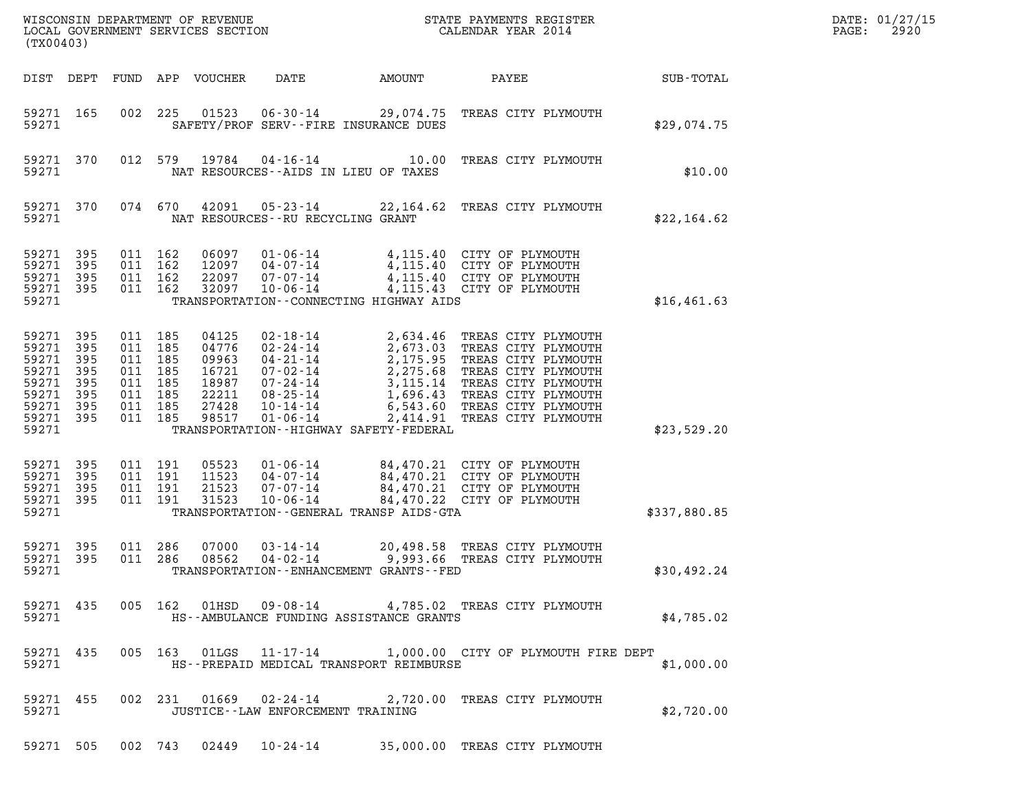| (TX00403)                                                                             |                                        |                                                                                  |     |                                                                      | WISCONSIN DEPARTMENT OF REVENUE<br>LOCAL GOVERNMENT SERVICES SECTION                                                                   |                                                                        | STATE PAYMENTS REGISTER<br>CALENDAR YEAR 2014                                                                                                                                                                                                       |              | DATE: 01/27/15<br>2920<br>PAGE: |
|---------------------------------------------------------------------------------------|----------------------------------------|----------------------------------------------------------------------------------|-----|----------------------------------------------------------------------|----------------------------------------------------------------------------------------------------------------------------------------|------------------------------------------------------------------------|-----------------------------------------------------------------------------------------------------------------------------------------------------------------------------------------------------------------------------------------------------|--------------|---------------------------------|
| DIST DEPT                                                                             |                                        | FUND                                                                             |     | APP VOUCHER                                                          | DATE                                                                                                                                   | AMOUNT                                                                 | PAYEE                                                                                                                                                                                                                                               | SUB-TOTAL    |                                 |
| 59271 165<br>59271                                                                    |                                        | 002                                                                              | 225 | 01523                                                                | $06 - 30 - 14$                                                                                                                         | SAFETY/PROF SERV--FIRE INSURANCE DUES                                  | 29,074.75 TREAS CITY PLYMOUTH                                                                                                                                                                                                                       | \$29,074.75  |                                 |
| 59271 370<br>59271                                                                    |                                        | 012 579                                                                          |     | 19784                                                                | $04 - 16 - 14$                                                                                                                         | 10.00<br>NAT RESOURCES -- AIDS IN LIEU OF TAXES                        | TREAS CITY PLYMOUTH                                                                                                                                                                                                                                 | \$10.00      |                                 |
| 59271 370<br>59271                                                                    |                                        | 074 670                                                                          |     | 42091                                                                | 05-23-14                                                                                                                               | NAT RESOURCES - - RU RECYCLING GRANT                                   | 22,164.62 TREAS CITY PLYMOUTH                                                                                                                                                                                                                       | \$22,164.62  |                                 |
| 59271 395<br>59271<br>59271<br>59271<br>59271                                         | 395<br>395<br>395                      | 011 162<br>011 162<br>011 162<br>011 162                                         |     | 06097<br>12097<br>22097<br>32097                                     | $01 - 06 - 14$<br>$04 - 07 - 14$<br>$07 - 07 - 14$<br>$10 - 06 - 14$                                                                   | TRANSPORTATION - - CONNECTING HIGHWAY AIDS                             | 4,115.40 CITY OF PLYMOUTH<br>4,115.40 CITY OF PLYMOUTH<br>4,115.40 CITY OF PLYMOUTH<br>4, 115.43 CITY OF PLYMOUTH                                                                                                                                   | \$16, 461.63 |                                 |
| 59271 395<br>59271<br>59271<br>59271<br>59271<br>59271<br>59271<br>59271 395<br>59271 | 395<br>395<br>395<br>395<br>395<br>395 | 011 185<br>011 185<br>011 185<br>011 185<br>011 185<br>011 185<br>011<br>011 185 | 185 | 04125<br>04776<br>09963<br>16721<br>18987<br>22211<br>27428<br>98517 | $02 - 18 - 14$<br>$02 - 24 - 14$<br>$04 - 21 - 14$<br>07-02-14<br>$07 - 24 - 14$<br>$08 - 25 - 14$<br>$10 - 14 - 14$<br>$01 - 06 - 14$ | 2,175.95<br>TRANSPORTATION - - HIGHWAY SAFETY - FEDERAL                | 2,634.46 TREAS CITY PLYMOUTH<br>2,673.03 TREAS CITY PLYMOUTH<br>TREAS CITY PLYMOUTH<br>2,275.68 TREAS CITY PLYMOUTH<br>3,115.14 TREAS CITY PLYMOUTH<br>1,696.43 TREAS CITY PLYMOUTH<br>6,543.60 TREAS CITY PLYMOUTH<br>2,414.91 TREAS CITY PLYMOUTH | \$23,529.20  |                                 |
| 59271 395<br>59271<br>59271<br>59271 395<br>59271                                     | 395<br>395                             | 011 191<br>011 191<br>011 191<br>011 191                                         |     | 05523<br>11523<br>21523<br>31523                                     | $01 - 06 - 14$<br>$04 - 07 - 14$<br>$07 - 07 - 14$<br>$10 - 06 - 14$                                                                   | TRANSPORTATION--GENERAL TRANSP AIDS-GTA                                | 84,470.21 CITY OF PLYMOUTH<br>84,470.21 CITY OF PLYMOUTH<br>84,470.21 CITY OF PLYMOUTH<br>84,470.22 CITY OF PLYMOUTH                                                                                                                                | \$337,880.85 |                                 |
| 59271<br>59271 395<br>59271                                                           | 395                                    | 011 286<br>011 286                                                               |     | 07000<br>08562                                                       | $03 - 14 - 14$<br>$04 - 02 - 14$                                                                                                       | 20,498.58<br>9,993.66<br>TRANSPORTATION - - ENHANCEMENT GRANTS - - FED | TREAS CITY PLYMOUTH<br>TREAS CITY PLYMOUTH                                                                                                                                                                                                          | \$30,492.24  |                                 |
| 59271                                                                                 |                                        |                                                                                  |     |                                                                      |                                                                                                                                        | HS--AMBULANCE FUNDING ASSISTANCE GRANTS                                | 59271 435 005 162 01HSD 09-08-14 4,785.02 TREAS CITY PLYMOUTH                                                                                                                                                                                       | \$4,785.02   |                                 |
| 59271                                                                                 |                                        |                                                                                  |     |                                                                      |                                                                                                                                        | HS--PREPAID MEDICAL TRANSPORT REIMBURSE                                | 59271 435 005 163 01LGS 11-17-14 1,000.00 CITY OF PLYMOUTH FIRE DEPT                                                                                                                                                                                | \$1,000.00   |                                 |
| 59271                                                                                 |                                        |                                                                                  |     |                                                                      |                                                                                                                                        | JUSTICE - - LAW ENFORCEMENT TRAINING                                   | 59271 455 002 231 01669 02-24-14 2,720.00 TREAS CITY PLYMOUTH                                                                                                                                                                                       | \$2,720.00   |                                 |
|                                                                                       |                                        |                                                                                  |     |                                                                      |                                                                                                                                        |                                                                        | 59271 505 002 743 02449 10-24-14 35,000.00 TREAS CITY PLYMOUTH                                                                                                                                                                                      |              |                                 |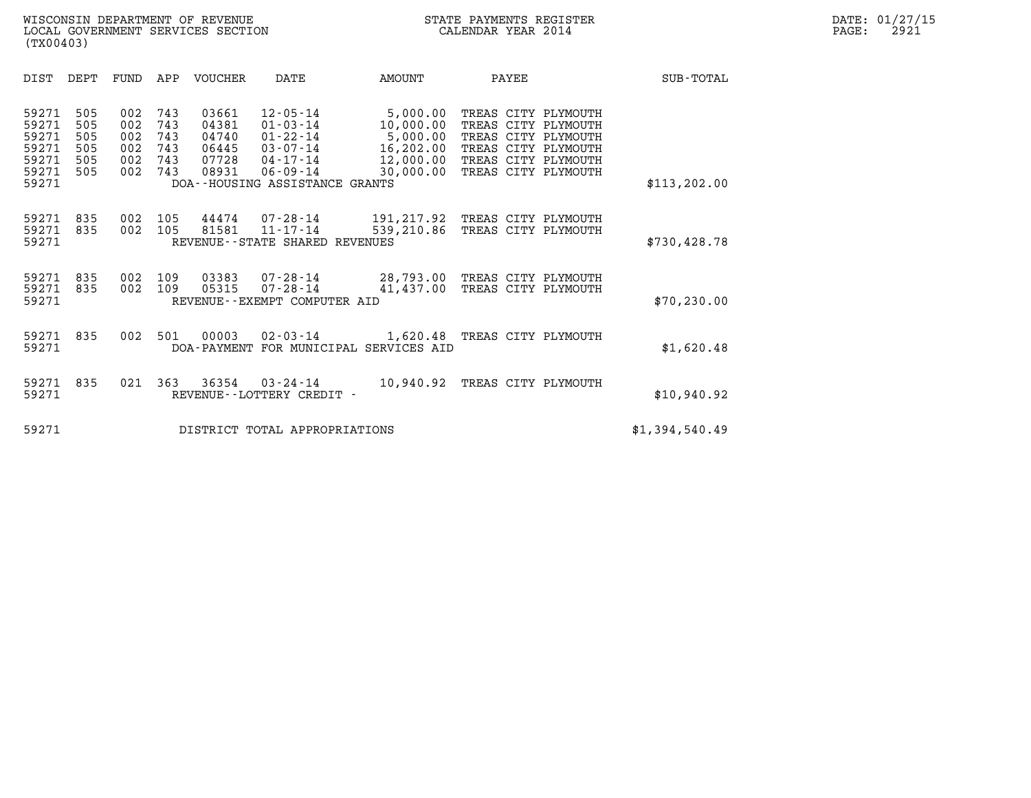| (TX00403)                                                   |                                        |                                        |                                        |                                                    |                                                                                                                          |                                                                          |                                                                                                                                        |                  |  |
|-------------------------------------------------------------|----------------------------------------|----------------------------------------|----------------------------------------|----------------------------------------------------|--------------------------------------------------------------------------------------------------------------------------|--------------------------------------------------------------------------|----------------------------------------------------------------------------------------------------------------------------------------|------------------|--|
| DIST                                                        | DEPT                                   | FUND                                   | APP                                    | VOUCHER                                            | DATE                                                                                                                     | AMOUNT                                                                   | PAYEE                                                                                                                                  | <b>SUB-TOTAL</b> |  |
| 59271<br>59271<br>59271<br>59271<br>59271<br>59271<br>59271 | 505<br>505<br>505<br>505<br>505<br>505 | 002<br>002<br>002<br>002<br>002<br>002 | 743<br>743<br>743<br>743<br>743<br>743 | 03661<br>04381<br>04740<br>06445<br>07728<br>08931 | $12 - 05 - 14$<br>$01 - 03 - 14$<br>01-22-14<br>03-07-14<br>04-17-14<br>$06 - 09 - 14$<br>DOA--HOUSING ASSISTANCE GRANTS | 5,000.00<br>10,000.00<br>5,000.00<br>16,202.00<br>12,000.00<br>30,000.00 | TREAS CITY PLYMOUTH<br>TREAS CITY PLYMOUTH<br>TREAS CITY PLYMOUTH<br>TREAS CITY PLYMOUTH<br>TREAS CITY PLYMOUTH<br>TREAS CITY PLYMOUTH | \$113, 202.00    |  |
| 59271<br>59271<br>59271                                     | 835<br>835                             | 002<br>002                             | 105<br>105                             | 44474<br>81581                                     | 07-28-14<br>$11 - 17 - 14$<br>REVENUE--STATE SHARED REVENUES                                                             | 191,217.92<br>539,210.86                                                 | TREAS CITY PLYMOUTH<br>TREAS CITY PLYMOUTH                                                                                             | \$730,428.78     |  |
| 59271<br>59271<br>59271                                     | 835<br>835                             | 002<br>002                             | 109<br>109                             | 03383<br>05315                                     | 07-28-14<br>$07 - 28 - 14$<br>REVENUE--EXEMPT COMPUTER AID                                                               | 28,793.00<br>41,437.00                                                   | TREAS CITY PLYMOUTH<br>TREAS CITY PLYMOUTH                                                                                             | \$70, 230.00     |  |
| 59271<br>59271                                              | 835                                    | 002                                    | 501                                    | 00003                                              | $02 - 03 - 14$<br>DOA-PAYMENT FOR MUNICIPAL SERVICES AID                                                                 |                                                                          | 1,620.48 TREAS CITY PLYMOUTH                                                                                                           | \$1,620.48       |  |
| 59271<br>59271                                              | 835                                    | 021                                    | 363                                    | 36354                                              | $03 - 24 - 14$<br>REVENUE - - LOTTERY CREDIT -                                                                           | 10,940.92                                                                | TREAS CITY PLYMOUTH                                                                                                                    | \$10,940.92      |  |
| 59271                                                       |                                        |                                        |                                        |                                                    | DISTRICT TOTAL APPROPRIATIONS                                                                                            |                                                                          |                                                                                                                                        | \$1,394,540.49   |  |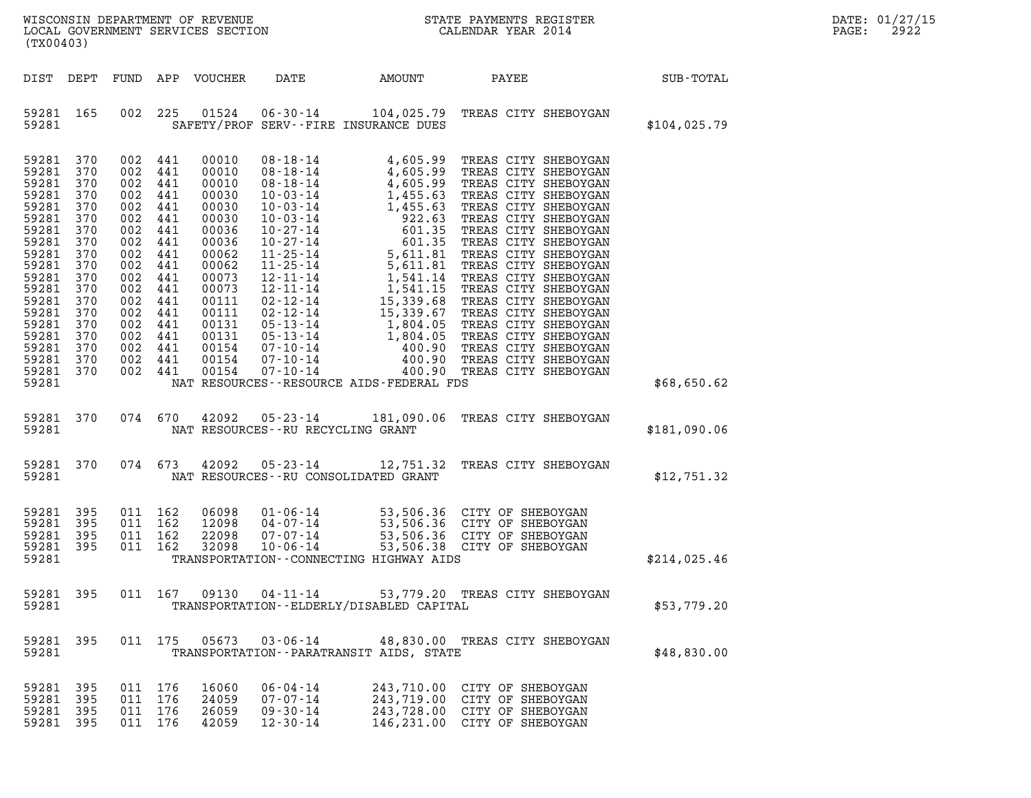| DATE: | 01/27/15 |
|-------|----------|
| PAGE: | 2922     |

| (TX00403)                                                                                                                                                                                |                                                                                                                     |                                                                                                                                                                                                   |                   |                                                                                                                                                                         |                                                    |                                             |                                                                                                                                                              |               | DATE: 01/27/15<br>2922<br>PAGE: |
|------------------------------------------------------------------------------------------------------------------------------------------------------------------------------------------|---------------------------------------------------------------------------------------------------------------------|---------------------------------------------------------------------------------------------------------------------------------------------------------------------------------------------------|-------------------|-------------------------------------------------------------------------------------------------------------------------------------------------------------------------|----------------------------------------------------|---------------------------------------------|--------------------------------------------------------------------------------------------------------------------------------------------------------------|---------------|---------------------------------|
|                                                                                                                                                                                          |                                                                                                                     |                                                                                                                                                                                                   |                   | DIST DEPT FUND APP VOUCHER                                                                                                                                              |                                                    | DATE AMOUNT                                 | PAYEE                                                                                                                                                        | $SUB - TOTAL$ |                                 |
| 59281 165<br>59281                                                                                                                                                                       |                                                                                                                     |                                                                                                                                                                                                   |                   |                                                                                                                                                                         |                                                    | SAFETY/PROF SERV--FIRE INSURANCE DUES       | 002 225 01524 06-30-14 104,025.79 TREAS CITY SHEBOYGAN                                                                                                       | \$104,025.79  |                                 |
| 59281 370<br>59281<br>59281<br>59281<br>59281<br>59281<br>59281<br>59281<br>59281<br>59281<br>59281<br>59281<br>59281<br>59281<br>59281<br>59281<br>59281<br>59281<br>59281 370<br>59281 | 370<br>370<br>370<br>370<br>370<br>370<br>370<br>370<br>370<br>370<br>370<br>370<br>370<br>370<br>370<br>370<br>370 | 002 441<br>002<br>002 441<br>002 441<br>002 441<br>002<br>002 441<br>002<br>002 441<br>002 441<br>002 441<br>002 441<br>002 441<br>002 441<br>002 441<br>002 441<br>002 441<br>002 441<br>002 441 | 441<br>441<br>441 | 00010<br>00010<br>00010<br>00030<br>00030<br>00030<br>00036<br>00036<br>00062<br>00062<br>00073<br>00073<br>00111<br>00111<br>00131<br>00131<br>00154<br>00154<br>00154 |                                                    | NAT RESOURCES--RESOURCE AIDS-FEDERAL FDS    |                                                                                                                                                              | \$68,650.62   |                                 |
| 59281                                                                                                                                                                                    |                                                                                                                     |                                                                                                                                                                                                   |                   |                                                                                                                                                                         | NAT RESOURCES -- RU RECYCLING GRANT                |                                             | 59281 370 074 670 42092 05-23-14 181,090.06 TREAS CITY SHEBOYGAN                                                                                             | \$181,090.06  |                                 |
| 59281 370<br>59281                                                                                                                                                                       |                                                                                                                     |                                                                                                                                                                                                   |                   |                                                                                                                                                                         |                                                    | NAT RESOURCES--RU CONSOLIDATED GRANT        | 074 673 42092 05-23-14 12,751.32 TREAS CITY SHEBOYGAN                                                                                                        | \$12,751.32   |                                 |
| 59281 395<br>59281<br>59281<br>59281<br>59281                                                                                                                                            | 395<br>395<br>395                                                                                                   | 011 162<br>011 162<br>011 162<br>011 162                                                                                                                                                          |                   | 06098<br>12098<br>22098<br>32098                                                                                                                                        |                                                    | TRANSPORTATION--CONNECTING HIGHWAY AIDS     | 01-06-14<br>04-07-14<br>53,506.36 CITY OF SHEBOYGAN<br>07-07-14<br>53,506.36 CITY OF SHEBOYGAN<br>53,506.36 CITY OF SHEBOYGAN<br>53,506.38 CITY OF SHEBOYGAN | \$214,025.46  |                                 |
| 59281 395<br>59281                                                                                                                                                                       |                                                                                                                     |                                                                                                                                                                                                   |                   |                                                                                                                                                                         |                                                    | TRANSPORTATION - - ELDERLY/DISABLED CAPITAL | 011 167 09130 04-11-14 53,779.20 TREAS CITY SHEBOYGAN                                                                                                        | \$53,779.20   |                                 |
| 59281 395<br>59281                                                                                                                                                                       |                                                                                                                     |                                                                                                                                                                                                   |                   |                                                                                                                                                                         | 011 175 05673 03-06-14                             | TRANSPORTATION - - PARATRANSIT AIDS, STATE  | 48,830.00 TREAS CITY SHEBOYGAN                                                                                                                               | \$48,830.00   |                                 |
| 59281 395<br>59281 395<br>59281 395<br>59281 395                                                                                                                                         |                                                                                                                     | 011 176<br>011 176<br>011 176<br>011 176                                                                                                                                                          |                   | 16060<br>24059<br>26059<br>42059                                                                                                                                        | $06 - 04 - 14$<br>07-07-14<br>09-30-14<br>12-30-14 |                                             | 243,710.00 CITY OF SHEBOYGAN<br>243,719.00 CITY OF SHEBOYGAN<br>243,728.00 CITY OF SHEBOYGAN<br>146,231.00 CITY OF SHEBOYGAN                                 |               |                                 |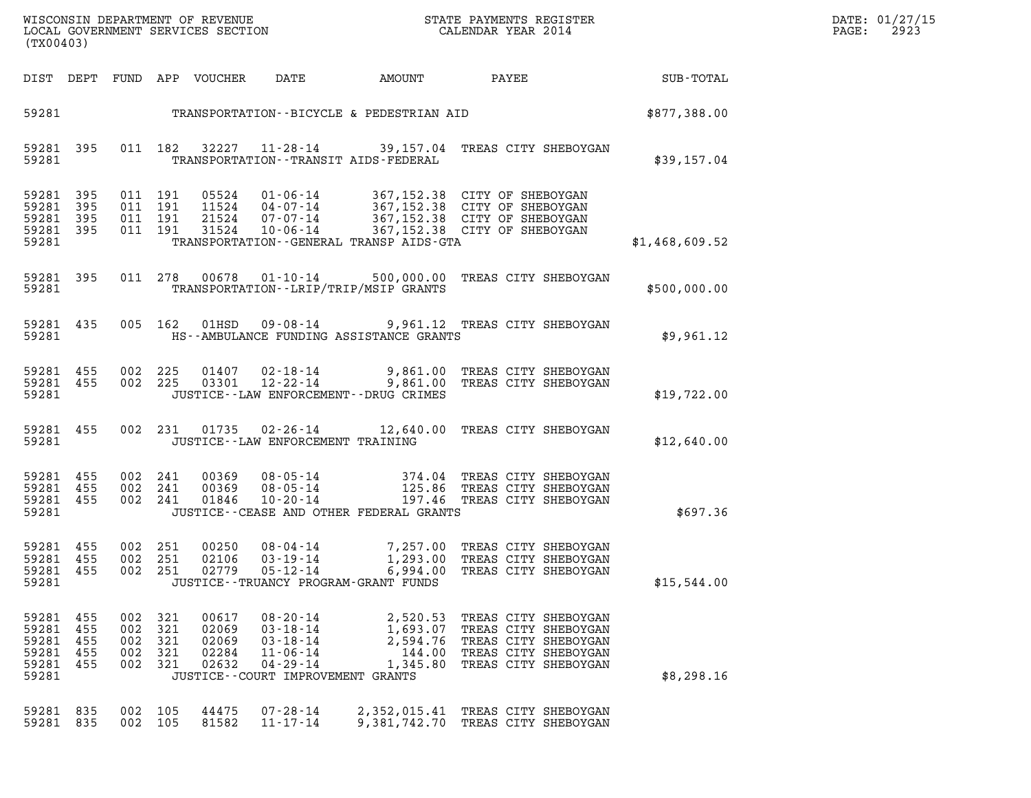| $\mathtt{DATE}$ : | 01/27/15 |
|-------------------|----------|
| PAGE:             | 2923     |

| (TX00403)                                                      |            |                                                     |                               |                                           |                                                                                                                          |                                                       |                                                                                                                                                                                                      |                | DATE: 01/27/15<br>2923<br>$\mathtt{PAGE:}$ |
|----------------------------------------------------------------|------------|-----------------------------------------------------|-------------------------------|-------------------------------------------|--------------------------------------------------------------------------------------------------------------------------|-------------------------------------------------------|------------------------------------------------------------------------------------------------------------------------------------------------------------------------------------------------------|----------------|--------------------------------------------|
|                                                                |            |                                                     |                               | DIST DEPT FUND APP VOUCHER                | DATE                                                                                                                     |                                                       | AMOUNT PAYEE SUB-TOTAL                                                                                                                                                                               |                |                                            |
| 59281 200                                                      |            |                                                     |                               |                                           |                                                                                                                          | TRANSPORTATION--BICYCLE & PEDESTRIAN AID              |                                                                                                                                                                                                      | \$877,388.00   |                                            |
| 59281 395<br>59281                                             |            |                                                     |                               |                                           |                                                                                                                          | TRANSPORTATION - - TRANSIT AIDS - FEDERAL             | 011 182 32227 11-28-14 39,157.04 TREAS CITY SHEBOYGAN                                                                                                                                                | \$39,157.04    |                                            |
| 59281 395<br>59281 395<br>59281<br>59281 395<br>59281          | 395        | 011 191                                             | 011 191<br>011 191<br>011 191 |                                           |                                                                                                                          | TRANSPORTATION--GENERAL TRANSP AIDS-GTA               | 05524  01-06-14  367,152.38  CITY OF SHEBOYGAN<br>11524  04-07-14  367,152.38  CITY OF SHEBOYGAN<br>21524  07-07-14  367,152.38  CITY OF SHEBOYGAN<br>31524  10-06-14  367,152.38  CITY OF SHEBOYGAN | \$1,468,609.52 |                                            |
| 59281 395<br>59281                                             |            |                                                     |                               |                                           | 011 278 00678 01-10-14                                                                                                   | TRANSPORTATION - - LRIP/TRIP/MSIP GRANTS              | 500,000.00 TREAS CITY SHEBOYGAN                                                                                                                                                                      | \$500,000.00   |                                            |
| 59281 435<br>59281                                             |            |                                                     | 005 162                       |                                           |                                                                                                                          | HS--AMBULANCE FUNDING ASSISTANCE GRANTS               | 01HSD  09-08-14  9,961.12 TREAS CITY SHEBOYGAN                                                                                                                                                       | \$9,961.12     |                                            |
| 59281 455<br>59281 455<br>59281                                |            | 002 225<br>002 225                                  |                               | 03301                                     |                                                                                                                          | JUSTICE - - LAW ENFORCEMENT - - DRUG CRIMES           | 01407  02-18-14  9,861.00 TREAS CITY SHEBOYGAN<br>12-22-14 9,861.00 TREAS CITY SHEBOYGAN                                                                                                             | \$19,722.00    |                                            |
| 59281 455<br>59281                                             |            |                                                     |                               |                                           | JUSTICE - - LAW ENFORCEMENT TRAINING                                                                                     |                                                       | 002 231 01735 02-26-14 12,640.00 TREAS CITY SHEBOYGAN                                                                                                                                                | \$12,640.00    |                                            |
| 59281 455<br>59281 455<br>59281 455<br>59281                   |            | 002 241<br>002 241<br>002 241                       |                               | 00369<br>00369<br>01846                   |                                                                                                                          | JUSTICE -- CEASE AND OTHER FEDERAL GRANTS             |                                                                                                                                                                                                      | \$697.36       |                                            |
| 59281 455<br>59281 455<br>59281 455<br>59281                   |            | 002 251<br>002 251<br>002 251                       |                               | 00250<br>02106                            | 08-04-14<br>03-19-14<br>$02779$ $05 - 12 - 14$                                                                           | 6,994.00<br>JUSTICE - - TRUANCY PROGRAM - GRANT FUNDS | 7,257.00 TREAS CITY SHEBOYGAN<br>1,293.00 TREAS CITY SHEBOYGAN<br>TREAS CITY SHEBOYGAN                                                                                                               | \$15,544.00    |                                            |
| 59281 455<br>59281 455<br>59281<br>59281<br>59281 455<br>59281 | 455<br>455 | 002 321<br>002 321<br>002 321<br>002 321<br>002 321 |                               | 00617<br>02069<br>02069<br>02284<br>02632 | $08 - 20 - 14$<br>$03 - 18 - 14$<br>$03 - 18 - 14$<br>$11 - 06 - 14$<br>04-29-14<br>JUSTICE - - COURT IMPROVEMENT GRANTS | 2,594.76<br>144.00<br>1,345.80                        | 2,520.53 TREAS CITY SHEBOYGAN<br>1,693.07 TREAS CITY SHEBOYGAN<br>TREAS CITY SHEBOYGAN<br>TREAS CITY SHEBOYGAN<br>TREAS CITY SHEBOYGAN                                                               | \$8,298.16     |                                            |
| 59281 835<br>59281 835                                         |            | 002 105<br>002 105                                  |                               | 44475<br>81582                            | 07-28-14<br>$11 - 17 - 14$                                                                                               |                                                       | 2,352,015.41 TREAS CITY SHEBOYGAN<br>9,381,742.70 TREAS CITY SHEBOYGAN                                                                                                                               |                |                                            |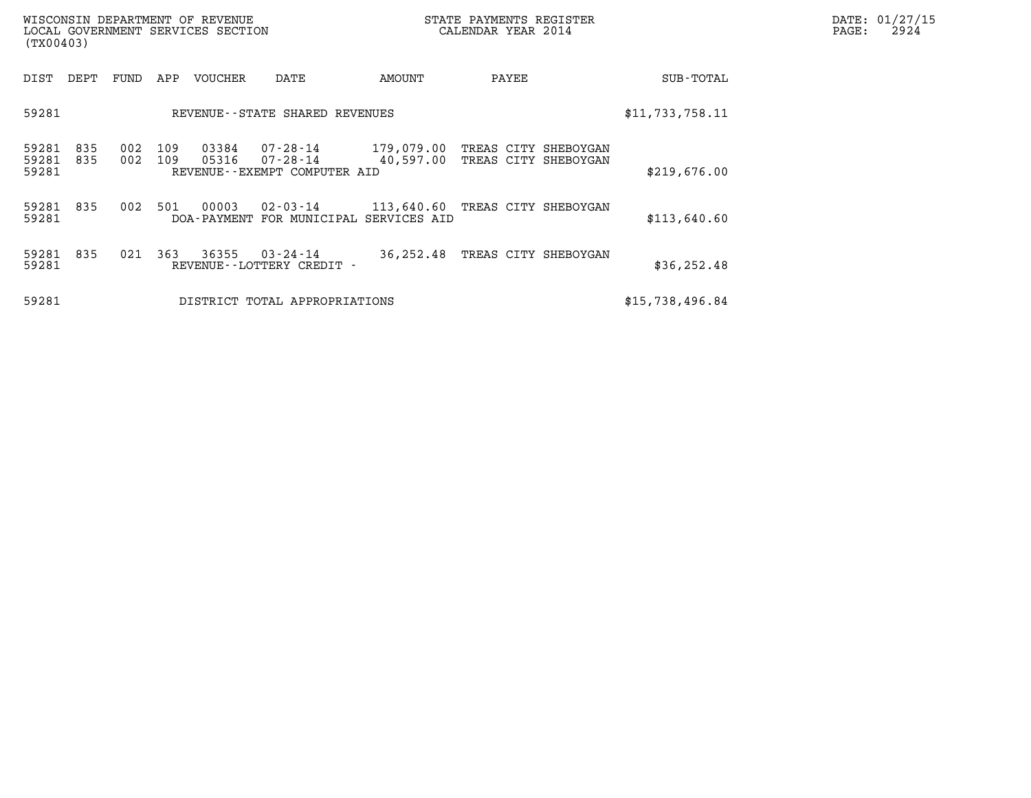| DATE: | 01/27/15 |
|-------|----------|
| PAGE: | 2924     |

| WISCONSIN DEPARTMENT OF REVENUE<br>STATE PAYMENTS REGISTER<br>CALENDAR YEAR 2014<br>LOCAL GOVERNMENT SERVICES SECTION<br>(TX00403) |                               |            |            |                |                                                      |                                              |       |                      | DATE: 01/27/15<br>$\mathtt{PAGE}$ :<br>2924 |  |
|------------------------------------------------------------------------------------------------------------------------------------|-------------------------------|------------|------------|----------------|------------------------------------------------------|----------------------------------------------|-------|----------------------|---------------------------------------------|--|
| DIST                                                                                                                               | DEPT                          | FUND       | APP        | VOUCHER        | DATE                                                 | AMOUNT                                       | PAYEE |                      | SUB-TOTAL                                   |  |
| 59281                                                                                                                              |                               |            |            |                | REVENUE--STATE SHARED REVENUES                       |                                              |       |                      | \$11,733,758.11                             |  |
| 59281<br>59281<br>59281                                                                                                            | 835<br>835                    | 002<br>002 | 109<br>109 | 03384<br>05316 | 07-28-14<br>07-28-14<br>REVENUE--EXEMPT COMPUTER AID | 179,079.00 TREAS CITY SHEBOYGAN<br>40,597.00 |       | TREAS CITY SHEBOYGAN | \$219,676.00                                |  |
| 59281<br>59281                                                                                                                     | 835                           | 002        | 501        | 00003          | 02-03-14<br>DOA-PAYMENT FOR MUNICIPAL SERVICES AID   | 113,640.60 TREAS CITY SHEBOYGAN              |       |                      | \$113,640.60                                |  |
| 59281<br>59281                                                                                                                     | 835                           | 021        | 363        | 36355          | 03-24-14<br>REVENUE--LOTTERY CREDIT -                | 36,252.48 TREAS CITY SHEBOYGAN               |       |                      | \$36, 252.48                                |  |
| 59281                                                                                                                              | DISTRICT TOTAL APPROPRIATIONS |            |            |                |                                                      |                                              |       |                      |                                             |  |